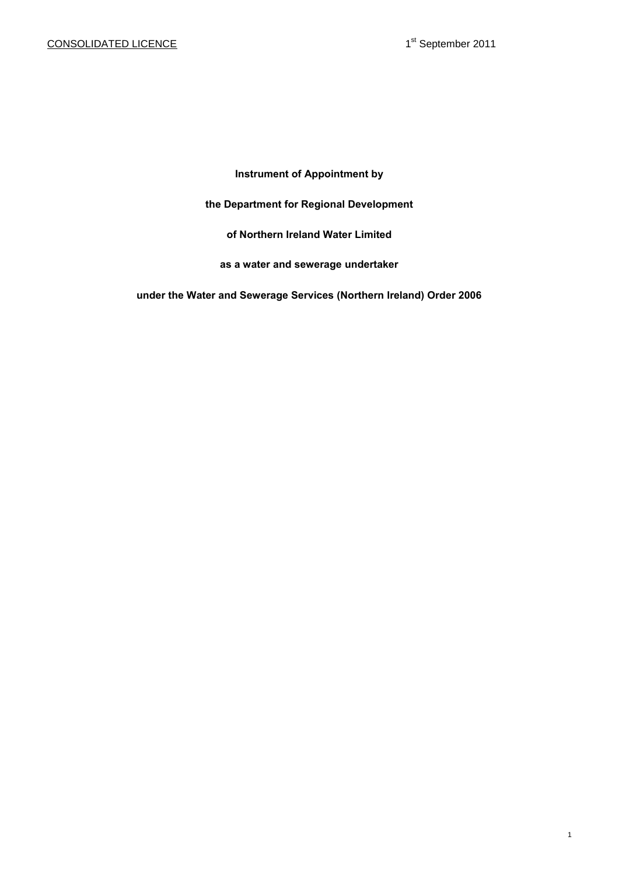# **Instrument of Appointment by**

## **the Department for Regional Development**

# **of Northern Ireland Water Limited**

# **as a water and sewerage undertaker**

**under the Water and Sewerage Services (Northern Ireland) Order 2006**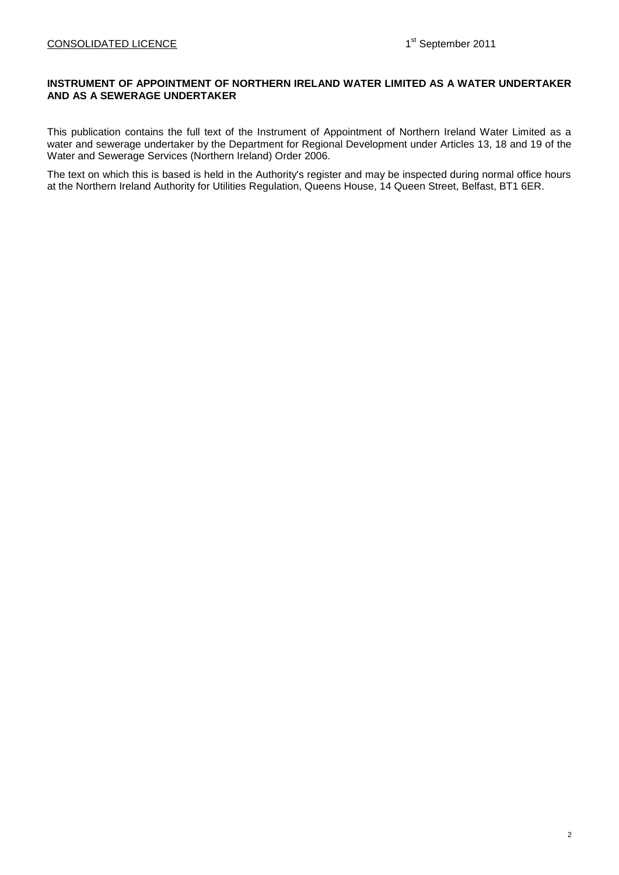## **INSTRUMENT OF APPOINTMENT OF NORTHERN IRELAND WATER LIMITED AS A WATER UNDERTAKER AND AS A SEWERAGE UNDERTAKER**

This publication contains the full text of the Instrument of Appointment of Northern Ireland Water Limited as a water and sewerage undertaker by the Department for Regional Development under Articles 13, 18 and 19 of the Water and Sewerage Services (Northern Ireland) Order 2006.

The text on which this is based is held in the Authority's register and may be inspected during normal office hours at the Northern Ireland Authority for Utilities Regulation, Queens House, 14 Queen Street, Belfast, BT1 6ER.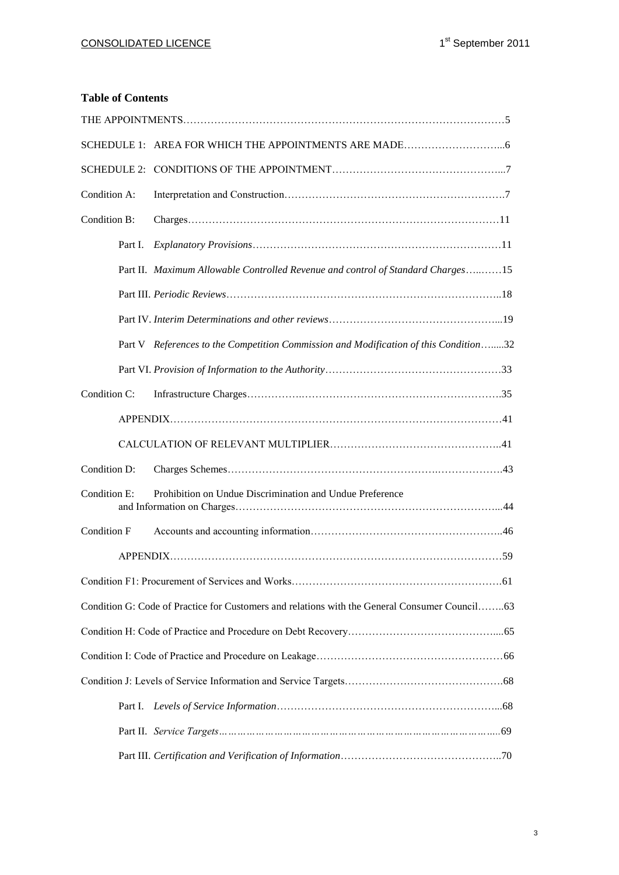# **Table of Contents**

| Condition A: |                                                                                               |  |
|--------------|-----------------------------------------------------------------------------------------------|--|
| Condition B: |                                                                                               |  |
| Part I.      |                                                                                               |  |
|              | Part II. Maximum Allowable Controlled Revenue and control of Standard Charges15               |  |
|              |                                                                                               |  |
|              |                                                                                               |  |
|              | Part V References to the Competition Commission and Modification of this Condition32          |  |
|              |                                                                                               |  |
| Condition C: |                                                                                               |  |
|              |                                                                                               |  |
|              |                                                                                               |  |
| Condition D: |                                                                                               |  |
| Condition E: | Prohibition on Undue Discrimination and Undue Preference                                      |  |
| Condition F  |                                                                                               |  |
|              |                                                                                               |  |
|              |                                                                                               |  |
|              | Condition G: Code of Practice for Customers and relations with the General Consumer Council63 |  |
|              |                                                                                               |  |
|              |                                                                                               |  |
|              |                                                                                               |  |
|              |                                                                                               |  |
|              |                                                                                               |  |
|              |                                                                                               |  |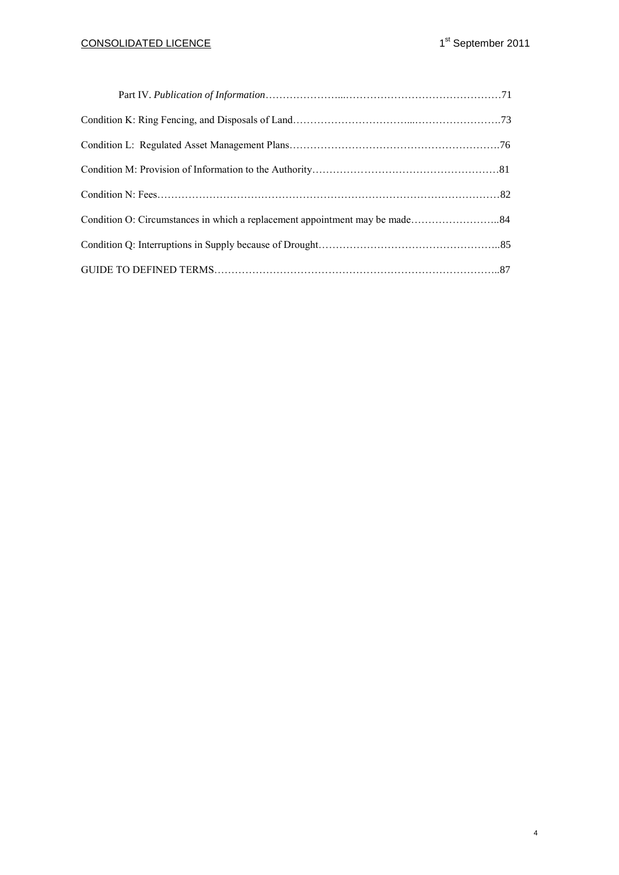# CONSOLIDATED LICENCE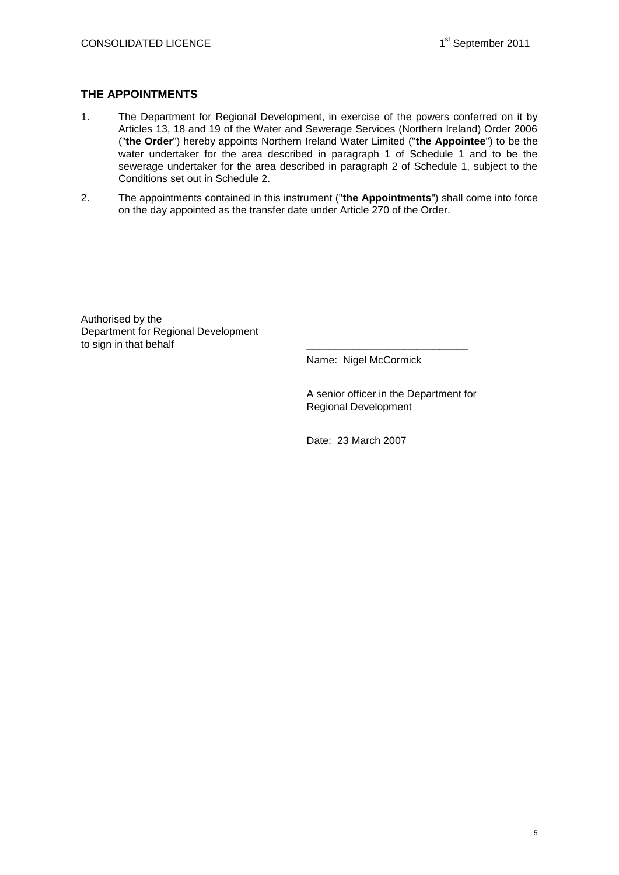## **THE APPOINTMENTS**

- 1. The Department for Regional Development, in exercise of the powers conferred on it by Articles 13, 18 and 19 of the Water and Sewerage Services (Northern Ireland) Order 2006 ("**the Order**") hereby appoints Northern Ireland Water Limited ("**the Appointee**") to be the water undertaker for the area described in paragraph 1 of Schedule 1 and to be the sewerage undertaker for the area described in paragraph 2 of Schedule 1, subject to the Conditions set out in Schedule 2.
- 2. The appointments contained in this instrument ("**the Appointments**") shall come into force on the day appointed as the transfer date under Article 270 of the Order.

Authorised by the Department for Regional Development to sign in that behalf

Name: Nigel McCormick

A senior officer in the Department for Regional Development

Date: 23 March 2007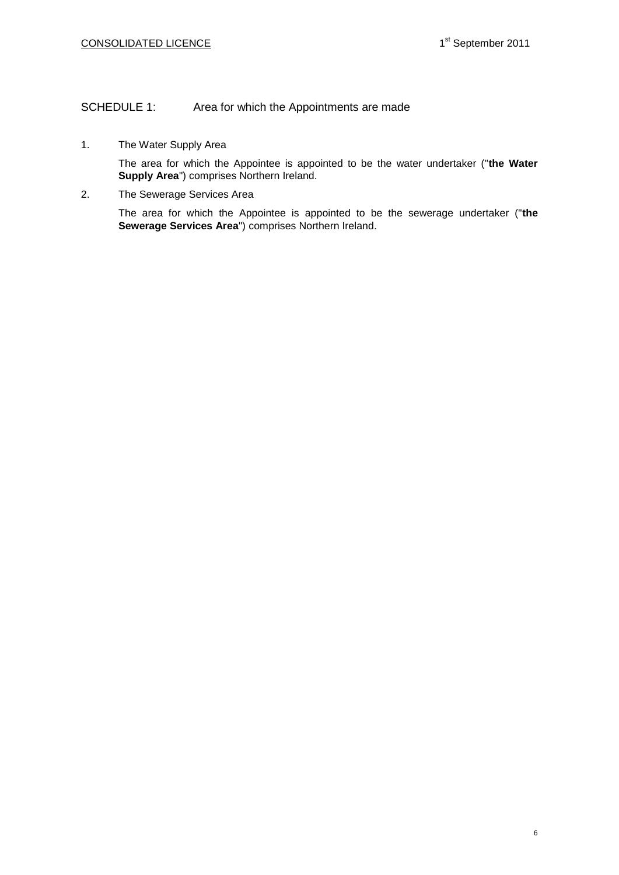## SCHEDULE 1: Area for which the Appointments are made

1. The Water Supply Area

The area for which the Appointee is appointed to be the water undertaker ("**the Water Supply Area**") comprises Northern Ireland.

2. The Sewerage Services Area

The area for which the Appointee is appointed to be the sewerage undertaker ("**the Sewerage Services Area**") comprises Northern Ireland.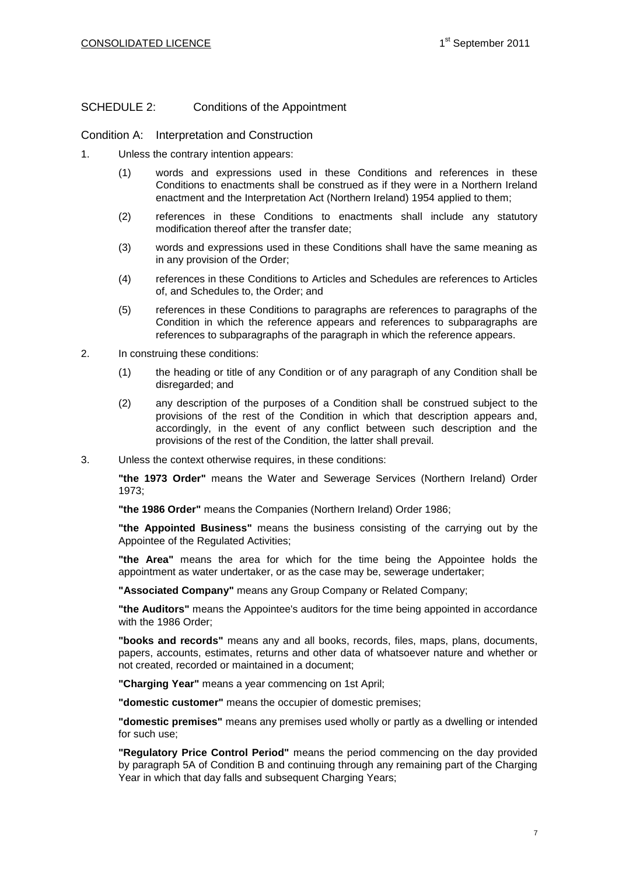## SCHEDULE 2: Conditions of the Appointment

Condition A: Interpretation and Construction

- 1. Unless the contrary intention appears:
	- (1) words and expressions used in these Conditions and references in these Conditions to enactments shall be construed as if they were in a Northern Ireland enactment and the Interpretation Act (Northern Ireland) 1954 applied to them;
	- (2) references in these Conditions to enactments shall include any statutory modification thereof after the transfer date;
	- (3) words and expressions used in these Conditions shall have the same meaning as in any provision of the Order;
	- (4) references in these Conditions to Articles and Schedules are references to Articles of, and Schedules to, the Order; and
	- (5) references in these Conditions to paragraphs are references to paragraphs of the Condition in which the reference appears and references to subparagraphs are references to subparagraphs of the paragraph in which the reference appears.
- 2. In construing these conditions:
	- (1) the heading or title of any Condition or of any paragraph of any Condition shall be disregarded; and
	- (2) any description of the purposes of a Condition shall be construed subject to the provisions of the rest of the Condition in which that description appears and, accordingly, in the event of any conflict between such description and the provisions of the rest of the Condition, the latter shall prevail.
- 3. Unless the context otherwise requires, in these conditions:

**"the 1973 Order"** means the Water and Sewerage Services (Northern Ireland) Order 1973;

**"the 1986 Order"** means the Companies (Northern Ireland) Order 1986;

**"the Appointed Business"** means the business consisting of the carrying out by the Appointee of the Regulated Activities;

**"the Area"** means the area for which for the time being the Appointee holds the appointment as water undertaker, or as the case may be, sewerage undertaker;

**"Associated Company"** means any Group Company or Related Company;

**"the Auditors"** means the Appointee's auditors for the time being appointed in accordance with the 1986 Order;

**"books and records"** means any and all books, records, files, maps, plans, documents, papers, accounts, estimates, returns and other data of whatsoever nature and whether or not created, recorded or maintained in a document;

**"Charging Year"** means a year commencing on 1st April;

**"domestic customer"** means the occupier of domestic premises;

**"domestic premises"** means any premises used wholly or partly as a dwelling or intended for such use;

**"Regulatory Price Control Period"** means the period commencing on the day provided by paragraph 5A of Condition B and continuing through any remaining part of the Charging Year in which that day falls and subsequent Charging Years;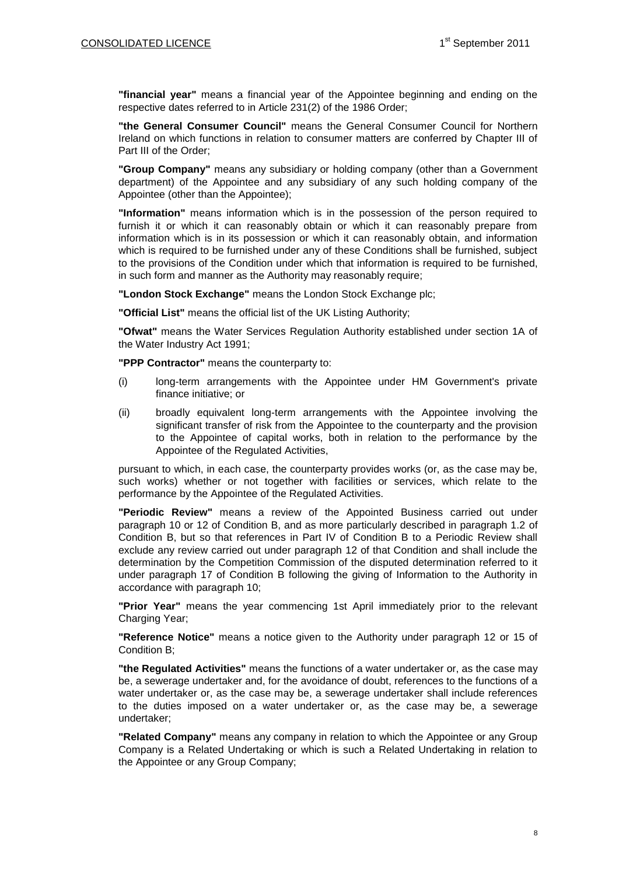**"financial year"** means a financial year of the Appointee beginning and ending on the respective dates referred to in Article 231(2) of the 1986 Order;

**"the General Consumer Council"** means the General Consumer Council for Northern Ireland on which functions in relation to consumer matters are conferred by Chapter III of Part III of the Order;

**"Group Company"** means any subsidiary or holding company (other than a Government department) of the Appointee and any subsidiary of any such holding company of the Appointee (other than the Appointee);

**"Information"** means information which is in the possession of the person required to furnish it or which it can reasonably obtain or which it can reasonably prepare from information which is in its possession or which it can reasonably obtain, and information which is required to be furnished under any of these Conditions shall be furnished, subject to the provisions of the Condition under which that information is required to be furnished, in such form and manner as the Authority may reasonably require;

**"London Stock Exchange"** means the London Stock Exchange plc;

**"Official List"** means the official list of the UK Listing Authority;

**"Ofwat"** means the Water Services Regulation Authority established under section 1A of the Water Industry Act 1991;

**"PPP Contractor"** means the counterparty to:

- (i) long-term arrangements with the Appointee under HM Government's private finance initiative; or
- (ii) broadly equivalent long-term arrangements with the Appointee involving the significant transfer of risk from the Appointee to the counterparty and the provision to the Appointee of capital works, both in relation to the performance by the Appointee of the Regulated Activities,

pursuant to which, in each case, the counterparty provides works (or, as the case may be, such works) whether or not together with facilities or services, which relate to the performance by the Appointee of the Regulated Activities.

**"Periodic Review"** means a review of the Appointed Business carried out under paragraph 10 or 12 of Condition B, and as more particularly described in paragraph 1.2 of Condition B, but so that references in Part IV of Condition B to a Periodic Review shall exclude any review carried out under paragraph 12 of that Condition and shall include the determination by the Competition Commission of the disputed determination referred to it under paragraph 17 of Condition B following the giving of Information to the Authority in accordance with paragraph 10;

**"Prior Year"** means the year commencing 1st April immediately prior to the relevant Charging Year;

**"Reference Notice"** means a notice given to the Authority under paragraph 12 or 15 of Condition B;

**"the Regulated Activities"** means the functions of a water undertaker or, as the case may be, a sewerage undertaker and, for the avoidance of doubt, references to the functions of a water undertaker or, as the case may be, a sewerage undertaker shall include references to the duties imposed on a water undertaker or, as the case may be, a sewerage undertaker;

**"Related Company"** means any company in relation to which the Appointee or any Group Company is a Related Undertaking or which is such a Related Undertaking in relation to the Appointee or any Group Company;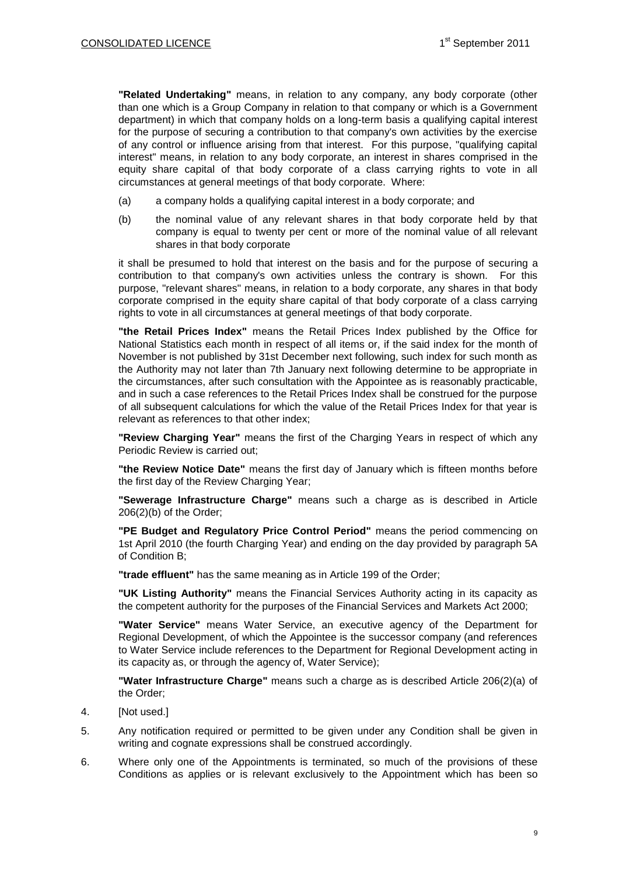**"Related Undertaking"** means, in relation to any company, any body corporate (other than one which is a Group Company in relation to that company or which is a Government department) in which that company holds on a long-term basis a qualifying capital interest for the purpose of securing a contribution to that company's own activities by the exercise of any control or influence arising from that interest. For this purpose, "qualifying capital interest" means, in relation to any body corporate, an interest in shares comprised in the equity share capital of that body corporate of a class carrying rights to vote in all circumstances at general meetings of that body corporate. Where:

- (a) a company holds a qualifying capital interest in a body corporate; and
- (b) the nominal value of any relevant shares in that body corporate held by that company is equal to twenty per cent or more of the nominal value of all relevant shares in that body corporate

it shall be presumed to hold that interest on the basis and for the purpose of securing a contribution to that company's own activities unless the contrary is shown. For this purpose, "relevant shares" means, in relation to a body corporate, any shares in that body corporate comprised in the equity share capital of that body corporate of a class carrying rights to vote in all circumstances at general meetings of that body corporate.

**"the Retail Prices Index"** means the Retail Prices Index published by the Office for National Statistics each month in respect of all items or, if the said index for the month of November is not published by 31st December next following, such index for such month as the Authority may not later than 7th January next following determine to be appropriate in the circumstances, after such consultation with the Appointee as is reasonably practicable, and in such a case references to the Retail Prices Index shall be construed for the purpose of all subsequent calculations for which the value of the Retail Prices Index for that year is relevant as references to that other index;

**"Review Charging Year"** means the first of the Charging Years in respect of which any Periodic Review is carried out;

**"the Review Notice Date"** means the first day of January which is fifteen months before the first day of the Review Charging Year;

**"Sewerage Infrastructure Charge"** means such a charge as is described in Article 206(2)(b) of the Order;

**"PE Budget and Regulatory Price Control Period"** means the period commencing on 1st April 2010 (the fourth Charging Year) and ending on the day provided by paragraph 5A of Condition B;

**"trade effluent"** has the same meaning as in Article 199 of the Order;

**"UK Listing Authority"** means the Financial Services Authority acting in its capacity as the competent authority for the purposes of the Financial Services and Markets Act 2000;

**"Water Service"** means Water Service, an executive agency of the Department for Regional Development, of which the Appointee is the successor company (and references to Water Service include references to the Department for Regional Development acting in its capacity as, or through the agency of, Water Service);

**"Water Infrastructure Charge"** means such a charge as is described Article 206(2)(a) of the Order;

- 4. [Not used.]
- 5. Any notification required or permitted to be given under any Condition shall be given in writing and cognate expressions shall be construed accordingly.
- 6. Where only one of the Appointments is terminated, so much of the provisions of these Conditions as applies or is relevant exclusively to the Appointment which has been so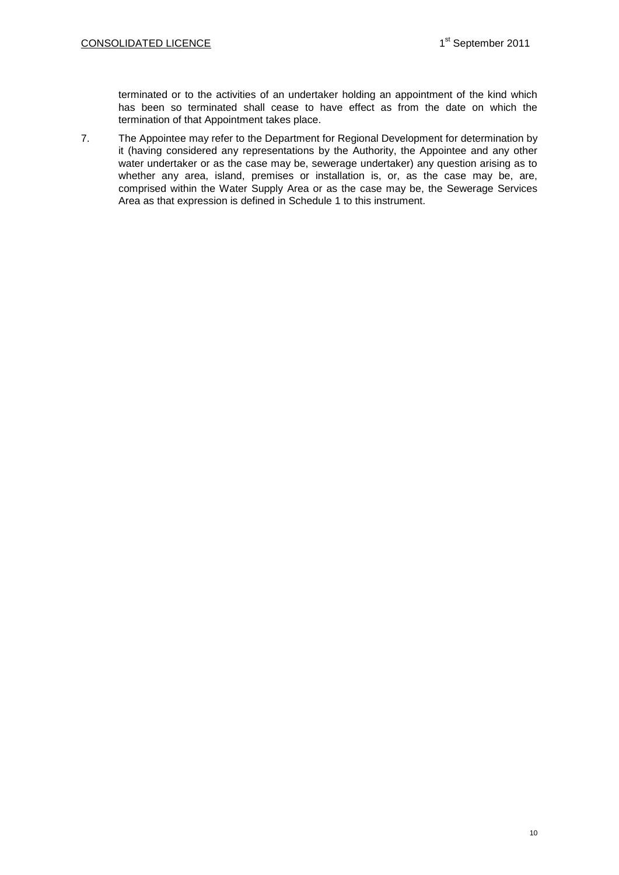terminated or to the activities of an undertaker holding an appointment of the kind which has been so terminated shall cease to have effect as from the date on which the termination of that Appointment takes place.

7. The Appointee may refer to the Department for Regional Development for determination by it (having considered any representations by the Authority, the Appointee and any other water undertaker or as the case may be, sewerage undertaker) any question arising as to whether any area, island, premises or installation is, or, as the case may be, are, comprised within the Water Supply Area or as the case may be, the Sewerage Services Area as that expression is defined in Schedule 1 to this instrument.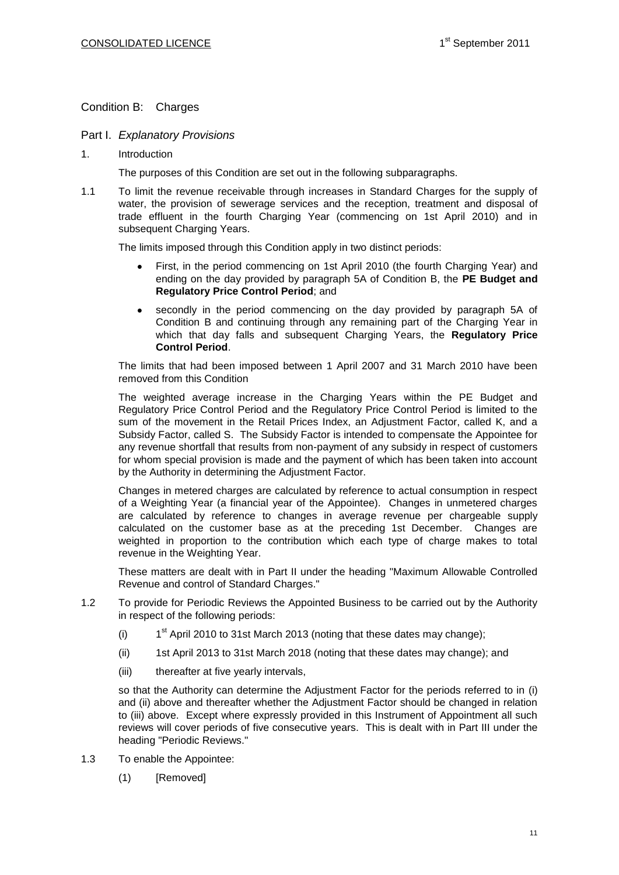## Condition B: Charges

### Part I. *Explanatory Provisions*

1. Introduction

The purposes of this Condition are set out in the following subparagraphs.

1.1 To limit the revenue receivable through increases in Standard Charges for the supply of water, the provision of sewerage services and the reception, treatment and disposal of trade effluent in the fourth Charging Year (commencing on 1st April 2010) and in subsequent Charging Years.

The limits imposed through this Condition apply in two distinct periods:

- First, in the period commencing on 1st April 2010 (the fourth Charging Year) and ending on the day provided by paragraph 5A of Condition B, the **PE Budget and Regulatory Price Control Period**; and
- secondly in the period commencing on the day provided by paragraph 5A of  $\bullet$ Condition B and continuing through any remaining part of the Charging Year in which that day falls and subsequent Charging Years, the **Regulatory Price Control Period**.

The limits that had been imposed between 1 April 2007 and 31 March 2010 have been removed from this Condition

The weighted average increase in the Charging Years within the PE Budget and Regulatory Price Control Period and the Regulatory Price Control Period is limited to the sum of the movement in the Retail Prices Index, an Adjustment Factor, called K, and a Subsidy Factor, called S. The Subsidy Factor is intended to compensate the Appointee for any revenue shortfall that results from non-payment of any subsidy in respect of customers for whom special provision is made and the payment of which has been taken into account by the Authority in determining the Adjustment Factor.

Changes in metered charges are calculated by reference to actual consumption in respect of a Weighting Year (a financial year of the Appointee). Changes in unmetered charges are calculated by reference to changes in average revenue per chargeable supply calculated on the customer base as at the preceding 1st December. Changes are weighted in proportion to the contribution which each type of charge makes to total revenue in the Weighting Year.

These matters are dealt with in Part II under the heading "Maximum Allowable Controlled Revenue and control of Standard Charges."

- 1.2 To provide for Periodic Reviews the Appointed Business to be carried out by the Authority in respect of the following periods:
	- $(i)$  $1<sup>st</sup>$  April 2010 to 31st March 2013 (noting that these dates may change);
	- (ii) 1st April 2013 to 31st March 2018 (noting that these dates may change); and
	- (iii) thereafter at five yearly intervals,

so that the Authority can determine the Adjustment Factor for the periods referred to in (i) and (ii) above and thereafter whether the Adjustment Factor should be changed in relation to (iii) above. Except where expressly provided in this Instrument of Appointment all such reviews will cover periods of five consecutive years. This is dealt with in Part III under the heading "Periodic Reviews."

- 1.3 To enable the Appointee:
	- (1) [Removed]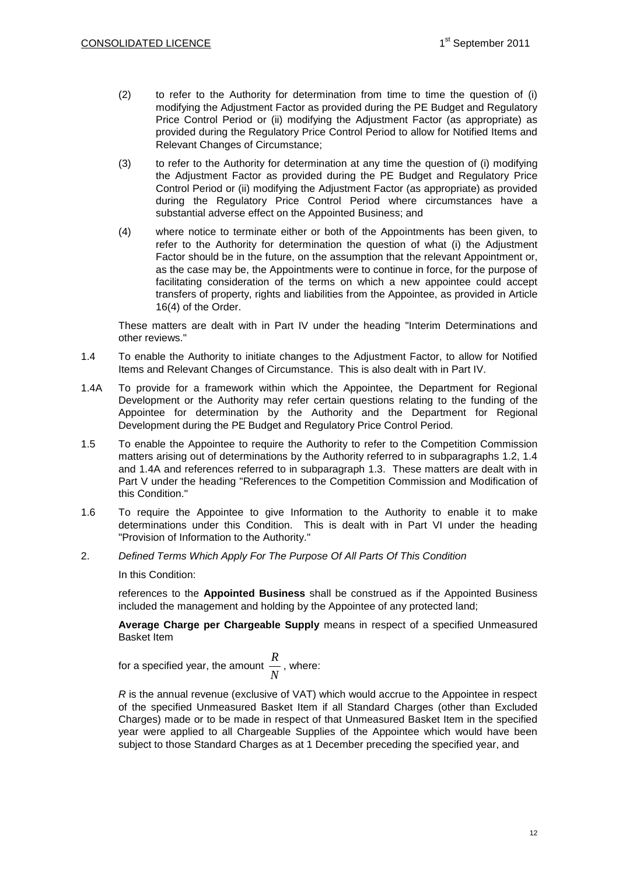- (2) to refer to the Authority for determination from time to time the question of (i) modifying the Adjustment Factor as provided during the PE Budget and Regulatory Price Control Period or (ii) modifying the Adjustment Factor (as appropriate) as provided during the Regulatory Price Control Period to allow for Notified Items and Relevant Changes of Circumstance;
- (3) to refer to the Authority for determination at any time the question of (i) modifying the Adjustment Factor as provided during the PE Budget and Regulatory Price Control Period or (ii) modifying the Adjustment Factor (as appropriate) as provided during the Regulatory Price Control Period where circumstances have a substantial adverse effect on the Appointed Business; and
- (4) where notice to terminate either or both of the Appointments has been given, to refer to the Authority for determination the question of what (i) the Adjustment Factor should be in the future, on the assumption that the relevant Appointment or, as the case may be, the Appointments were to continue in force, for the purpose of facilitating consideration of the terms on which a new appointee could accept transfers of property, rights and liabilities from the Appointee, as provided in Article 16(4) of the Order.

These matters are dealt with in Part IV under the heading "Interim Determinations and other reviews."

- 1.4 To enable the Authority to initiate changes to the Adjustment Factor, to allow for Notified Items and Relevant Changes of Circumstance. This is also dealt with in Part IV.
- 1.4A To provide for a framework within which the Appointee, the Department for Regional Development or the Authority may refer certain questions relating to the funding of the Appointee for determination by the Authority and the Department for Regional Development during the PE Budget and Regulatory Price Control Period.
- 1.5 To enable the Appointee to require the Authority to refer to the Competition Commission matters arising out of determinations by the Authority referred to in subparagraphs 1.2, 1.4 and 1.4A and references referred to in subparagraph 1.3. These matters are dealt with in Part V under the heading "References to the Competition Commission and Modification of this Condition."
- 1.6 To require the Appointee to give Information to the Authority to enable it to make determinations under this Condition. This is dealt with in Part VI under the heading "Provision of Information to the Authority."
- 2. *Defined Terms Which Apply For The Purpose Of All Parts Of This Condition*

In this Condition:

references to the **Appointed Business** shall be construed as if the Appointed Business included the management and holding by the Appointee of any protected land;

**Average Charge per Chargeable Supply** means in respect of a specified Unmeasured Basket Item

for a specified year, the amount 
$$
\frac{R}{N}
$$
, where:

*R* is the annual revenue (exclusive of VAT) which would accrue to the Appointee in respect of the specified Unmeasured Basket Item if all Standard Charges (other than Excluded Charges) made or to be made in respect of that Unmeasured Basket Item in the specified year were applied to all Chargeable Supplies of the Appointee which would have been subject to those Standard Charges as at 1 December preceding the specified year, and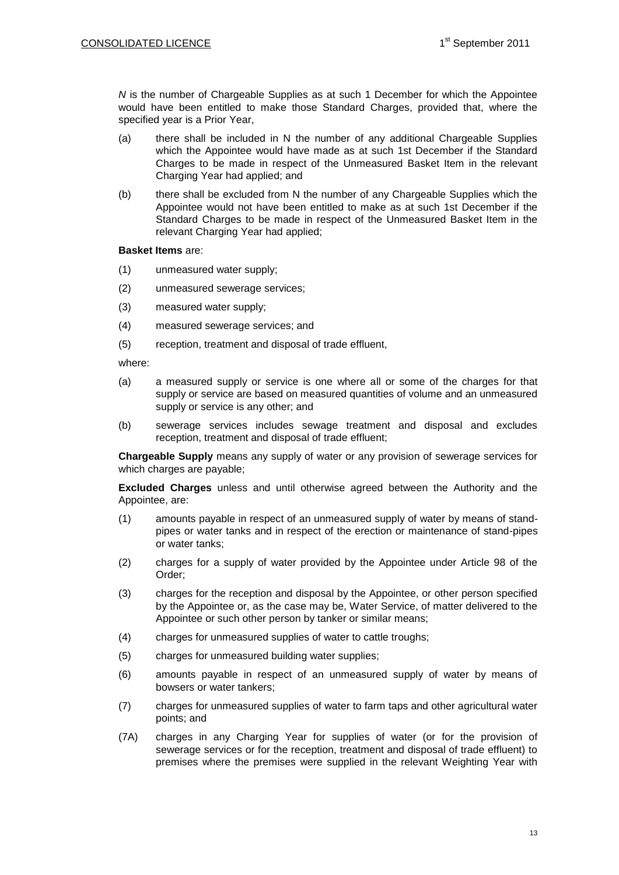*N* is the number of Chargeable Supplies as at such 1 December for which the Appointee would have been entitled to make those Standard Charges, provided that, where the specified year is a Prior Year,

- (a) there shall be included in N the number of any additional Chargeable Supplies which the Appointee would have made as at such 1st December if the Standard Charges to be made in respect of the Unmeasured Basket Item in the relevant Charging Year had applied; and
- (b) there shall be excluded from N the number of any Chargeable Supplies which the Appointee would not have been entitled to make as at such 1st December if the Standard Charges to be made in respect of the Unmeasured Basket Item in the relevant Charging Year had applied;

#### **Basket Items** are:

- (1) unmeasured water supply;
- (2) unmeasured sewerage services;
- (3) measured water supply;
- (4) measured sewerage services; and
- (5) reception, treatment and disposal of trade effluent,

where:

- (a) a measured supply or service is one where all or some of the charges for that supply or service are based on measured quantities of volume and an unmeasured supply or service is any other; and
- (b) sewerage services includes sewage treatment and disposal and excludes reception, treatment and disposal of trade effluent;

**Chargeable Supply** means any supply of water or any provision of sewerage services for which charges are payable;

**Excluded Charges** unless and until otherwise agreed between the Authority and the Appointee, are:

- (1) amounts payable in respect of an unmeasured supply of water by means of standpipes or water tanks and in respect of the erection or maintenance of stand-pipes or water tanks;
- (2) charges for a supply of water provided by the Appointee under Article 98 of the Order;
- (3) charges for the reception and disposal by the Appointee, or other person specified by the Appointee or, as the case may be, Water Service, of matter delivered to the Appointee or such other person by tanker or similar means;
- (4) charges for unmeasured supplies of water to cattle troughs;
- (5) charges for unmeasured building water supplies;
- (6) amounts payable in respect of an unmeasured supply of water by means of bowsers or water tankers;
- (7) charges for unmeasured supplies of water to farm taps and other agricultural water points; and
- (7A) charges in any Charging Year for supplies of water (or for the provision of sewerage services or for the reception, treatment and disposal of trade effluent) to premises where the premises were supplied in the relevant Weighting Year with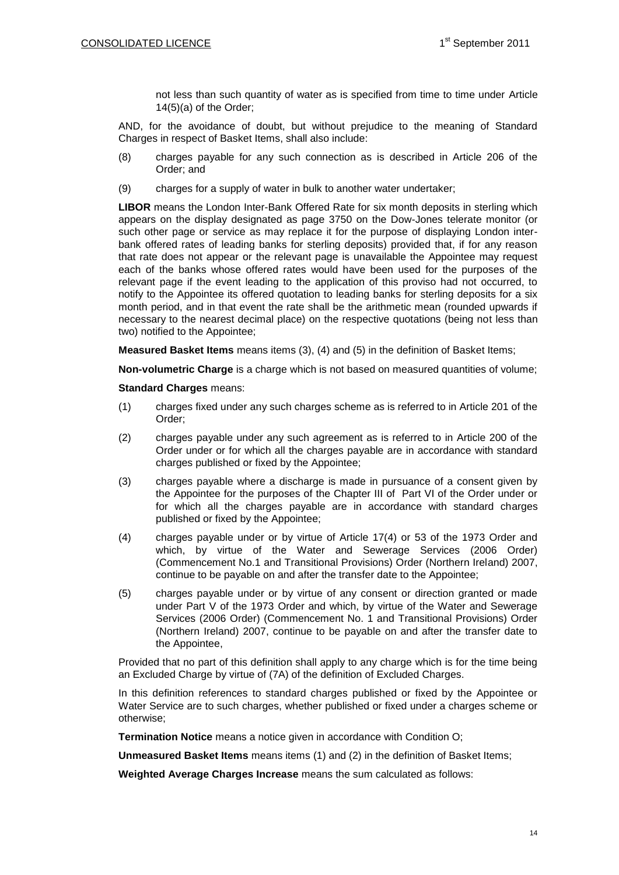not less than such quantity of water as is specified from time to time under Article 14(5)(a) of the Order;

AND, for the avoidance of doubt, but without prejudice to the meaning of Standard Charges in respect of Basket Items, shall also include:

- (8) charges payable for any such connection as is described in Article 206 of the Order; and
- (9) charges for a supply of water in bulk to another water undertaker;

**LIBOR** means the London Inter-Bank Offered Rate for six month deposits in sterling which appears on the display designated as page 3750 on the Dow-Jones telerate monitor (or such other page or service as may replace it for the purpose of displaying London interbank offered rates of leading banks for sterling deposits) provided that, if for any reason that rate does not appear or the relevant page is unavailable the Appointee may request each of the banks whose offered rates would have been used for the purposes of the relevant page if the event leading to the application of this proviso had not occurred, to notify to the Appointee its offered quotation to leading banks for sterling deposits for a six month period, and in that event the rate shall be the arithmetic mean (rounded upwards if necessary to the nearest decimal place) on the respective quotations (being not less than two) notified to the Appointee;

**Measured Basket Items** means items (3), (4) and (5) in the definition of Basket Items;

**Non-volumetric Charge** is a charge which is not based on measured quantities of volume;

**Standard Charges** means:

- (1) charges fixed under any such charges scheme as is referred to in Article 201 of the Order;
- (2) charges payable under any such agreement as is referred to in Article 200 of the Order under or for which all the charges payable are in accordance with standard charges published or fixed by the Appointee;
- (3) charges payable where a discharge is made in pursuance of a consent given by the Appointee for the purposes of the Chapter III of Part VI of the Order under or for which all the charges payable are in accordance with standard charges published or fixed by the Appointee;
- (4) charges payable under or by virtue of Article 17(4) or 53 of the 1973 Order and which, by virtue of the Water and Sewerage Services (2006 Order) (Commencement No.1 and Transitional Provisions) Order (Northern Ireland) 2007, continue to be payable on and after the transfer date to the Appointee;
- (5) charges payable under or by virtue of any consent or direction granted or made under Part V of the 1973 Order and which, by virtue of the Water and Sewerage Services (2006 Order) (Commencement No. 1 and Transitional Provisions) Order (Northern Ireland) 2007, continue to be payable on and after the transfer date to the Appointee,

Provided that no part of this definition shall apply to any charge which is for the time being an Excluded Charge by virtue of (7A) of the definition of Excluded Charges.

In this definition references to standard charges published or fixed by the Appointee or Water Service are to such charges, whether published or fixed under a charges scheme or otherwise;

**Termination Notice** means a notice given in accordance with Condition O;

**Unmeasured Basket Items** means items (1) and (2) in the definition of Basket Items;

**Weighted Average Charges Increase** means the sum calculated as follows: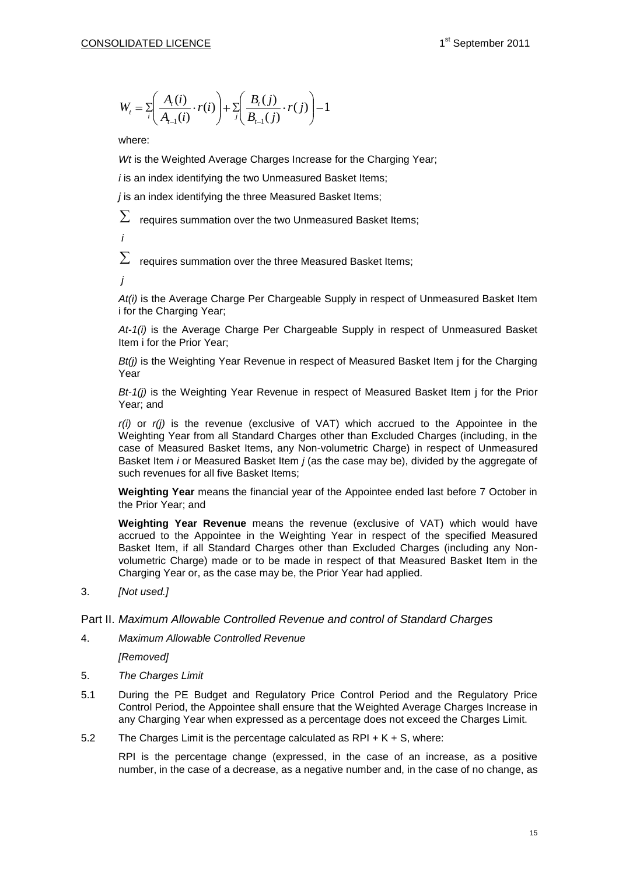$$
W_{t} = \sum_{i} \left( \frac{A_{i}(i)}{A_{t-1}(i)} \cdot r(i) \right) + \sum_{j} \left( \frac{B_{i}(j)}{B_{t-1}(j)} \cdot r(j) \right) - 1
$$

where:

*Wt* is the Weighted Average Charges Increase for the Charging Year;

*i* is an index identifying the two Unmeasured Basket Items;

*j* is an index identifying the three Measured Basket Items;

 $\sum$ requires summation over the two Unmeasured Basket Items;

*i*

Σ requires summation over the three Measured Basket Items;

*j*

*At(i)* is the Average Charge Per Chargeable Supply in respect of Unmeasured Basket Item i for the Charging Year;

*At-1(i)* is the Average Charge Per Chargeable Supply in respect of Unmeasured Basket Item i for the Prior Year;

*Bt(j)* is the Weighting Year Revenue in respect of Measured Basket Item j for the Charging Year

*Bt-1(j)* is the Weighting Year Revenue in respect of Measured Basket Item j for the Prior Year; and

*r(i)* or *r(j)* is the revenue (exclusive of VAT) which accrued to the Appointee in the Weighting Year from all Standard Charges other than Excluded Charges (including, in the case of Measured Basket Items, any Non-volumetric Charge) in respect of Unmeasured Basket Item *i* or Measured Basket Item *j* (as the case may be), divided by the aggregate of such revenues for all five Basket Items;

**Weighting Year** means the financial year of the Appointee ended last before 7 October in the Prior Year; and

( $j$ )  $|-1$ <br>Increase for the Charging Year;<br>Issued Basket Items;<br>Issued Basket Items;<br>Inmeasured Basket Items;<br>Poles and Basket Items;<br>Poles Supply in respect of Unmeasured Basket Item<br>argeable Supply in respect of Unmeasu **Weighting Year Revenue** means the revenue (exclusive of VAT) which would have accrued to the Appointee in the Weighting Year in respect of the specified Measured Basket Item, if all Standard Charges other than Excluded Charges (including any Nonvolumetric Charge) made or to be made in respect of that Measured Basket Item in the Charging Year or, as the case may be, the Prior Year had applied.

3. *[Not used.]*

#### Part II. *Maximum Allowable Controlled Revenue and control of Standard Charges*

4. *Maximum Allowable Controlled Revenue*

*[Removed]*

- 5. *The Charges Limit*
- 5.1 During the PE Budget and Regulatory Price Control Period and the Regulatory Price Control Period, the Appointee shall ensure that the Weighted Average Charges Increase in any Charging Year when expressed as a percentage does not exceed the Charges Limit.
- 5.2 The Charges Limit is the percentage calculated as RPI  $+ K + S$ , where:

RPI is the percentage change (expressed, in the case of an increase, as a positive number, in the case of a decrease, as a negative number and, in the case of no change, as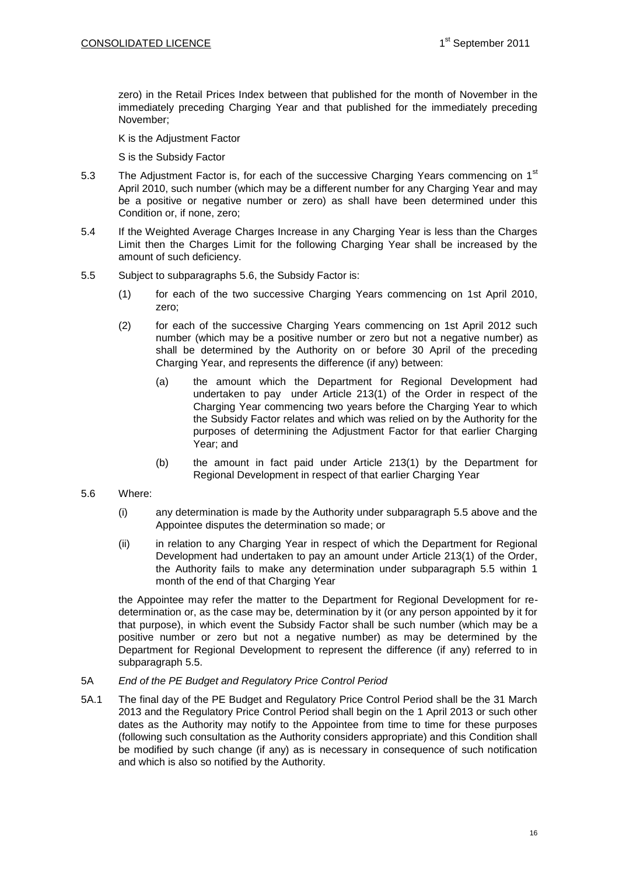zero) in the Retail Prices Index between that published for the month of November in the immediately preceding Charging Year and that published for the immediately preceding November;

K is the Adjustment Factor

S is the Subsidy Factor

- 5.3 The Adjustment Factor is, for each of the successive Charging Years commencing on 1<sup>st</sup> April 2010, such number (which may be a different number for any Charging Year and may be a positive or negative number or zero) as shall have been determined under this Condition or, if none, zero;
- 5.4 If the Weighted Average Charges Increase in any Charging Year is less than the Charges Limit then the Charges Limit for the following Charging Year shall be increased by the amount of such deficiency.
- 5.5 Subject to subparagraphs 5.6, the Subsidy Factor is:
	- (1) for each of the two successive Charging Years commencing on 1st April 2010, zero;
	- (2) for each of the successive Charging Years commencing on 1st April 2012 such number (which may be a positive number or zero but not a negative number) as shall be determined by the Authority on or before 30 April of the preceding Charging Year, and represents the difference (if any) between:
		- (a) the amount which the Department for Regional Development had undertaken to pay under Article 213(1) of the Order in respect of the Charging Year commencing two years before the Charging Year to which the Subsidy Factor relates and which was relied on by the Authority for the purposes of determining the Adjustment Factor for that earlier Charging Year; and
		- (b) the amount in fact paid under Article 213(1) by the Department for Regional Development in respect of that earlier Charging Year

### 5.6 Where:

- (i) any determination is made by the Authority under subparagraph 5.5 above and the Appointee disputes the determination so made; or
- (ii) in relation to any Charging Year in respect of which the Department for Regional Development had undertaken to pay an amount under Article 213(1) of the Order, the Authority fails to make any determination under subparagraph 5.5 within 1 month of the end of that Charging Year

the Appointee may refer the matter to the Department for Regional Development for redetermination or, as the case may be, determination by it (or any person appointed by it for that purpose), in which event the Subsidy Factor shall be such number (which may be a positive number or zero but not a negative number) as may be determined by the Department for Regional Development to represent the difference (if any) referred to in subparagraph 5.5.

#### 5A *End of the PE Budget and Regulatory Price Control Period*

5A.1 The final day of the PE Budget and Regulatory Price Control Period shall be the 31 March 2013 and the Regulatory Price Control Period shall begin on the 1 April 2013 or such other dates as the Authority may notify to the Appointee from time to time for these purposes (following such consultation as the Authority considers appropriate) and this Condition shall be modified by such change (if any) as is necessary in consequence of such notification and which is also so notified by the Authority.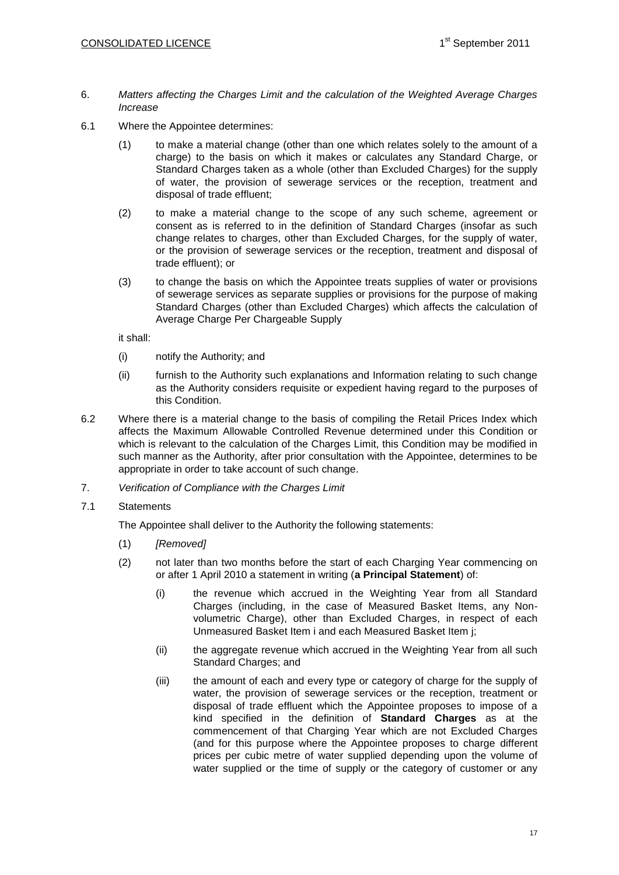- 6. *Matters affecting the Charges Limit and the calculation of the Weighted Average Charges Increase*
- 6.1 Where the Appointee determines:
	- (1) to make a material change (other than one which relates solely to the amount of a charge) to the basis on which it makes or calculates any Standard Charge, or Standard Charges taken as a whole (other than Excluded Charges) for the supply of water, the provision of sewerage services or the reception, treatment and disposal of trade effluent;
	- (2) to make a material change to the scope of any such scheme, agreement or consent as is referred to in the definition of Standard Charges (insofar as such change relates to charges, other than Excluded Charges, for the supply of water, or the provision of sewerage services or the reception, treatment and disposal of trade effluent); or
	- (3) to change the basis on which the Appointee treats supplies of water or provisions of sewerage services as separate supplies or provisions for the purpose of making Standard Charges (other than Excluded Charges) which affects the calculation of Average Charge Per Chargeable Supply

it shall:

- (i) notify the Authority; and
- (ii) furnish to the Authority such explanations and Information relating to such change as the Authority considers requisite or expedient having regard to the purposes of this Condition.
- 6.2 Where there is a material change to the basis of compiling the Retail Prices Index which affects the Maximum Allowable Controlled Revenue determined under this Condition or which is relevant to the calculation of the Charges Limit, this Condition may be modified in such manner as the Authority, after prior consultation with the Appointee, determines to be appropriate in order to take account of such change.
- 7. *Verification of Compliance with the Charges Limit*
- 7.1 Statements

The Appointee shall deliver to the Authority the following statements:

- (1) *[Removed]*
- (2) not later than two months before the start of each Charging Year commencing on or after 1 April 2010 a statement in writing (**a Principal Statement**) of:
	- (i) the revenue which accrued in the Weighting Year from all Standard Charges (including, in the case of Measured Basket Items, any Nonvolumetric Charge), other than Excluded Charges, in respect of each Unmeasured Basket Item i and each Measured Basket Item j;
	- (ii) the aggregate revenue which accrued in the Weighting Year from all such Standard Charges; and
	- (iii) the amount of each and every type or category of charge for the supply of water, the provision of sewerage services or the reception, treatment or disposal of trade effluent which the Appointee proposes to impose of a kind specified in the definition of **Standard Charges** as at the commencement of that Charging Year which are not Excluded Charges (and for this purpose where the Appointee proposes to charge different prices per cubic metre of water supplied depending upon the volume of water supplied or the time of supply or the category of customer or any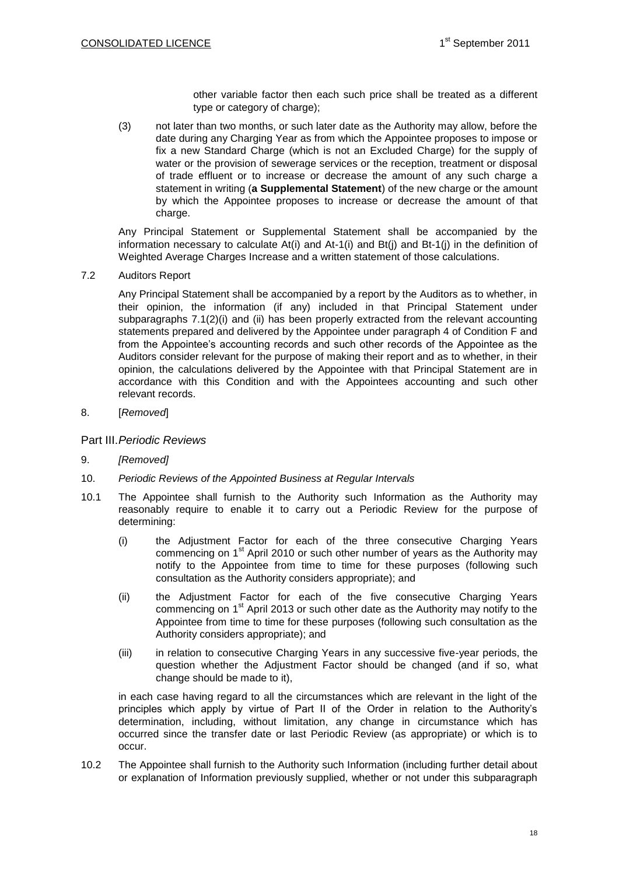other variable factor then each such price shall be treated as a different type or category of charge);

(3) not later than two months, or such later date as the Authority may allow, before the date during any Charging Year as from which the Appointee proposes to impose or fix a new Standard Charge (which is not an Excluded Charge) for the supply of water or the provision of sewerage services or the reception, treatment or disposal of trade effluent or to increase or decrease the amount of any such charge a statement in writing (**a Supplemental Statement**) of the new charge or the amount by which the Appointee proposes to increase or decrease the amount of that charge.

Any Principal Statement or Supplemental Statement shall be accompanied by the information necessary to calculate  $At(i)$  and  $At-1(i)$  and  $Bt(i)$  and  $Bt-1(i)$  in the definition of Weighted Average Charges Increase and a written statement of those calculations.

7.2 Auditors Report

Any Principal Statement shall be accompanied by a report by the Auditors as to whether, in their opinion, the information (if any) included in that Principal Statement under subparagraphs 7.1(2)(i) and (ii) has been properly extracted from the relevant accounting statements prepared and delivered by the Appointee under paragraph 4 of Condition F and from the Appointee's accounting records and such other records of the Appointee as the Auditors consider relevant for the purpose of making their report and as to whether, in their opinion, the calculations delivered by the Appointee with that Principal Statement are in accordance with this Condition and with the Appointees accounting and such other relevant records.

8. [*Removed*]

Part III.*Periodic Reviews*

- 9. *[Removed]*
- 10. *Periodic Reviews of the Appointed Business at Regular Intervals*
- 10.1 The Appointee shall furnish to the Authority such Information as the Authority may reasonably require to enable it to carry out a Periodic Review for the purpose of determining:
	- (i) the Adjustment Factor for each of the three consecutive Charging Years commencing on 1<sup>st</sup> April 2010 or such other number of years as the Authority may notify to the Appointee from time to time for these purposes (following such consultation as the Authority considers appropriate); and
	- (ii) the Adjustment Factor for each of the five consecutive Charging Years commencing on  $1<sup>st</sup>$  April 2013 or such other date as the Authority may notify to the Appointee from time to time for these purposes (following such consultation as the Authority considers appropriate); and
	- (iii) in relation to consecutive Charging Years in any successive five-year periods, the question whether the Adjustment Factor should be changed (and if so, what change should be made to it),

in each case having regard to all the circumstances which are relevant in the light of the principles which apply by virtue of Part II of the Order in relation to the Authority's determination, including, without limitation, any change in circumstance which has occurred since the transfer date or last Periodic Review (as appropriate) or which is to occur.

10.2 The Appointee shall furnish to the Authority such Information (including further detail about or explanation of Information previously supplied, whether or not under this subparagraph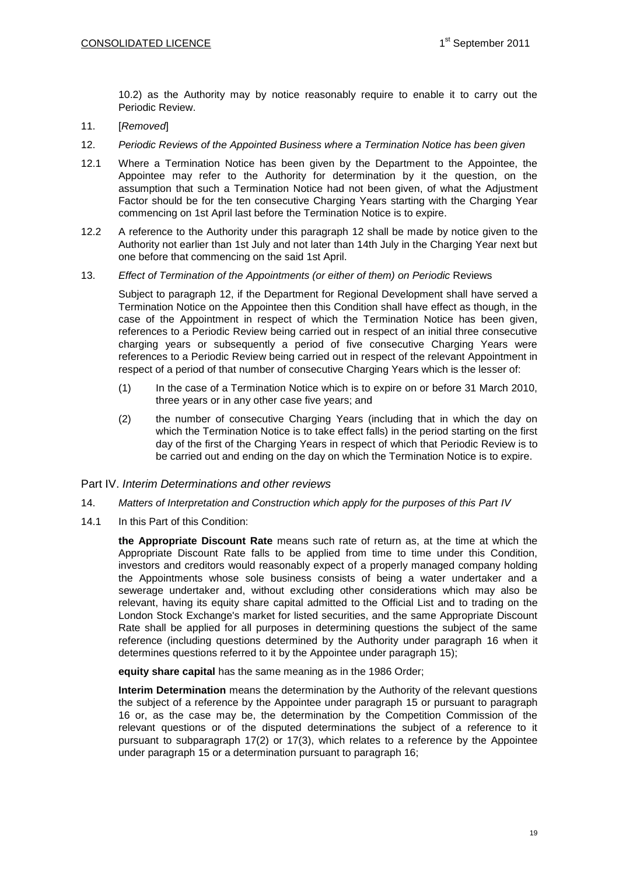10.2) as the Authority may by notice reasonably require to enable it to carry out the Periodic Review.

- 11. [*Removed*]
- <span id="page-18-0"></span>12. *Periodic Reviews of the Appointed Business where a Termination Notice has been given*
- 12.1 Where a Termination Notice has been given by the Department to the Appointee, the Appointee may refer to the Authority for determination by it the question, on the assumption that such a Termination Notice had not been given, of what the Adjustment Factor should be for the ten consecutive Charging Years starting with the Charging Year commencing on 1st April last before the Termination Notice is to expire.
- 12.2 A reference to the Authority under this paragraph [12](#page-18-0) shall be made by notice given to the Authority not earlier than 1st July and not later than 14th July in the Charging Year next but one before that commencing on the said 1st April.
- 13. *Effect of Termination of the Appointments (or either of them) on Periodic* Reviews

Subject to paragraph [12,](#page-18-0) if the Department for Regional Development shall have served a Termination Notice on the Appointee then this Condition shall have effect as though, in the case of the Appointment in respect of which the Termination Notice has been given, references to a Periodic Review being carried out in respect of an initial three consecutive charging years or subsequently a period of five consecutive Charging Years were references to a Periodic Review being carried out in respect of the relevant Appointment in respect of a period of that number of consecutive Charging Years which is the lesser of:

- (1) In the case of a Termination Notice which is to expire on or before 31 March 2010, three years or in any other case five years; and
- (2) the number of consecutive Charging Years (including that in which the day on which the Termination Notice is to take effect falls) in the period starting on the first day of the first of the Charging Years in respect of which that Periodic Review is to be carried out and ending on the day on which the Termination Notice is to expire.

### Part IV. *Interim Determinations and other reviews*

- 14. *Matters of Interpretation and Construction which apply for the purposes of this Part IV*
- 14.1 In this Part of this Condition:

**the Appropriate Discount Rate** means such rate of return as, at the time at which the Appropriate Discount Rate falls to be applied from time to time under this Condition, investors and creditors would reasonably expect of a properly managed company holding the Appointments whose sole business consists of being a water undertaker and a sewerage undertaker and, without excluding other considerations which may also be relevant, having its equity share capital admitted to the Official List and to trading on the London Stock Exchange's market for listed securities, and the same Appropriate Discount Rate shall be applied for all purposes in determining questions the subject of the same reference (including questions determined by the Authority under paragraph [16](#page-30-0) when it determines questions referred to it by the Appointee under paragraph [15\)](#page-25-0);

**equity share capital** has the same meaning as in the 1986 Order;

**Interim Determination** means the determination by the Authority of the relevant questions the subject of a reference by the Appointee under paragraph [15](#page-25-0) or pursuant to paragraph [16](#page-30-0) or, as the case may be, the determination by the Competition Commission of the relevant questions or of the disputed determinations the subject of a reference to it pursuant to subparagraph 17(2) or 17(3), which relates to a reference by the Appointee under paragraph 15 or a determination pursuant to paragraph 16;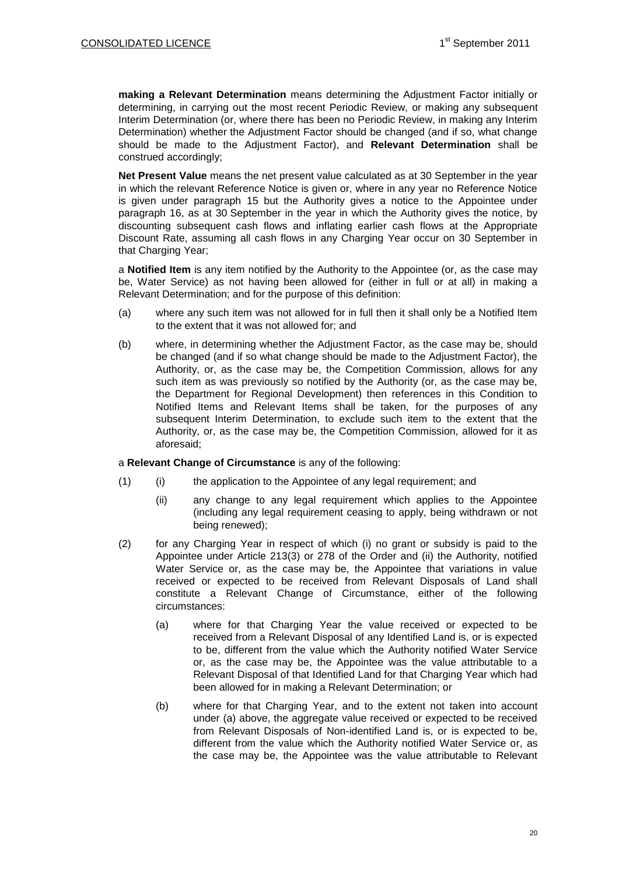**making a Relevant Determination** means determining the Adjustment Factor initially or determining, in carrying out the most recent Periodic Review, or making any subsequent Interim Determination (or, where there has been no Periodic Review, in making any Interim Determination) whether the Adjustment Factor should be changed (and if so, what change should be made to the Adjustment Factor), and **Relevant Determination** shall be construed accordingly;

**Net Present Value** means the net present value calculated as at 30 September in the year in which the relevant Reference Notice is given or, where in any year no Reference Notice is given under paragraph [15](#page-25-0) but the Authority gives a notice to the Appointee under paragraph [16,](#page-30-0) as at 30 September in the year in which the Authority gives the notice, by discounting subsequent cash flows and inflating earlier cash flows at the Appropriate Discount Rate, assuming all cash flows in any Charging Year occur on 30 September in that Charging Year;

a **Notified Item** is any item notified by the Authority to the Appointee (or, as the case may be, Water Service) as not having been allowed for (either in full or at all) in making a Relevant Determination; and for the purpose of this definition:

- (a) where any such item was not allowed for in full then it shall only be a Notified Item to the extent that it was not allowed for; and
- (b) where, in determining whether the Adjustment Factor, as the case may be, should be changed (and if so what change should be made to the Adjustment Factor), the Authority, or, as the case may be, the Competition Commission, allows for any such item as was previously so notified by the Authority (or, as the case may be, the Department for Regional Development) then references in this Condition to Notified Items and Relevant Items shall be taken, for the purposes of any subsequent Interim Determination, to exclude such item to the extent that the Authority, or, as the case may be, the Competition Commission, allowed for it as aforesaid;

#### a **Relevant Change of Circumstance** is any of the following:

- (1) (i) the application to the Appointee of any legal requirement; and
	- (ii) any change to any legal requirement which applies to the Appointee (including any legal requirement ceasing to apply, being withdrawn or not being renewed);
- (2) for any Charging Year in respect of which (i) no grant or subsidy is paid to the Appointee under Article 213(3) or 278 of the Order and (ii) the Authority, notified Water Service or, as the case may be, the Appointee that variations in value received or expected to be received from Relevant Disposals of Land shall constitute a Relevant Change of Circumstance, either of the following circumstances:
	- (a) where for that Charging Year the value received or expected to be received from a Relevant Disposal of any Identified Land is, or is expected to be, different from the value which the Authority notified Water Service or, as the case may be, the Appointee was the value attributable to a Relevant Disposal of that Identified Land for that Charging Year which had been allowed for in making a Relevant Determination; or
	- (b) where for that Charging Year, and to the extent not taken into account under (a) above, the aggregate value received or expected to be received from Relevant Disposals of Non-identified Land is, or is expected to be, different from the value which the Authority notified Water Service or, as the case may be, the Appointee was the value attributable to Relevant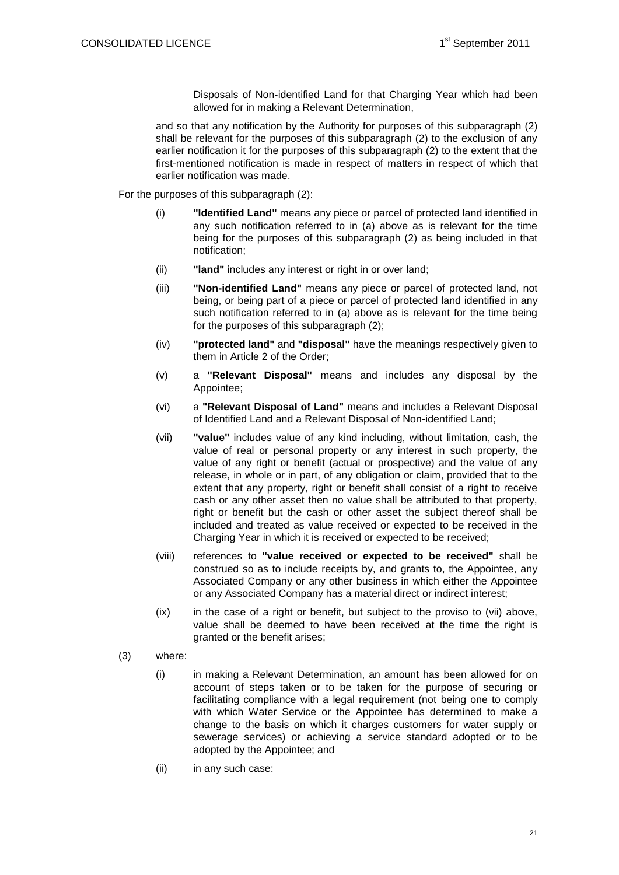Disposals of Non-identified Land for that Charging Year which had been allowed for in making a Relevant Determination,

and so that any notification by the Authority for purposes of this subparagraph (2) shall be relevant for the purposes of this subparagraph (2) to the exclusion of any earlier notification it for the purposes of this subparagraph (2) to the extent that the first-mentioned notification is made in respect of matters in respect of which that earlier notification was made.

For the purposes of this subparagraph (2):

- (i) **"Identified Land"** means any piece or parcel of protected land identified in any such notification referred to in (a) above as is relevant for the time being for the purposes of this subparagraph (2) as being included in that notification;
- (ii) **"land"** includes any interest or right in or over land;
- (iii) **"Non-identified Land"** means any piece or parcel of protected land, not being, or being part of a piece or parcel of protected land identified in any such notification referred to in (a) above as is relevant for the time being for the purposes of this subparagraph (2);
- (iv) **"protected land"** and **"disposal"** have the meanings respectively given to them in Article 2 of the Order;
- (v) a **"Relevant Disposal"** means and includes any disposal by the Appointee;
- (vi) a **"Relevant Disposal of Land"** means and includes a Relevant Disposal of Identified Land and a Relevant Disposal of Non-identified Land;
- (vii) **"value"** includes value of any kind including, without limitation, cash, the value of real or personal property or any interest in such property, the value of any right or benefit (actual or prospective) and the value of any release, in whole or in part, of any obligation or claim, provided that to the extent that any property, right or benefit shall consist of a right to receive cash or any other asset then no value shall be attributed to that property, right or benefit but the cash or other asset the subject thereof shall be included and treated as value received or expected to be received in the Charging Year in which it is received or expected to be received;
- (viii) references to **"value received or expected to be received"** shall be construed so as to include receipts by, and grants to, the Appointee, any Associated Company or any other business in which either the Appointee or any Associated Company has a material direct or indirect interest;
- (ix) in the case of a right or benefit, but subject to the proviso to (vii) above, value shall be deemed to have been received at the time the right is granted or the benefit arises;
- <span id="page-20-0"></span>(3) where:
	- (i) in making a Relevant Determination, an amount has been allowed for on account of steps taken or to be taken for the purpose of securing or facilitating compliance with a legal requirement (not being one to comply with which Water Service or the Appointee has determined to make a change to the basis on which it charges customers for water supply or sewerage services) or achieving a service standard adopted or to be adopted by the Appointee; and
	- (ii) in any such case: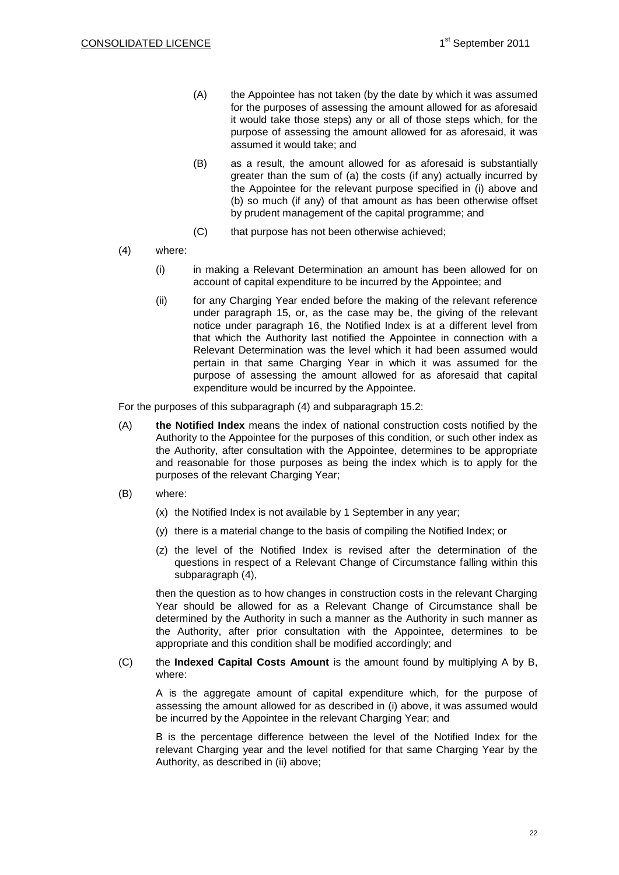- (A) the Appointee has not taken (by the date by which it was assumed for the purposes of assessing the amount allowed for as aforesaid it would take those steps) any or all of those steps which, for the purpose of assessing the amount allowed for as aforesaid, it was assumed it would take; and
- (B) as a result, the amount allowed for as aforesaid is substantially greater than the sum of (a) the costs (if any) actually incurred by the Appointee for the relevant purpose specified in [\(i\) above](#page-20-0) and (b) so much (if any) of that amount as has been otherwise offset by prudent management of the capital programme; and
- (C) that purpose has not been otherwise achieved;
- <span id="page-21-2"></span><span id="page-21-1"></span><span id="page-21-0"></span>(4) where:
	- (i) in making a Relevant Determination an amount has been allowed for on account of capital expenditure to be incurred by the Appointee; and
	- (ii) for any Charging Year ended before the making of the relevant reference under paragraph [15,](#page-25-0) or, as the case may be, the giving of the relevant notice under paragraph [16,](#page-30-0) the Notified Index is at a different level from that which the Authority last notified the Appointee in connection with a Relevant Determination was the level which it had been assumed would pertain in that same Charging Year in which it was assumed for the purpose of assessing the amount allowed for as aforesaid that capital expenditure would be incurred by the Appointee.

For the purposes of this subparagraph [\(4\)](#page-27-0) and subparagraph [15.2:](#page-26-0)

- (A) **the Notified Index** means the index of national construction costs notified by the Authority to the Appointee for the purposes of this condition, or such other index as the Authority, after consultation with the Appointee, determines to be appropriate and reasonable for those purposes as being the index which is to apply for the purposes of the relevant Charging Year;
- (B) where:
	- (x) the Notified Index is not available by 1 September in any year;
	- (y) there is a material change to the basis of compiling the Notified Index; or
	- (z) the level of the Notified Index is revised after the determination of the questions in respect of a Relevant Change of Circumstance falling within this subparagraph [\(4\),](#page-21-0)

then the question as to how changes in construction costs in the relevant Charging Year should be allowed for as a Relevant Change of Circumstance shall be determined by the Authority in such a manner as the Authority in such manner as the Authority, after prior consultation with the Appointee, determines to be appropriate and this condition shall be modified accordingly; and

#### (C) the **Indexed Capital Costs Amount** is the amount found by multiplying A by B, where:

A is the aggregate amount of capital expenditure which, for the purpose of assessing the amount allowed for as described in [\(i\) above,](#page-21-1) it was assumed would be incurred by the Appointee in the relevant Charging Year; and

B is the percentage difference between the level of the Notified Index for the relevant Charging year and the level notified for that same Charging Year by the Authority, as described in [\(ii\) above;](#page-21-2)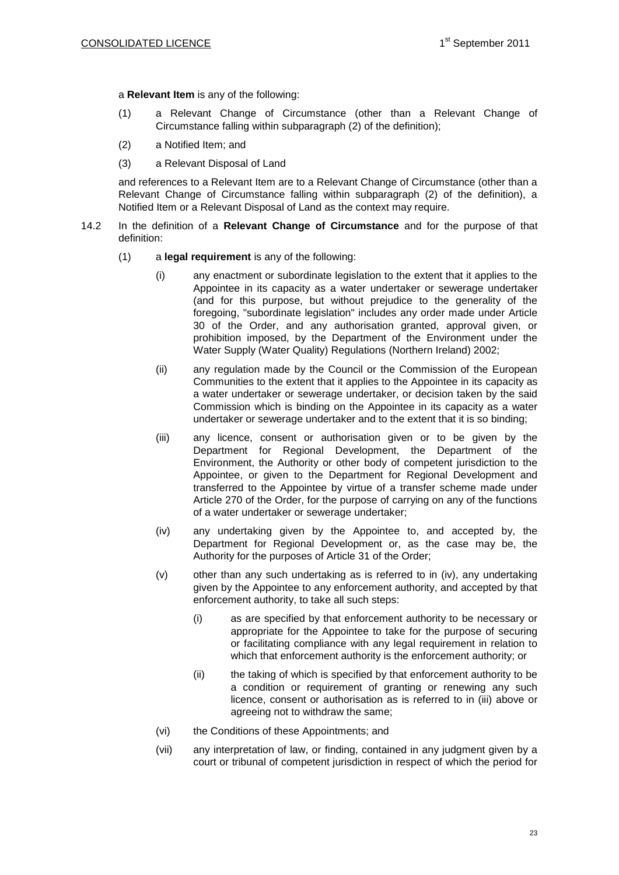a **Relevant Item** is any of the following:

- (1) a Relevant Change of Circumstance (other than a Relevant Change of Circumstance falling within subparagraph (2) of the definition);
- (2) a Notified Item; and
- (3) a Relevant Disposal of Land

and references to a Relevant Item are to a Relevant Change of Circumstance (other than a Relevant Change of Circumstance falling within subparagraph (2) of the definition), a Notified Item or a Relevant Disposal of Land as the context may require.

- <span id="page-22-2"></span><span id="page-22-1"></span><span id="page-22-0"></span>14.2 In the definition of a **Relevant Change of Circumstance** and for the purpose of that definition:
	- (1) a **legal requirement** is any of the following:
		- (i) any enactment or subordinate legislation to the extent that it applies to the Appointee in its capacity as a water undertaker or sewerage undertaker (and for this purpose, but without prejudice to the generality of the foregoing, "subordinate legislation" includes any order made under Article 30 of the Order, and any authorisation granted, approval given, or prohibition imposed, by the Department of the Environment under the Water Supply (Water Quality) Regulations (Northern Ireland) 2002;
		- (ii) any regulation made by the Council or the Commission of the European Communities to the extent that it applies to the Appointee in its capacity as a water undertaker or sewerage undertaker, or decision taken by the said Commission which is binding on the Appointee in its capacity as a water undertaker or sewerage undertaker and to the extent that it is so binding;
		- (iii) any licence, consent or authorisation given or to be given by the Department for Regional Development, the Department of the Environment, the Authority or other body of competent jurisdiction to the Appointee, or given to the Department for Regional Development and transferred to the Appointee by virtue of a transfer scheme made under Article 270 of the Order, for the purpose of carrying on any of the functions of a water undertaker or sewerage undertaker;
		- (iv) any undertaking given by the Appointee to, and accepted by, the Department for Regional Development or, as the case may be, the Authority for the purposes of Article 31 of the Order;
		- (v) other than any such undertaking as is referred to in (iv), any undertaking given by the Appointee to any enforcement authority, and accepted by that enforcement authority, to take all such steps:
			- (i) as are specified by that enforcement authority to be necessary or appropriate for the Appointee to take for the purpose of securing or facilitating compliance with any legal requirement in relation to which that enforcement authority is the enforcement authority; or
			- (ii) the taking of which is specified by that enforcement authority to be a condition or requirement of granting or renewing any such licence, consent or authorisation as is referred to in (iii) above or agreeing not to withdraw the same;
		- (vi) the Conditions of these Appointments; and
		- (vii) any interpretation of law, or finding, contained in any judgment given by a court or tribunal of competent jurisdiction in respect of which the period for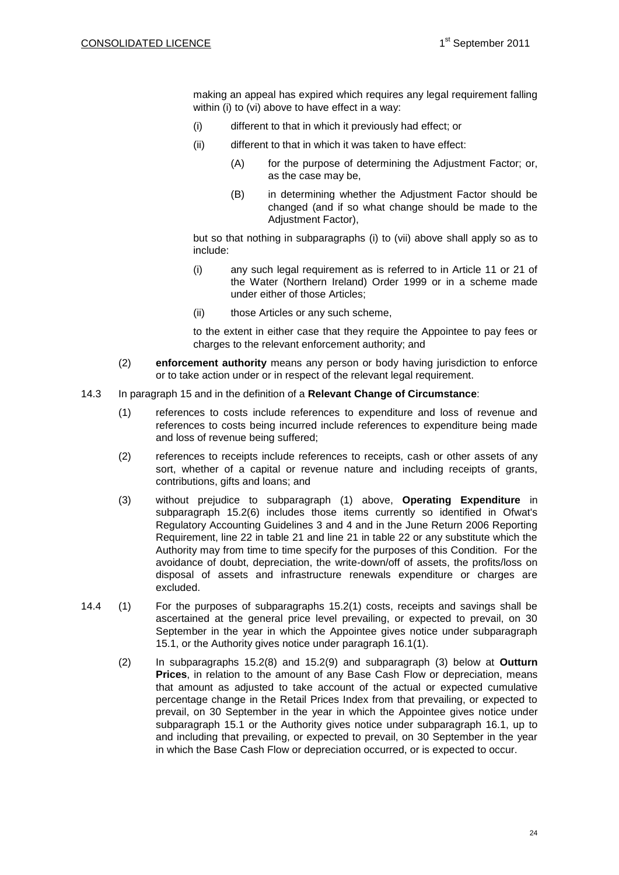making an appeal has expired which requires any legal requirement falling within [\(i\)](#page-22-0) to [\(vi\) above](#page-22-1) to have effect in a way:

- (i) different to that in which it previously had effect; or
- (ii) different to that in which it was taken to have effect:
	- (A) for the purpose of determining the Adjustment Factor; or, as the case may be,
	- (B) in determining whether the Adjustment Factor should be changed (and if so what change should be made to the Adjustment Factor),

but so that nothing in subparagraphs [\(i\)](#page-22-0) to [\(vii\) above](#page-22-2) shall apply so as to include:

- (i) any such legal requirement as is referred to in Article 11 or 21 of the Water (Northern Ireland) Order 1999 or in a scheme made under either of those Articles;
- (ii) those Articles or any such scheme,

to the extent in either case that they require the Appointee to pay fees or charges to the relevant enforcement authority; and

- (2) **enforcement authority** means any person or body having jurisdiction to enforce or to take action under or in respect of the relevant legal requirement.
- <span id="page-23-0"></span>14.3 In paragraph [15](#page-25-0) and in the definition of a **Relevant Change of Circumstance**:
	- (1) references to costs include references to expenditure and loss of revenue and references to costs being incurred include references to expenditure being made and loss of revenue being suffered;
	- (2) references to receipts include references to receipts, cash or other assets of any sort, whether of a capital or revenue nature and including receipts of grants, contributions, gifts and loans; and
	- (3) without prejudice to subparagraph [\(1\) above,](#page-23-0) **Operating Expenditure** in subparagraph 15.2(6) includes those items currently so identified in Ofwat's Regulatory Accounting Guidelines 3 and 4 and in the June Return 2006 Reporting Requirement, line 22 in table 21 and line 21 in table 22 or any substitute which the Authority may from time to time specify for the purposes of this Condition. For the avoidance of doubt, depreciation, the write-down/off of assets, the profits/loss on disposal of assets and infrastructure renewals expenditure or charges are excluded.
- 14.4 (1) For the purposes of subparagraphs 15.2(1) costs, receipts and savings shall be ascertained at the general price level prevailing, or expected to prevail, on 30 September in the year in which the Appointee gives notice under subparagraph [15.1,](#page-25-1) or the Authority gives notice under paragraph 16.1(1).
	- (2) In subparagraphs 15.2(8) and 15.2(9) and subparagraph [\(3\) below](#page-24-0) at **Outturn Prices**, in relation to the amount of any Base Cash Flow or depreciation, means that amount as adjusted to take account of the actual or expected cumulative percentage change in the Retail Prices Index from that prevailing, or expected to prevail, on 30 September in the year in which the Appointee gives notice under subparagraph [15.1](#page-25-1) or the Authority gives notice under subparagraph 16.1, up to and including that prevailing, or expected to prevail, on 30 September in the year in which the Base Cash Flow or depreciation occurred, or is expected to occur.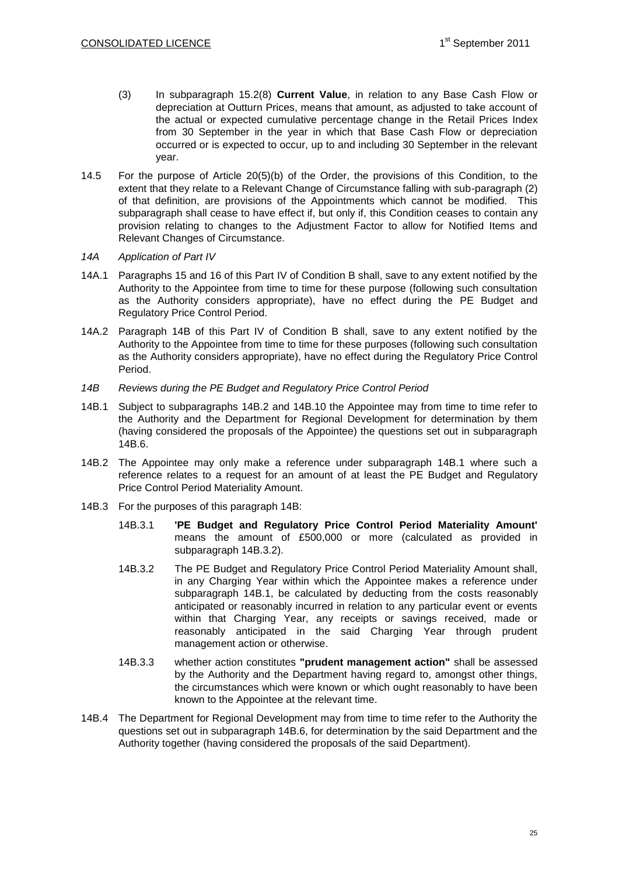- <span id="page-24-0"></span>(3) In subparagraph 15.2(8) **Current Value**, in relation to any Base Cash Flow or depreciation at Outturn Prices, means that amount, as adjusted to take account of the actual or expected cumulative percentage change in the Retail Prices Index from 30 September in the year in which that Base Cash Flow or depreciation occurred or is expected to occur, up to and including 30 September in the relevant year.
- 14.5 For the purpose of Article 20(5)(b) of the Order, the provisions of this Condition, to the extent that they relate to a Relevant Change of Circumstance falling with sub-paragraph (2) of that definition, are provisions of the Appointments which cannot be modified. This subparagraph shall cease to have effect if, but only if, this Condition ceases to contain any provision relating to changes to the Adjustment Factor to allow for Notified Items and Relevant Changes of Circumstance.

#### *14A Application of Part IV*

- 14A.1 Paragraphs 15 and 16 of this Part IV of Condition B shall, save to any extent notified by the Authority to the Appointee from time to time for these purpose (following such consultation as the Authority considers appropriate), have no effect during the PE Budget and Regulatory Price Control Period.
- 14A.2 Paragraph 14B of this Part IV of Condition B shall, save to any extent notified by the Authority to the Appointee from time to time for these purposes (following such consultation as the Authority considers appropriate), have no effect during the Regulatory Price Control Period.
- *14B Reviews during the PE Budget and Regulatory Price Control Period*
- 14B.1 Subject to subparagraphs 14B.2 and 14B.10 the Appointee may from time to time refer to the Authority and the Department for Regional Development for determination by them (having considered the proposals of the Appointee) the questions set out in subparagraph 14B.6.
- 14B.2 The Appointee may only make a reference under subparagraph 14B.1 where such a reference relates to a request for an amount of at least the PE Budget and Regulatory Price Control Period Materiality Amount.
- 14B.3 For the purposes of this paragraph 14B:
	- 14B.3.1 **'PE Budget and Regulatory Price Control Period Materiality Amount'** means the amount of £500,000 or more (calculated as provided in subparagraph 14B.3.2).
	- 14B.3.2 The PE Budget and Regulatory Price Control Period Materiality Amount shall, in any Charging Year within which the Appointee makes a reference under subparagraph 14B.1, be calculated by deducting from the costs reasonably anticipated or reasonably incurred in relation to any particular event or events within that Charging Year, any receipts or savings received, made or reasonably anticipated in the said Charging Year through prudent management action or otherwise.
	- 14B.3.3 whether action constitutes **"prudent management action"** shall be assessed by the Authority and the Department having regard to, amongst other things, the circumstances which were known or which ought reasonably to have been known to the Appointee at the relevant time.
- 14B.4 The Department for Regional Development may from time to time refer to the Authority the questions set out in subparagraph 14B.6, for determination by the said Department and the Authority together (having considered the proposals of the said Department).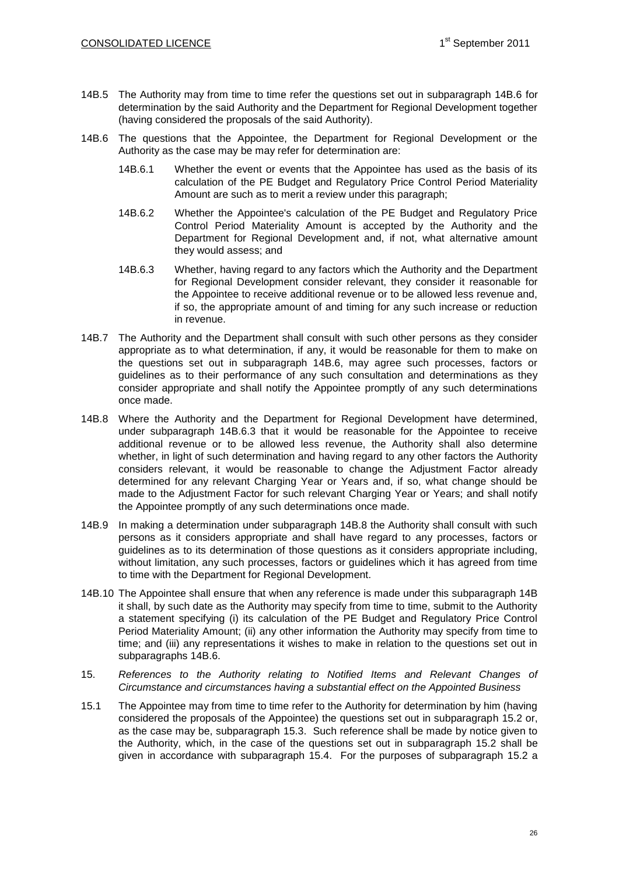- 14B.5 The Authority may from time to time refer the questions set out in subparagraph 14B.6 for determination by the said Authority and the Department for Regional Development together (having considered the proposals of the said Authority).
- 14B.6 The questions that the Appointee, the Department for Regional Development or the Authority as the case may be may refer for determination are:
	- 14B.6.1 Whether the event or events that the Appointee has used as the basis of its calculation of the PE Budget and Regulatory Price Control Period Materiality Amount are such as to merit a review under this paragraph;
	- 14B.6.2 Whether the Appointee's calculation of the PE Budget and Regulatory Price Control Period Materiality Amount is accepted by the Authority and the Department for Regional Development and, if not, what alternative amount they would assess; and
	- 14B.6.3 Whether, having regard to any factors which the Authority and the Department for Regional Development consider relevant, they consider it reasonable for the Appointee to receive additional revenue or to be allowed less revenue and, if so, the appropriate amount of and timing for any such increase or reduction in revenue.
- 14B.7 The Authority and the Department shall consult with such other persons as they consider appropriate as to what determination, if any, it would be reasonable for them to make on the questions set out in subparagraph 14B.6, may agree such processes, factors or guidelines as to their performance of any such consultation and determinations as they consider appropriate and shall notify the Appointee promptly of any such determinations once made.
- 14B.8 Where the Authority and the Department for Regional Development have determined, under subparagraph 14B.6.3 that it would be reasonable for the Appointee to receive additional revenue or to be allowed less revenue, the Authority shall also determine whether, in light of such determination and having regard to any other factors the Authority considers relevant, it would be reasonable to change the Adjustment Factor already determined for any relevant Charging Year or Years and, if so, what change should be made to the Adjustment Factor for such relevant Charging Year or Years; and shall notify the Appointee promptly of any such determinations once made.
- 14B.9 In making a determination under subparagraph 14B.8 the Authority shall consult with such persons as it considers appropriate and shall have regard to any processes, factors or guidelines as to its determination of those questions as it considers appropriate including, without limitation, any such processes, factors or guidelines which it has agreed from time to time with the Department for Regional Development.
- 14B.10 The Appointee shall ensure that when any reference is made under this subparagraph 14B it shall, by such date as the Authority may specify from time to time, submit to the Authority a statement specifying (i) its calculation of the PE Budget and Regulatory Price Control Period Materiality Amount; (ii) any other information the Authority may specify from time to time; and (iii) any representations it wishes to make in relation to the questions set out in subparagraphs 14B.6.
- <span id="page-25-0"></span>15. *References to the Authority relating to Notified Items and Relevant Changes of Circumstance and circumstances having a substantial effect on the Appointed Business*
- <span id="page-25-1"></span>15.1 The Appointee may from time to time refer to the Authority for determination by him (having considered the proposals of the Appointee) the questions set out in subparagraph [15.2](#page-26-0) or, as the case may be, subparagraph [15.3.](#page-30-1) Such reference shall be made by notice given to the Authority, which, in the case of the questions set out in subparagraph [15.2](#page-26-0) shall be given in accordance with subparagraph [15.4.](#page-30-2) For the purposes of subparagraph [15.2](#page-26-0) a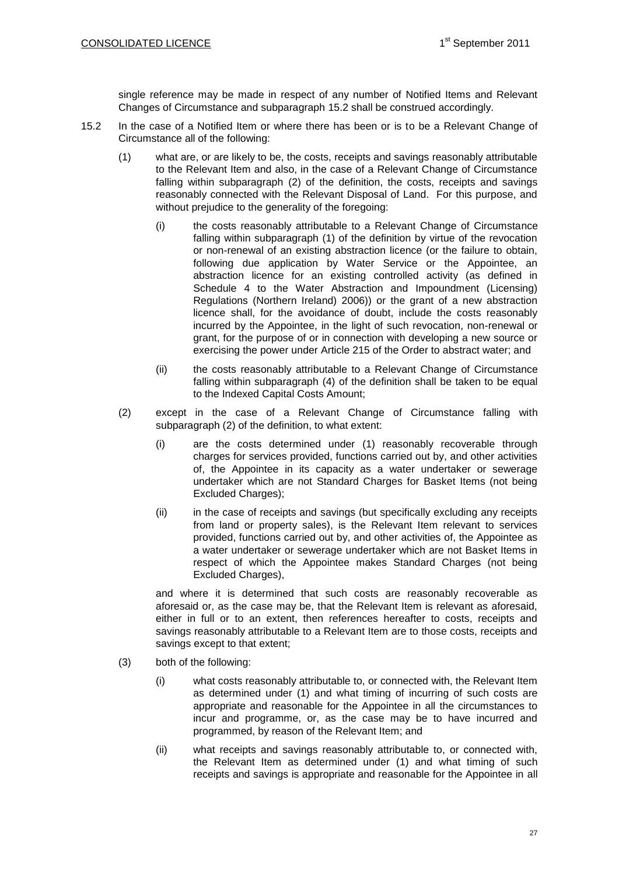single reference may be made in respect of any number of Notified Items and Relevant Changes of Circumstance and subparagraph [15.2](#page-26-0) shall be construed accordingly.

- <span id="page-26-1"></span><span id="page-26-0"></span>15.2 In the case of a Notified Item or where there has been or is to be a Relevant Change of Circumstance all of the following:
	- (1) what are, or are likely to be, the costs, receipts and savings reasonably attributable to the Relevant Item and also, in the case of a Relevant Change of Circumstance falling within subparagraph (2) of the definition, the costs, receipts and savings reasonably connected with the Relevant Disposal of Land. For this purpose, and without prejudice to the generality of the foregoing:
		- (i) the costs reasonably attributable to a Relevant Change of Circumstance falling within subparagraph (1) of the definition by virtue of the revocation or non-renewal of an existing abstraction licence (or the failure to obtain, following due application by Water Service or the Appointee, an abstraction licence for an existing controlled activity (as defined in Schedule 4 to the Water Abstraction and Impoundment (Licensing) Regulations (Northern Ireland) 2006)) or the grant of a new abstraction licence shall, for the avoidance of doubt, include the costs reasonably incurred by the Appointee, in the light of such revocation, non-renewal or grant, for the purpose of or in connection with developing a new source or exercising the power under Article 215 of the Order to abstract water; and
		- (ii) the costs reasonably attributable to a Relevant Change of Circumstance falling within subparagraph [\(4\)](#page-27-0) of the definition shall be taken to be equal to the Indexed Capital Costs Amount;
	- (2) except in the case of a Relevant Change of Circumstance falling with subparagraph (2) of the definition, to what extent:
		- (i) are the costs determined under [\(1\)](#page-26-1) reasonably recoverable through charges for services provided, functions carried out by, and other activities of, the Appointee in its capacity as a water undertaker or sewerage undertaker which are not Standard Charges for Basket Items (not being Excluded Charges);
		- (ii) in the case of receipts and savings (but specifically excluding any receipts from land or property sales), is the Relevant Item relevant to services provided, functions carried out by, and other activities of, the Appointee as a water undertaker or sewerage undertaker which are not Basket Items in respect of which the Appointee makes Standard Charges (not being Excluded Charges),

<span id="page-26-3"></span>and where it is determined that such costs are reasonably recoverable as aforesaid or, as the case may be, that the Relevant Item is relevant as aforesaid, either in full or to an extent, then references hereafter to costs, receipts and savings reasonably attributable to a Relevant Item are to those costs, receipts and savings except to that extent;

- <span id="page-26-2"></span>(3) both of the following:
	- (i) what costs reasonably attributable to, or connected with, the Relevant Item as determined under [\(1\)](#page-26-1) and what timing of incurring of such costs are appropriate and reasonable for the Appointee in all the circumstances to incur and programme, or, as the case may be to have incurred and programmed, by reason of the Relevant Item; and
	- (ii) what receipts and savings reasonably attributable to, or connected with, the Relevant Item as determined under [\(1\)](#page-26-1) and what timing of such receipts and savings is appropriate and reasonable for the Appointee in all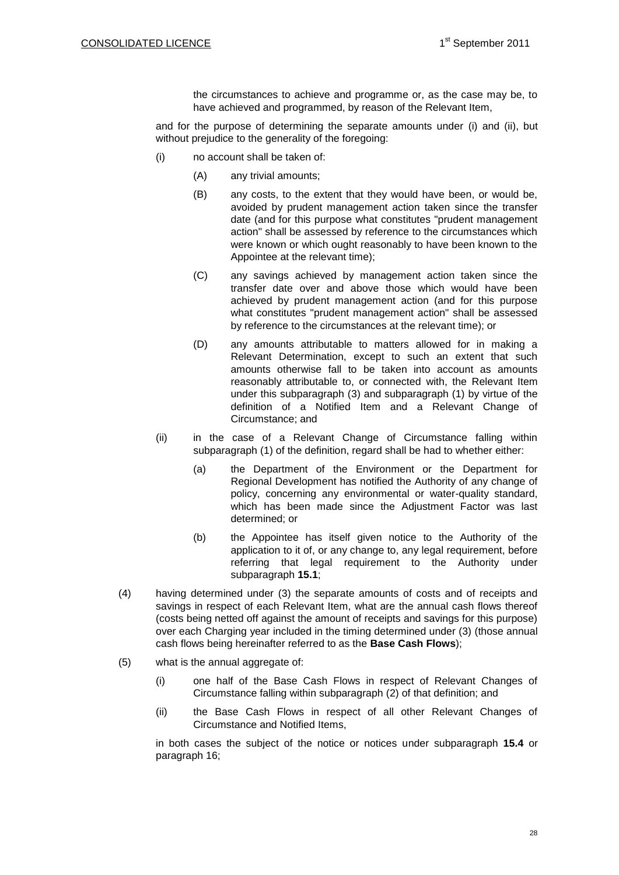the circumstances to achieve and programme or, as the case may be, to have achieved and programmed, by reason of the Relevant Item,

and for the purpose of determining the separate amounts under [\(i\)](#page-21-1) and [\(ii\),](#page-21-2) but without prejudice to the generality of the foregoing:

- (i) no account shall be taken of:
	- (A) any trivial amounts;
	- (B) any costs, to the extent that they would have been, or would be, avoided by prudent management action taken since the transfer date (and for this purpose what constitutes "prudent management action" shall be assessed by reference to the circumstances which were known or which ought reasonably to have been known to the Appointee at the relevant time);
	- (C) any savings achieved by management action taken since the transfer date over and above those which would have been achieved by prudent management action (and for this purpose what constitutes "prudent management action" shall be assessed by reference to the circumstances at the relevant time); or
	- (D) any amounts attributable to matters allowed for in making a Relevant Determination, except to such an extent that such amounts otherwise fall to be taken into account as amounts reasonably attributable to, or connected with, the Relevant Item under this subparagraph [\(3\)](#page-26-2) and subparagraph [\(1\)](#page-26-1) by virtue of the definition of a Notified Item and a Relevant Change of Circumstance; and
- (ii) in the case of a Relevant Change of Circumstance falling within subparagraph [\(1\)](#page-26-1) of the definition, regard shall be had to whether either:
	- (a) the Department of the Environment or the Department for Regional Development has notified the Authority of any change of policy, concerning any environmental or water-quality standard, which has been made since the Adjustment Factor was last determined; or
	- (b) the Appointee has itself given notice to the Authority of the application to it of, or any change to, any legal requirement, before referring that legal requirement to the Authority under subparagraph **[15.1](#page-25-1)**;
- <span id="page-27-0"></span>(4) having determined under [\(3\)](#page-26-2) the separate amounts of costs and of receipts and savings in respect of each Relevant Item, what are the annual cash flows thereof (costs being netted off against the amount of receipts and savings for this purpose) over each Charging year included in the timing determined under [\(3\)](#page-26-2) (those annual cash flows being hereinafter referred to as the **Base Cash Flows**);
- (5) what is the annual aggregate of:
	- (i) one half of the Base Cash Flows in respect of Relevant Changes of Circumstance falling within subparagraph [\(2\)](#page-26-3) of that definition; and
	- (ii) the Base Cash Flows in respect of all other Relevant Changes of Circumstance and Notified Items,

in both cases the subject of the notice or notices under subparagraph **[15.4](#page-30-2)** or paragraph 16;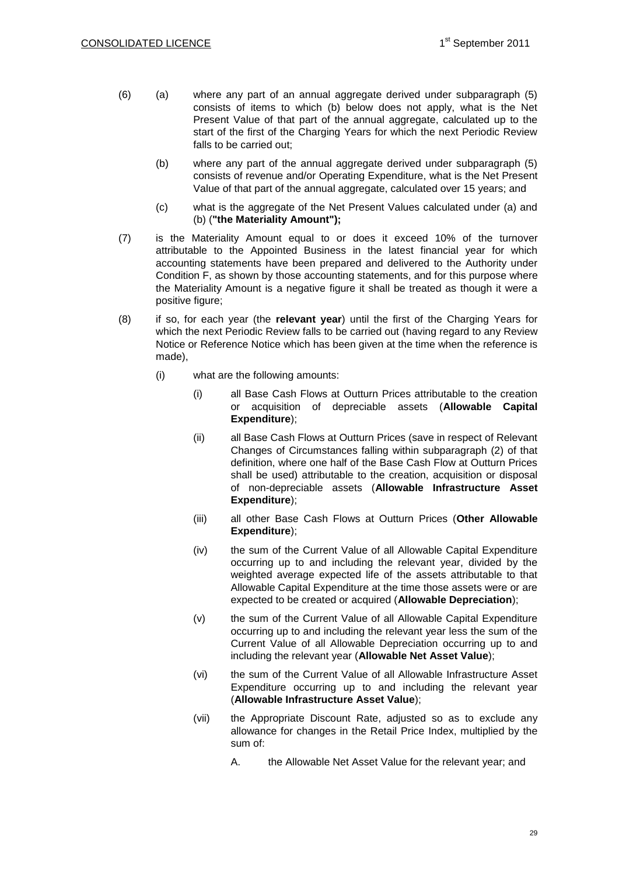- (6) (a) where any part of an annual aggregate derived under subparagraph (5) consists of items to which (b) below does not apply, what is the Net Present Value of that part of the annual aggregate, calculated up to the start of the first of the Charging Years for which the next Periodic Review falls to be carried out;
	- (b) where any part of the annual aggregate derived under subparagraph (5) consists of revenue and/or Operating Expenditure, what is the Net Present Value of that part of the annual aggregate, calculated over 15 years; and
	- (c) what is the aggregate of the Net Present Values calculated under (a) and (b) (**"the Materiality Amount");**
- (7) is the Materiality Amount equal to or does it exceed 10% of the turnover attributable to the Appointed Business in the latest financial year for which accounting statements have been prepared and delivered to the Authority under Condition F, as shown by those accounting statements, and for this purpose where the Materiality Amount is a negative figure it shall be treated as though it were a positive figure;
- (8) if so, for each year (the **relevant year**) until the first of the Charging Years for which the next Periodic Review falls to be carried out (having regard to any Review Notice or Reference Notice which has been given at the time when the reference is made),
	- (i) what are the following amounts:
		- (i) all Base Cash Flows at Outturn Prices attributable to the creation or acquisition of depreciable assets (**Allowable Capital Expenditure**);
		- (ii) all Base Cash Flows at Outturn Prices (save in respect of Relevant Changes of Circumstances falling within subparagraph (2) of that definition, where one half of the Base Cash Flow at Outturn Prices shall be used) attributable to the creation, acquisition or disposal of non-depreciable assets (**Allowable Infrastructure Asset Expenditure**);
		- (iii) all other Base Cash Flows at Outturn Prices (**Other Allowable Expenditure**);
		- (iv) the sum of the Current Value of all Allowable Capital Expenditure occurring up to and including the relevant year, divided by the weighted average expected life of the assets attributable to that Allowable Capital Expenditure at the time those assets were or are expected to be created or acquired (**Allowable Depreciation**);
		- (v) the sum of the Current Value of all Allowable Capital Expenditure occurring up to and including the relevant year less the sum of the Current Value of all Allowable Depreciation occurring up to and including the relevant year (**Allowable Net Asset Value**);
		- (vi) the sum of the Current Value of all Allowable Infrastructure Asset Expenditure occurring up to and including the relevant year (**Allowable Infrastructure Asset Value**);
		- (vii) the Appropriate Discount Rate, adjusted so as to exclude any allowance for changes in the Retail Price Index, multiplied by the sum of:
			- A. the Allowable Net Asset Value for the relevant year; and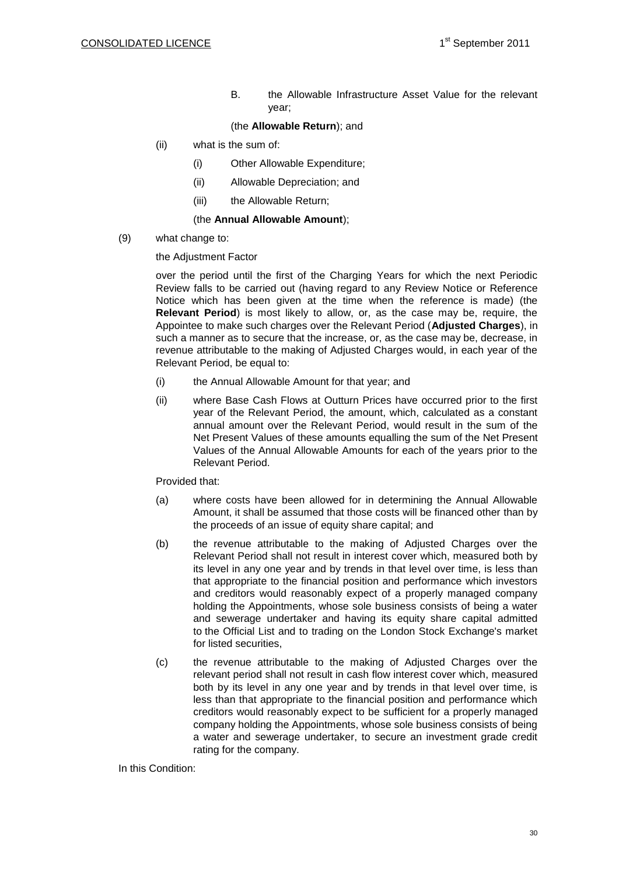B. the Allowable Infrastructure Asset Value for the relevant year;

#### (the **Allowable Return**); and

- (ii) what is the sum of:
	- (i) Other Allowable Expenditure;
	- (ii) Allowable Depreciation; and
	- (iii) the Allowable Return;

#### (the **Annual Allowable Amount**);

(9) what change to:

the Adjustment Factor

over the period until the first of the Charging Years for which the next Periodic Review falls to be carried out (having regard to any Review Notice or Reference Notice which has been given at the time when the reference is made) (the **Relevant Period**) is most likely to allow, or, as the case may be, require, the Appointee to make such charges over the Relevant Period (**Adjusted Charges**), in such a manner as to secure that the increase, or, as the case may be, decrease, in revenue attributable to the making of Adjusted Charges would, in each year of the Relevant Period, be equal to:

- (i) the Annual Allowable Amount for that year; and
- (ii) where Base Cash Flows at Outturn Prices have occurred prior to the first year of the Relevant Period, the amount, which, calculated as a constant annual amount over the Relevant Period, would result in the sum of the Net Present Values of these amounts equalling the sum of the Net Present Values of the Annual Allowable Amounts for each of the years prior to the Relevant Period.

#### Provided that:

- (a) where costs have been allowed for in determining the Annual Allowable Amount, it shall be assumed that those costs will be financed other than by the proceeds of an issue of equity share capital; and
- (b) the revenue attributable to the making of Adjusted Charges over the Relevant Period shall not result in interest cover which, measured both by its level in any one year and by trends in that level over time, is less than that appropriate to the financial position and performance which investors and creditors would reasonably expect of a properly managed company holding the Appointments, whose sole business consists of being a water and sewerage undertaker and having its equity share capital admitted to the Official List and to trading on the London Stock Exchange's market for listed securities,
- (c) the revenue attributable to the making of Adjusted Charges over the relevant period shall not result in cash flow interest cover which, measured both by its level in any one year and by trends in that level over time, is less than that appropriate to the financial position and performance which creditors would reasonably expect to be sufficient for a properly managed company holding the Appointments, whose sole business consists of being a water and sewerage undertaker, to secure an investment grade credit rating for the company.

In this Condition: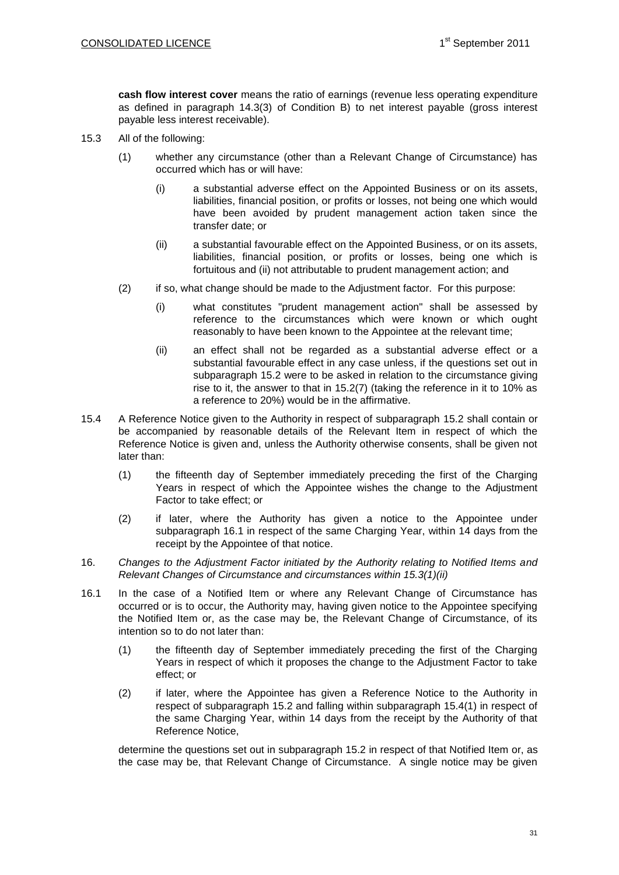**cash flow interest cover** means the ratio of earnings (revenue less operating expenditure as defined in paragraph 14.3(3) of Condition B) to net interest payable (gross interest payable less interest receivable).

- <span id="page-30-1"></span>15.3 All of the following:
	- (1) whether any circumstance (other than a Relevant Change of Circumstance) has occurred which has or will have:
		- (i) a substantial adverse effect on the Appointed Business or on its assets, liabilities, financial position, or profits or losses, not being one which would have been avoided by prudent management action taken since the transfer date; or
		- (ii) a substantial favourable effect on the Appointed Business, or on its assets, liabilities, financial position, or profits or losses, being one which is fortuitous and (ii) not attributable to prudent management action; and
	- (2) if so, what change should be made to the Adjustment factor. For this purpose:
		- (i) what constitutes "prudent management action" shall be assessed by reference to the circumstances which were known or which ought reasonably to have been known to the Appointee at the relevant time;
		- (ii) an effect shall not be regarded as a substantial adverse effect or a substantial favourable effect in any case unless, if the questions set out in subparagraph [15.2](#page-26-0) were to be asked in relation to the circumstance giving rise to it, the answer to that in 15.2(7) (taking the reference in it to 10% as a reference to 20%) would be in the affirmative.
- <span id="page-30-2"></span>15.4 A Reference Notice given to the Authority in respect of subparagraph [15.2](#page-26-0) shall contain or be accompanied by reasonable details of the Relevant Item in respect of which the Reference Notice is given and, unless the Authority otherwise consents, shall be given not later than:
	- (1) the fifteenth day of September immediately preceding the first of the Charging Years in respect of which the Appointee wishes the change to the Adjustment Factor to take effect; or
	- (2) if later, where the Authority has given a notice to the Appointee under subparagraph 16.1 in respect of the same Charging Year, within 14 days from the receipt by the Appointee of that notice.
- <span id="page-30-0"></span>16. *Changes to the Adjustment Factor initiated by the Authority relating to Notified Items and Relevant Changes of Circumstance and circumstances within 15.3(1)(ii)*
- <span id="page-30-3"></span>16.1 In the case of a Notified Item or where any Relevant Change of Circumstance has occurred or is to occur, the Authority may, having given notice to the Appointee specifying the Notified Item or, as the case may be, the Relevant Change of Circumstance, of its intention so to do not later than:
	- (1) the fifteenth day of September immediately preceding the first of the Charging Years in respect of which it proposes the change to the Adjustment Factor to take effect; or
	- (2) if later, where the Appointee has given a Reference Notice to the Authority in respect of subparagraph 15.2 and falling within subparagraph 15.4(1) in respect of the same Charging Year, within 14 days from the receipt by the Authority of that Reference Notice,

determine the questions set out in subparagraph 15.2 in respect of that Notified Item or, as the case may be, that Relevant Change of Circumstance. A single notice may be given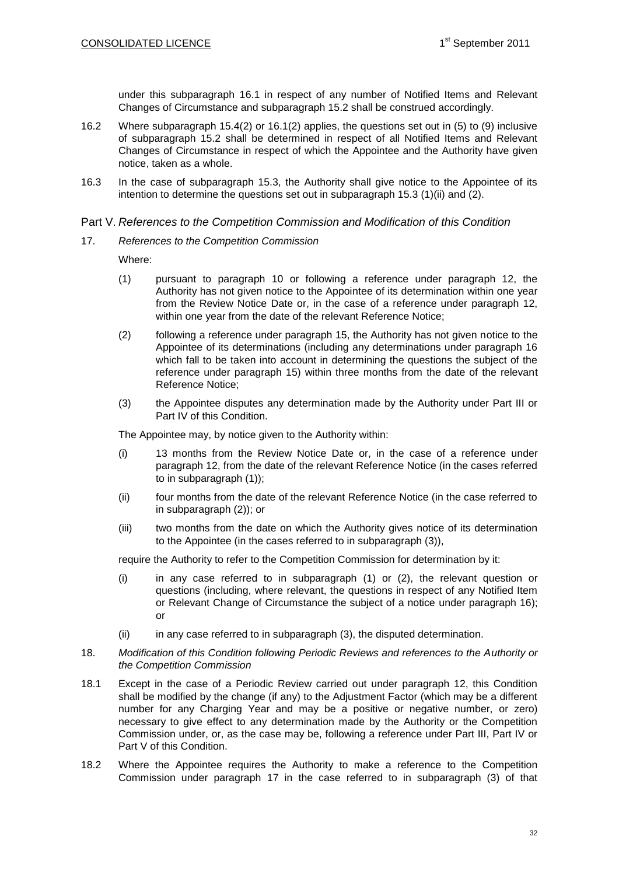under this subparagraph [16.1](#page-30-3) in respect of any number of Notified Items and Relevant Changes of Circumstance and subparagraph 15.2 shall be construed accordingly.

- 16.2 Where subparagraph 15.4(2) or 16.1(2) applies, the questions set out in (5) to (9) inclusive of subparagraph 15.2 shall be determined in respect of all Notified Items and Relevant Changes of Circumstance in respect of which the Appointee and the Authority have given notice, taken as a whole.
- 16.3 In the case of subparagraph 15.3, the Authority shall give notice to the Appointee of its intention to determine the questions set out in subparagraph 15.3 (1)(ii) and (2).

#### Part V. *References to the Competition Commission and Modification of this Condition*

<span id="page-31-2"></span><span id="page-31-0"></span>17. *References to the Competition Commission*

Where:

- (1) pursuant to paragraph 10 or following a reference under paragraph 12, the Authority has not given notice to the Appointee of its determination within one year from the Review Notice Date or, in the case of a reference under paragraph 12, within one year from the date of the relevant Reference Notice;
- <span id="page-31-1"></span>(2) following a reference under paragraph 15, the Authority has not given notice to the Appointee of its determinations (including any determinations under paragraph 16 which fall to be taken into account in determining the questions the subject of the reference under paragraph 15) within three months from the date of the relevant Reference Notice;
- (3) the Appointee disputes any determination made by the Authority under Part III or Part IV of this Condition.

The Appointee may, by notice given to the Authority within:

- (i) 13 months from the Review Notice Date or, in the case of a reference under paragraph 12, from the date of the relevant Reference Notice (in the cases referred to in subparagraph (1));
- (ii) four months from the date of the relevant Reference Notice (in the case referred to in subparagraph (2)); or
- (iii) two months from the date on which the Authority gives notice of its determination to the Appointee (in the cases referred to in subparagraph (3)),

require the Authority to refer to the Competition Commission for determination by it:

- (i) in any case referred to in subparagraph [\(1\)](#page-31-0) or [\(2\),](#page-31-1) the relevant question or questions (including, where relevant, the questions in respect of any Notified Item or Relevant Change of Circumstance the subject of a notice under paragraph [16\)](#page-30-0); or
- (ii) in any case referred to in subparagraph (3), the disputed determination.
- 18. *Modification of this Condition following Periodic Reviews and references to the Authority or the Competition Commission*
- <span id="page-31-3"></span>18.1 Except in the case of a Periodic Review carried out under paragraph 12, this Condition shall be modified by the change (if any) to the Adjustment Factor (which may be a different number for any Charging Year and may be a positive or negative number, or zero) necessary to give effect to any determination made by the Authority or the Competition Commission under, or, as the case may be, following a reference under Part III, Part IV or Part V of this Condition.
- 18.2 Where the Appointee requires the Authority to make a reference to the Competition Commission under paragraph [17](#page-31-2) in the case referred to in subparagraph (3) of that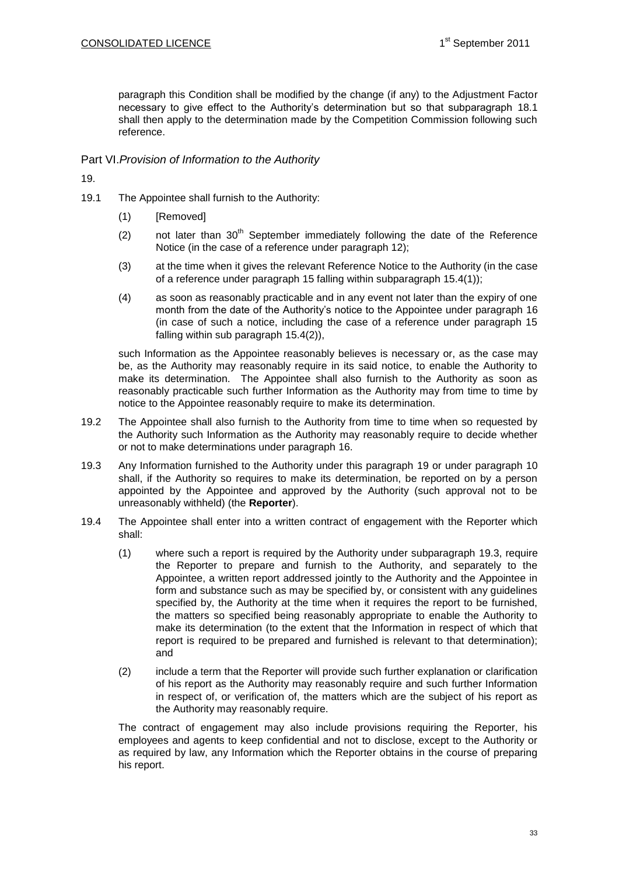paragraph this Condition shall be modified by the change (if any) to the Adjustment Factor necessary to give effect to the Authority's determination but so that subparagraph [18.1](#page-31-3) shall then apply to the determination made by the Competition Commission following such reference.

# Part VI.*Provision of Information to the Authority*

<span id="page-32-0"></span>19.

- 19.1 The Appointee shall furnish to the Authority:
	- (1) [Removed]
	- (2) not later than  $30<sup>th</sup>$  September immediately following the date of the Reference Notice (in the case of a reference under paragraph 12);
	- (3) at the time when it gives the relevant Reference Notice to the Authority (in the case of a reference under paragraph 15 falling within subparagraph 15.4(1));
	- (4) as soon as reasonably practicable and in any event not later than the expiry of one month from the date of the Authority's notice to the Appointee under paragraph [16](#page-30-0) (in case of such a notice, including the case of a reference under paragraph 15 falling within sub paragraph 15.4(2)),

such Information as the Appointee reasonably believes is necessary or, as the case may be, as the Authority may reasonably require in its said notice, to enable the Authority to make its determination. The Appointee shall also furnish to the Authority as soon as reasonably practicable such further Information as the Authority may from time to time by notice to the Appointee reasonably require to make its determination.

- 19.2 The Appointee shall also furnish to the Authority from time to time when so requested by the Authority such Information as the Authority may reasonably require to decide whether or not to make determinations under paragraph [16.](#page-30-0)
- <span id="page-32-1"></span>19.3 Any Information furnished to the Authority under this paragraph [19](#page-32-0) or under paragraph 10 shall, if the Authority so requires to make its determination, be reported on by a person appointed by the Appointee and approved by the Authority (such approval not to be unreasonably withheld) (the **Reporter**).
- <span id="page-32-2"></span>19.4 The Appointee shall enter into a written contract of engagement with the Reporter which shall:
	- (1) where such a report is required by the Authority under subparagraph [19.3,](#page-32-1) require the Reporter to prepare and furnish to the Authority, and separately to the Appointee, a written report addressed jointly to the Authority and the Appointee in form and substance such as may be specified by, or consistent with any guidelines specified by, the Authority at the time when it requires the report to be furnished, the matters so specified being reasonably appropriate to enable the Authority to make its determination (to the extent that the Information in respect of which that report is required to be prepared and furnished is relevant to that determination); and
	- (2) include a term that the Reporter will provide such further explanation or clarification of his report as the Authority may reasonably require and such further Information in respect of, or verification of, the matters which are the subject of his report as the Authority may reasonably require.

The contract of engagement may also include provisions requiring the Reporter, his employees and agents to keep confidential and not to disclose, except to the Authority or as required by law, any Information which the Reporter obtains in the course of preparing his report.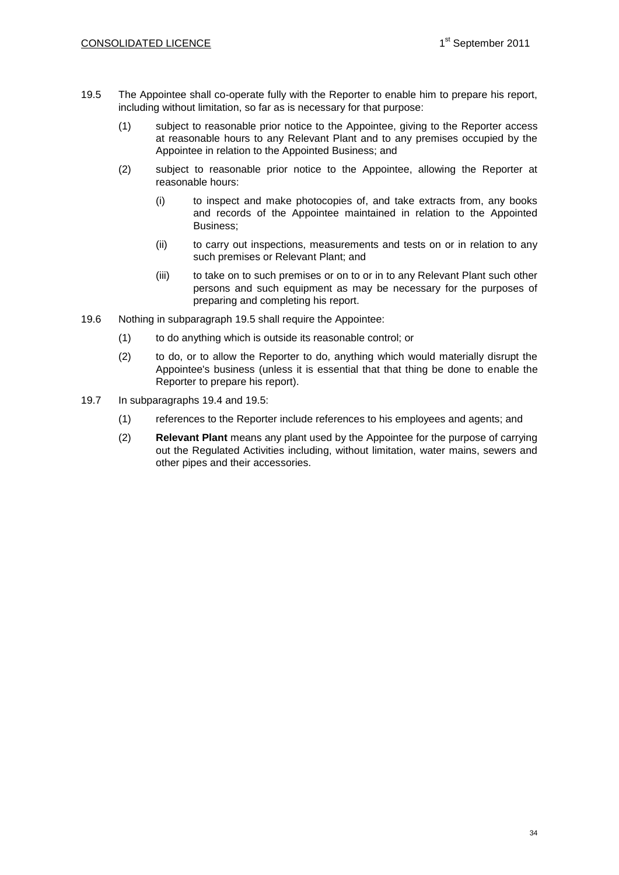- <span id="page-33-0"></span>19.5 The Appointee shall co-operate fully with the Reporter to enable him to prepare his report, including without limitation, so far as is necessary for that purpose:
	- (1) subject to reasonable prior notice to the Appointee, giving to the Reporter access at reasonable hours to any Relevant Plant and to any premises occupied by the Appointee in relation to the Appointed Business; and
	- (2) subject to reasonable prior notice to the Appointee, allowing the Reporter at reasonable hours:
		- (i) to inspect and make photocopies of, and take extracts from, any books and records of the Appointee maintained in relation to the Appointed Business;
		- (ii) to carry out inspections, measurements and tests on or in relation to any such premises or Relevant Plant; and
		- (iii) to take on to such premises or on to or in to any Relevant Plant such other persons and such equipment as may be necessary for the purposes of preparing and completing his report.
- 19.6 Nothing in subparagraph [19.5](#page-33-0) shall require the Appointee:
	- (1) to do anything which is outside its reasonable control; or
	- (2) to do, or to allow the Reporter to do, anything which would materially disrupt the Appointee's business (unless it is essential that that thing be done to enable the Reporter to prepare his report).
- 19.7 In subparagraphs [19.4](#page-32-2) and [19.5:](#page-33-0)
	- (1) references to the Reporter include references to his employees and agents; and
	- (2) **Relevant Plant** means any plant used by the Appointee for the purpose of carrying out the Regulated Activities including, without limitation, water mains, sewers and other pipes and their accessories.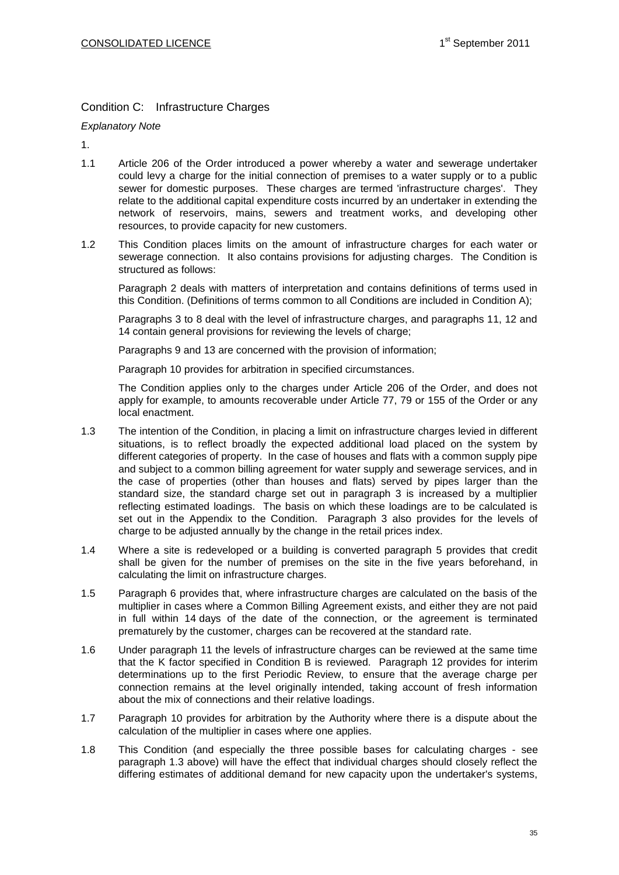# Condition C: Infrastructure Charges

*Explanatory Note*

1.

- 1.1 Article 206 of the Order introduced a power whereby a water and sewerage undertaker could levy a charge for the initial connection of premises to a water supply or to a public sewer for domestic purposes. These charges are termed 'infrastructure charges'. They relate to the additional capital expenditure costs incurred by an undertaker in extending the network of reservoirs, mains, sewers and treatment works, and developing other resources, to provide capacity for new customers.
- 1.2 This Condition places limits on the amount of infrastructure charges for each water or sewerage connection. It also contains provisions for adjusting charges. The Condition is structured as follows:

Paragraph 2 deals with matters of interpretation and contains definitions of terms used in this Condition. (Definitions of terms common to all Conditions are included in Condition A);

Paragraphs 3 to 8 deal with the level of infrastructure charges, and paragraphs 11, 12 and 14 contain general provisions for reviewing the levels of charge;

Paragraphs 9 and 13 are concerned with the provision of information;

Paragraph 10 provides for arbitration in specified circumstances.

The Condition applies only to the charges under Article 206 of the Order, and does not apply for example, to amounts recoverable under Article 77, 79 or 155 of the Order or any local enactment.

- 1.3 The intention of the Condition, in placing a limit on infrastructure charges levied in different situations, is to reflect broadly the expected additional load placed on the system by different categories of property. In the case of houses and flats with a common supply pipe and subject to a common billing agreement for water supply and sewerage services, and in the case of properties (other than houses and flats) served by pipes larger than the standard size, the standard charge set out in paragraph 3 is increased by a multiplier reflecting estimated loadings. The basis on which these loadings are to be calculated is set out in the Appendix to the Condition. Paragraph 3 also provides for the levels of charge to be adjusted annually by the change in the retail prices index.
- 1.4 Where a site is redeveloped or a building is converted paragraph 5 provides that credit shall be given for the number of premises on the site in the five years beforehand, in calculating the limit on infrastructure charges.
- 1.5 Paragraph 6 provides that, where infrastructure charges are calculated on the basis of the multiplier in cases where a Common Billing Agreement exists, and either they are not paid in full within 14 days of the date of the connection, or the agreement is terminated prematurely by the customer, charges can be recovered at the standard rate.
- 1.6 Under paragraph 11 the levels of infrastructure charges can be reviewed at the same time that the K factor specified in Condition B is reviewed. Paragraph 12 provides for interim determinations up to the first Periodic Review, to ensure that the average charge per connection remains at the level originally intended, taking account of fresh information about the mix of connections and their relative loadings.
- 1.7 Paragraph 10 provides for arbitration by the Authority where there is a dispute about the calculation of the multiplier in cases where one applies.
- 1.8 This Condition (and especially the three possible bases for calculating charges see paragraph 1.3 above) will have the effect that individual charges should closely reflect the differing estimates of additional demand for new capacity upon the undertaker's systems,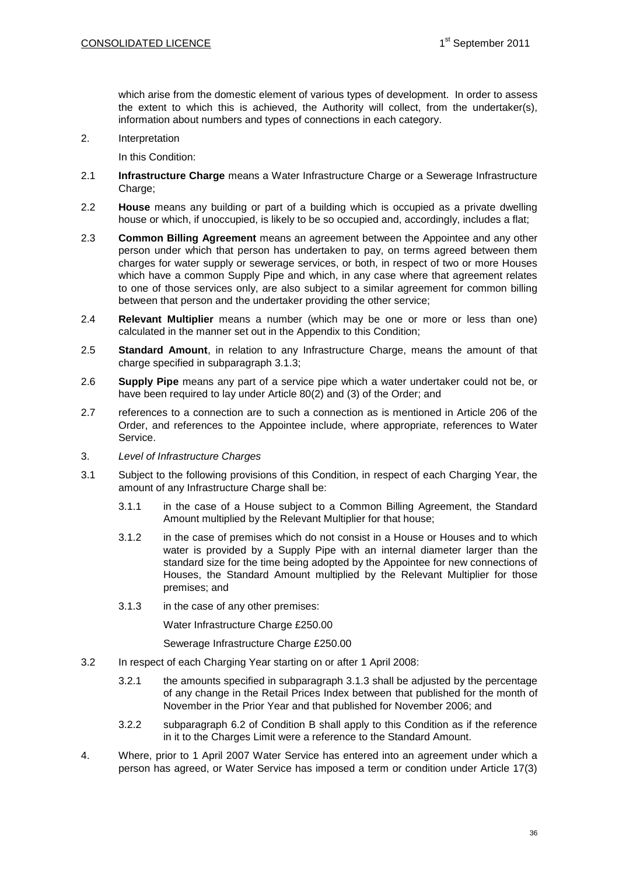which arise from the domestic element of various types of development. In order to assess the extent to which this is achieved, the Authority will collect, from the undertaker(s), information about numbers and types of connections in each category.

2. Interpretation

In this Condition:

- 2.1 **Infrastructure Charge** means a Water Infrastructure Charge or a Sewerage Infrastructure Charge;
- 2.2 **House** means any building or part of a building which is occupied as a private dwelling house or which, if unoccupied, is likely to be so occupied and, accordingly, includes a flat;
- 2.3 **Common Billing Agreement** means an agreement between the Appointee and any other person under which that person has undertaken to pay, on terms agreed between them charges for water supply or sewerage services, or both, in respect of two or more Houses which have a common Supply Pipe and which, in any case where that agreement relates to one of those services only, are also subject to a similar agreement for common billing between that person and the undertaker providing the other service;
- 2.4 **Relevant Multiplier** means a number (which may be one or more or less than one) calculated in the manner set out in the Appendix to this Condition;
- 2.5 **Standard Amount**, in relation to any Infrastructure Charge, means the amount of that charge specified in subparagraph 3.1.3;
- 2.6 **Supply Pipe** means any part of a service pipe which a water undertaker could not be, or have been required to lay under Article 80(2) and (3) of the Order; and
- 2.7 references to a connection are to such a connection as is mentioned in Article 206 of the Order, and references to the Appointee include, where appropriate, references to Water Service.
- 3. *Level of Infrastructure Charges*
- 3.1 Subject to the following provisions of this Condition, in respect of each Charging Year, the amount of any Infrastructure Charge shall be:
	- 3.1.1 in the case of a House subject to a Common Billing Agreement, the Standard Amount multiplied by the Relevant Multiplier for that house;
	- 3.1.2 in the case of premises which do not consist in a House or Houses and to which water is provided by a Supply Pipe with an internal diameter larger than the standard size for the time being adopted by the Appointee for new connections of Houses, the Standard Amount multiplied by the Relevant Multiplier for those premises; and
	- 3.1.3 in the case of any other premises:

Water Infrastructure Charge £250.00

Sewerage Infrastructure Charge £250.00

- 3.2 In respect of each Charging Year starting on or after 1 April 2008:
	- 3.2.1 the amounts specified in subparagraph 3.1.3 shall be adjusted by the percentage of any change in the Retail Prices Index between that published for the month of November in the Prior Year and that published for November 2006; and
	- 3.2.2 subparagraph 6.2 of Condition B shall apply to this Condition as if the reference in it to the Charges Limit were a reference to the Standard Amount.
- 4. Where, prior to 1 April 2007 Water Service has entered into an agreement under which a person has agreed, or Water Service has imposed a term or condition under Article 17(3)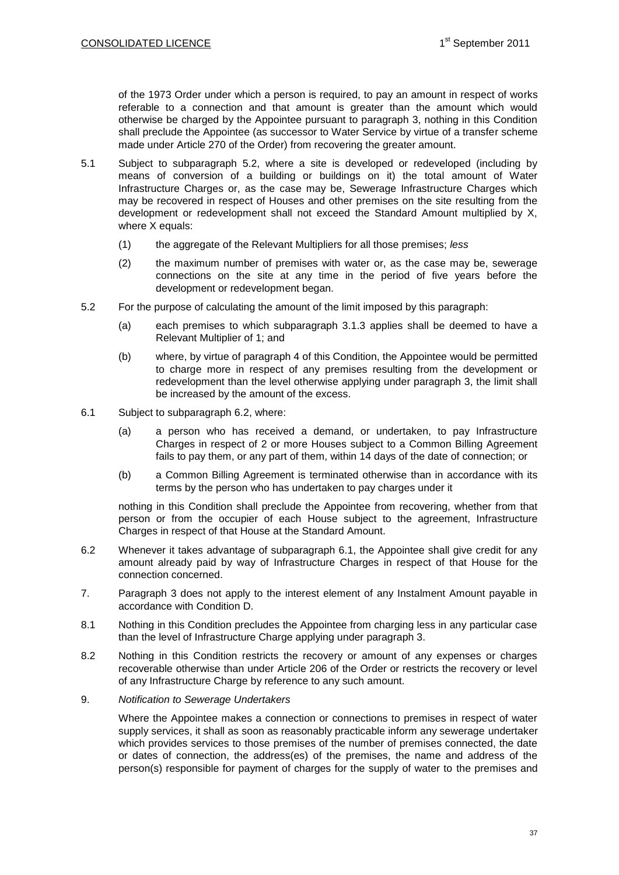of the 1973 Order under which a person is required, to pay an amount in respect of works referable to a connection and that amount is greater than the amount which would otherwise be charged by the Appointee pursuant to paragraph 3, nothing in this Condition shall preclude the Appointee (as successor to Water Service by virtue of a transfer scheme made under Article 270 of the Order) from recovering the greater amount.

- 5.1 Subject to subparagraph 5.2, where a site is developed or redeveloped (including by means of conversion of a building or buildings on it) the total amount of Water Infrastructure Charges or, as the case may be, Sewerage Infrastructure Charges which may be recovered in respect of Houses and other premises on the site resulting from the development or redevelopment shall not exceed the Standard Amount multiplied by X, where X equals:
	- (1) the aggregate of the Relevant Multipliers for all those premises; *less*
	- (2) the maximum number of premises with water or, as the case may be, sewerage connections on the site at any time in the period of five years before the development or redevelopment began.
- 5.2 For the purpose of calculating the amount of the limit imposed by this paragraph:
	- (a) each premises to which subparagraph 3.1.3 applies shall be deemed to have a Relevant Multiplier of 1; and
	- (b) where, by virtue of paragraph 4 of this Condition, the Appointee would be permitted to charge more in respect of any premises resulting from the development or redevelopment than the level otherwise applying under paragraph 3, the limit shall be increased by the amount of the excess.
- 6.1 Subject to subparagraph 6.2, where:
	- (a) a person who has received a demand, or undertaken, to pay Infrastructure Charges in respect of 2 or more Houses subject to a Common Billing Agreement fails to pay them, or any part of them, within 14 days of the date of connection; or
	- (b) a Common Billing Agreement is terminated otherwise than in accordance with its terms by the person who has undertaken to pay charges under it

nothing in this Condition shall preclude the Appointee from recovering, whether from that person or from the occupier of each House subject to the agreement, Infrastructure Charges in respect of that House at the Standard Amount.

- 6.2 Whenever it takes advantage of subparagraph 6.1, the Appointee shall give credit for any amount already paid by way of Infrastructure Charges in respect of that House for the connection concerned.
- 7. Paragraph 3 does not apply to the interest element of any Instalment Amount payable in accordance with Condition D.
- 8.1 Nothing in this Condition precludes the Appointee from charging less in any particular case than the level of Infrastructure Charge applying under paragraph 3.
- 8.2 Nothing in this Condition restricts the recovery or amount of any expenses or charges recoverable otherwise than under Article 206 of the Order or restricts the recovery or level of any Infrastructure Charge by reference to any such amount.
- 9. *Notification to Sewerage Undertakers*

Where the Appointee makes a connection or connections to premises in respect of water supply services, it shall as soon as reasonably practicable inform any sewerage undertaker which provides services to those premises of the number of premises connected, the date or dates of connection, the address(es) of the premises, the name and address of the person(s) responsible for payment of charges for the supply of water to the premises and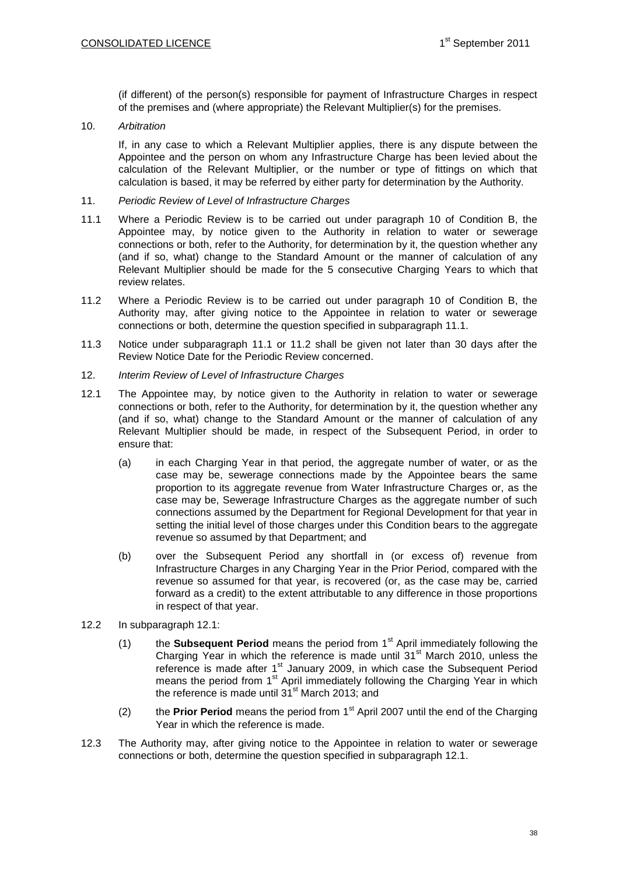(if different) of the person(s) responsible for payment of Infrastructure Charges in respect of the premises and (where appropriate) the Relevant Multiplier(s) for the premises.

10. *Arbitration*

If, in any case to which a Relevant Multiplier applies, there is any dispute between the Appointee and the person on whom any Infrastructure Charge has been levied about the calculation of the Relevant Multiplier, or the number or type of fittings on which that calculation is based, it may be referred by either party for determination by the Authority.

- 11. *Periodic Review of Level of Infrastructure Charges*
- 11.1 Where a Periodic Review is to be carried out under paragraph 10 of Condition B, the Appointee may, by notice given to the Authority in relation to water or sewerage connections or both, refer to the Authority, for determination by it, the question whether any (and if so, what) change to the Standard Amount or the manner of calculation of any Relevant Multiplier should be made for the 5 consecutive Charging Years to which that review relates.
- 11.2 Where a Periodic Review is to be carried out under paragraph 10 of Condition B, the Authority may, after giving notice to the Appointee in relation to water or sewerage connections or both, determine the question specified in subparagraph 11.1.
- 11.3 Notice under subparagraph 11.1 or 11.2 shall be given not later than 30 days after the Review Notice Date for the Periodic Review concerned.
- 12. *Interim Review of Level of Infrastructure Charges*
- 12.1 The Appointee may, by notice given to the Authority in relation to water or sewerage connections or both, refer to the Authority, for determination by it, the question whether any (and if so, what) change to the Standard Amount or the manner of calculation of any Relevant Multiplier should be made, in respect of the Subsequent Period, in order to ensure that:
	- (a) in each Charging Year in that period, the aggregate number of water, or as the case may be, sewerage connections made by the Appointee bears the same proportion to its aggregate revenue from Water Infrastructure Charges or, as the case may be, Sewerage Infrastructure Charges as the aggregate number of such connections assumed by the Department for Regional Development for that year in setting the initial level of those charges under this Condition bears to the aggregate revenue so assumed by that Department; and
	- (b) over the Subsequent Period any shortfall in (or excess of) revenue from Infrastructure Charges in any Charging Year in the Prior Period, compared with the revenue so assumed for that year, is recovered (or, as the case may be, carried forward as a credit) to the extent attributable to any difference in those proportions in respect of that year.
- 12.2 In subparagraph 12.1:
	- (1) the **Subsequent Period** means the period from 1<sup>st</sup> April immediately following the Charging Year in which the reference is made until  $31<sup>st</sup>$  March 2010, unless the reference is made after  $1<sup>st</sup>$  January 2009, in which case the Subsequent Period means the period from 1<sup>st</sup> April immediately following the Charging Year in which the reference is made until  $31<sup>st</sup>$  March 2013; and
	- (2) the **Prior Period** means the period from 1<sup>st</sup> April 2007 until the end of the Charging Year in which the reference is made.
- 12.3 The Authority may, after giving notice to the Appointee in relation to water or sewerage connections or both, determine the question specified in subparagraph 12.1.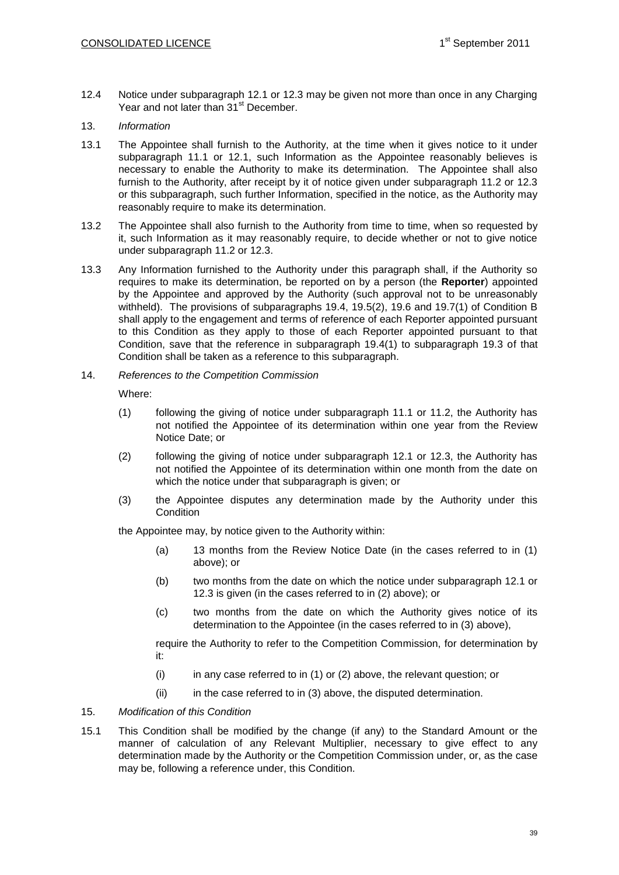12.4 Notice under subparagraph 12.1 or 12.3 may be given not more than once in any Charging Year and not later than 31<sup>st</sup> December.

### 13. *Information*

- 13.1 The Appointee shall furnish to the Authority, at the time when it gives notice to it under subparagraph 11.1 or 12.1, such Information as the Appointee reasonably believes is necessary to enable the Authority to make its determination. The Appointee shall also furnish to the Authority, after receipt by it of notice given under subparagraph 11.2 or 12.3 or this subparagraph, such further Information, specified in the notice, as the Authority may reasonably require to make its determination.
- 13.2 The Appointee shall also furnish to the Authority from time to time, when so requested by it, such Information as it may reasonably require, to decide whether or not to give notice under subparagraph 11.2 or 12.3.
- 13.3 Any Information furnished to the Authority under this paragraph shall, if the Authority so requires to make its determination, be reported on by a person (the **Reporter**) appointed by the Appointee and approved by the Authority (such approval not to be unreasonably withheld). The provisions of subparagraphs 19.4, 19.5(2), 19.6 and 19.7(1) of Condition B shall apply to the engagement and terms of reference of each Reporter appointed pursuant to this Condition as they apply to those of each Reporter appointed pursuant to that Condition, save that the reference in subparagraph 19.4(1) to subparagraph 19.3 of that Condition shall be taken as a reference to this subparagraph.
- 14. *References to the Competition Commission*

Where:

- (1) following the giving of notice under subparagraph 11.1 or 11.2, the Authority has not notified the Appointee of its determination within one year from the Review Notice Date; or
- (2) following the giving of notice under subparagraph 12.1 or 12.3, the Authority has not notified the Appointee of its determination within one month from the date on which the notice under that subparagraph is given; or
- (3) the Appointee disputes any determination made by the Authority under this **Condition**

the Appointee may, by notice given to the Authority within:

- (a) 13 months from the Review Notice Date (in the cases referred to in (1) above); or
- (b) two months from the date on which the notice under subparagraph 12.1 or 12.3 is given (in the cases referred to in (2) above); or
- (c) two months from the date on which the Authority gives notice of its determination to the Appointee (in the cases referred to in (3) above),

require the Authority to refer to the Competition Commission, for determination by it:

- $(i)$  in any case referred to in  $(1)$  or  $(2)$  above, the relevant question; or
- $(ii)$  in the case referred to in  $(3)$  above, the disputed determination.

## 15. *Modification of this Condition*

15.1 This Condition shall be modified by the change (if any) to the Standard Amount or the manner of calculation of any Relevant Multiplier, necessary to give effect to any determination made by the Authority or the Competition Commission under, or, as the case may be, following a reference under, this Condition.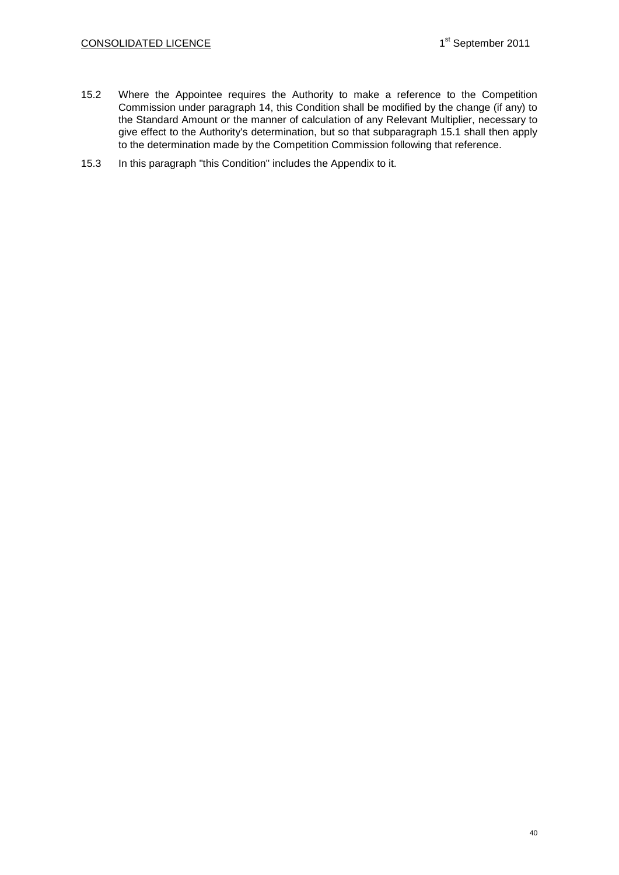- 15.2 Where the Appointee requires the Authority to make a reference to the Competition Commission under paragraph 14, this Condition shall be modified by the change (if any) to the Standard Amount or the manner of calculation of any Relevant Multiplier, necessary to give effect to the Authority's determination, but so that subparagraph 15.1 shall then apply to the determination made by the Competition Commission following that reference.
- 15.3 In this paragraph "this Condition" includes the Appendix to it.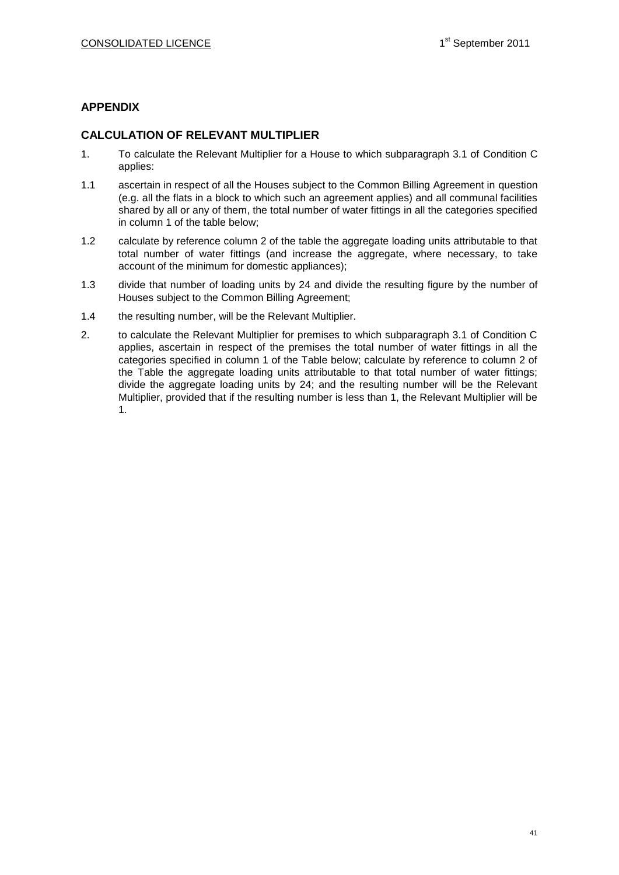# **APPENDIX**

# **CALCULATION OF RELEVANT MULTIPLIER**

- 1. To calculate the Relevant Multiplier for a House to which subparagraph 3.1 of Condition C applies:
- 1.1 ascertain in respect of all the Houses subject to the Common Billing Agreement in question (e.g. all the flats in a block to which such an agreement applies) and all communal facilities shared by all or any of them, the total number of water fittings in all the categories specified in column 1 of the table below;
- 1.2 calculate by reference column 2 of the table the aggregate loading units attributable to that total number of water fittings (and increase the aggregate, where necessary, to take account of the minimum for domestic appliances);
- 1.3 divide that number of loading units by 24 and divide the resulting figure by the number of Houses subject to the Common Billing Agreement;
- 1.4 the resulting number, will be the Relevant Multiplier.
- 2. to calculate the Relevant Multiplier for premises to which subparagraph 3.1 of Condition C applies, ascertain in respect of the premises the total number of water fittings in all the categories specified in column 1 of the Table below; calculate by reference to column 2 of the Table the aggregate loading units attributable to that total number of water fittings; divide the aggregate loading units by 24; and the resulting number will be the Relevant Multiplier, provided that if the resulting number is less than 1, the Relevant Multiplier will be 1.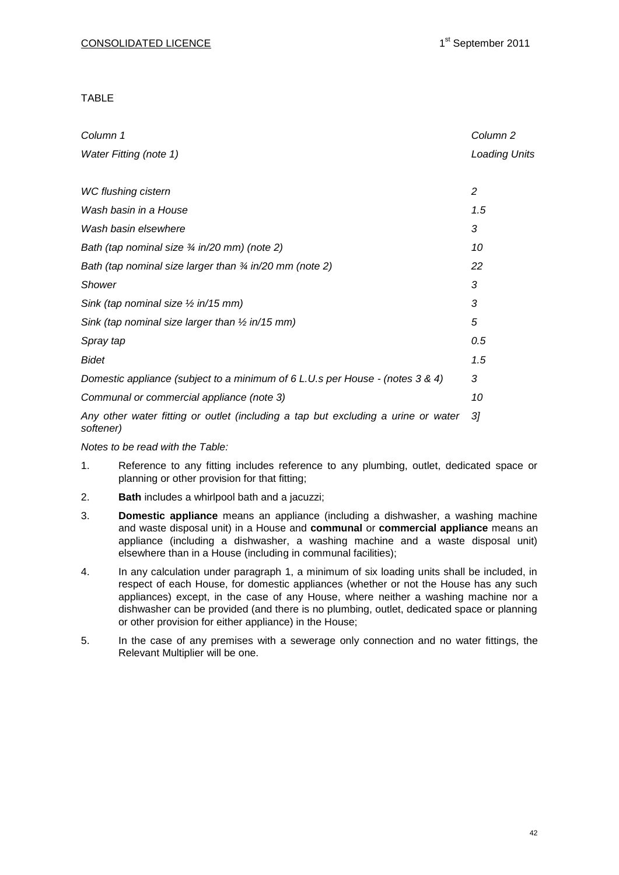TABLE

| Column 1                                                                                       | Column <sub>2</sub>  |
|------------------------------------------------------------------------------------------------|----------------------|
| <b>Water Fitting (note 1)</b>                                                                  | <b>Loading Units</b> |
|                                                                                                |                      |
| <b>WC flushing cistern</b>                                                                     | 2                    |
| Wash basin in a House                                                                          | 1.5                  |
| Wash basin elsewhere                                                                           | 3                    |
| Bath (tap nominal size 3/4 in/20 mm) (note 2)                                                  | 10                   |
| Bath (tap nominal size larger than $\frac{3}{4}$ in/20 mm (note 2)                             | 22                   |
| <b>Shower</b>                                                                                  | 3                    |
| Sink (tap nominal size $\frac{1}{2}$ in/15 mm)                                                 | 3                    |
| Sink (tap nominal size larger than $\frac{1}{2}$ in/15 mm)                                     | 5                    |
| Spray tap                                                                                      | 0.5                  |
| <b>Bidet</b>                                                                                   | 1.5                  |
| Domestic appliance (subject to a minimum of 6 L.U.s per House - (notes 3 & 4)                  | 3                    |
| Communal or commercial appliance (note 3)                                                      | 10                   |
| Any other water fitting or outlet (including a tap but excluding a urine or water<br>softener) | 31                   |

*Notes to be read with the Table:*

- 1. Reference to any fitting includes reference to any plumbing, outlet, dedicated space or planning or other provision for that fitting;
- 2. **Bath** includes a whirlpool bath and a jacuzzi;
- 3. **Domestic appliance** means an appliance (including a dishwasher, a washing machine and waste disposal unit) in a House and **communal** or **commercial appliance** means an appliance (including a dishwasher, a washing machine and a waste disposal unit) elsewhere than in a House (including in communal facilities);
- 4. In any calculation under paragraph 1, a minimum of six loading units shall be included, in respect of each House, for domestic appliances (whether or not the House has any such appliances) except, in the case of any House, where neither a washing machine nor a dishwasher can be provided (and there is no plumbing, outlet, dedicated space or planning or other provision for either appliance) in the House;
- 5. In the case of any premises with a sewerage only connection and no water fittings, the Relevant Multiplier will be one.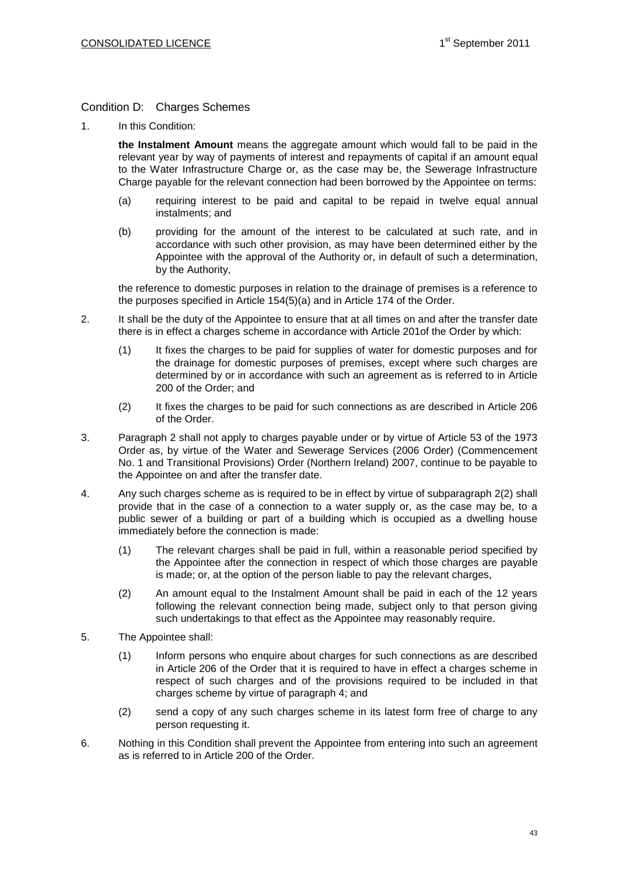# Condition D: Charges Schemes

1. In this Condition:

**the Instalment Amount** means the aggregate amount which would fall to be paid in the relevant year by way of payments of interest and repayments of capital if an amount equal to the Water Infrastructure Charge or, as the case may be, the Sewerage Infrastructure Charge payable for the relevant connection had been borrowed by the Appointee on terms:

- (a) requiring interest to be paid and capital to be repaid in twelve equal annual instalments; and
- (b) providing for the amount of the interest to be calculated at such rate, and in accordance with such other provision, as may have been determined either by the Appointee with the approval of the Authority or, in default of such a determination, by the Authority,

the reference to domestic purposes in relation to the drainage of premises is a reference to the purposes specified in Article 154(5)(a) and in Article 174 of the Order.

- 2. It shall be the duty of the Appointee to ensure that at all times on and after the transfer date there is in effect a charges scheme in accordance with Article 201of the Order by which:
	- (1) It fixes the charges to be paid for supplies of water for domestic purposes and for the drainage for domestic purposes of premises, except where such charges are determined by or in accordance with such an agreement as is referred to in Article 200 of the Order; and
	- (2) It fixes the charges to be paid for such connections as are described in Article 206 of the Order.
- 3. Paragraph 2 shall not apply to charges payable under or by virtue of Article 53 of the 1973 Order as, by virtue of the Water and Sewerage Services (2006 Order) (Commencement No. 1 and Transitional Provisions) Order (Northern Ireland) 2007, continue to be payable to the Appointee on and after the transfer date.
- 4. Any such charges scheme as is required to be in effect by virtue of subparagraph 2(2) shall provide that in the case of a connection to a water supply or, as the case may be, to a public sewer of a building or part of a building which is occupied as a dwelling house immediately before the connection is made:
	- (1) The relevant charges shall be paid in full, within a reasonable period specified by the Appointee after the connection in respect of which those charges are payable is made; or, at the option of the person liable to pay the relevant charges,
	- (2) An amount equal to the Instalment Amount shall be paid in each of the 12 years following the relevant connection being made, subject only to that person giving such undertakings to that effect as the Appointee may reasonably require.
- 5. The Appointee shall:
	- (1) Inform persons who enquire about charges for such connections as are described in Article 206 of the Order that it is required to have in effect a charges scheme in respect of such charges and of the provisions required to be included in that charges scheme by virtue of paragraph 4; and
	- (2) send a copy of any such charges scheme in its latest form free of charge to any person requesting it.
- 6. Nothing in this Condition shall prevent the Appointee from entering into such an agreement as is referred to in Article 200 of the Order.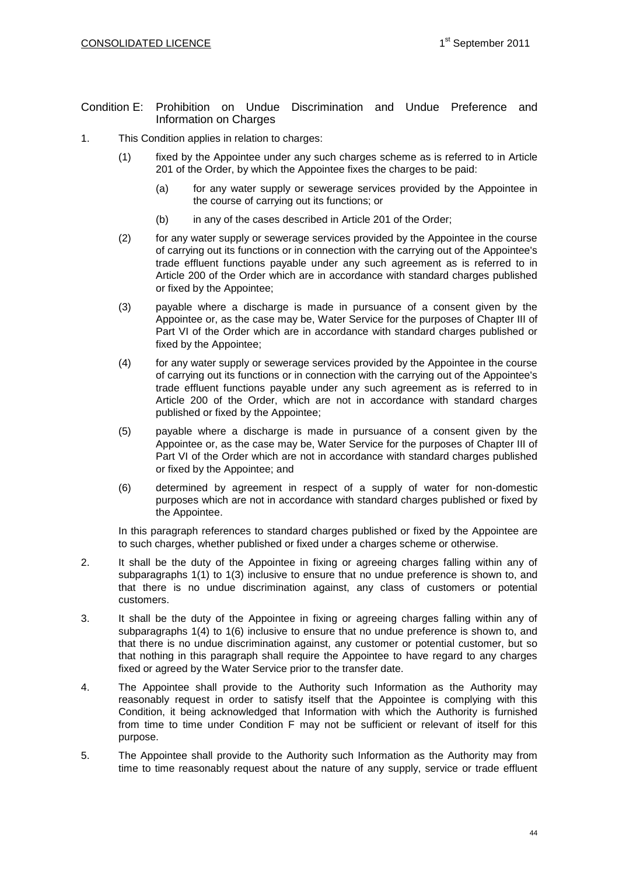- Condition E: Prohibition on Undue Discrimination and Undue Preference and Information on Charges
- 1. This Condition applies in relation to charges:
	- (1) fixed by the Appointee under any such charges scheme as is referred to in Article 201 of the Order, by which the Appointee fixes the charges to be paid:
		- (a) for any water supply or sewerage services provided by the Appointee in the course of carrying out its functions; or
		- (b) in any of the cases described in Article 201 of the Order;
	- (2) for any water supply or sewerage services provided by the Appointee in the course of carrying out its functions or in connection with the carrying out of the Appointee's trade effluent functions payable under any such agreement as is referred to in Article 200 of the Order which are in accordance with standard charges published or fixed by the Appointee;
	- (3) payable where a discharge is made in pursuance of a consent given by the Appointee or, as the case may be, Water Service for the purposes of Chapter III of Part VI of the Order which are in accordance with standard charges published or fixed by the Appointee;
	- (4) for any water supply or sewerage services provided by the Appointee in the course of carrying out its functions or in connection with the carrying out of the Appointee's trade effluent functions payable under any such agreement as is referred to in Article 200 of the Order, which are not in accordance with standard charges published or fixed by the Appointee;
	- (5) payable where a discharge is made in pursuance of a consent given by the Appointee or, as the case may be, Water Service for the purposes of Chapter III of Part VI of the Order which are not in accordance with standard charges published or fixed by the Appointee; and
	- (6) determined by agreement in respect of a supply of water for non-domestic purposes which are not in accordance with standard charges published or fixed by the Appointee.

In this paragraph references to standard charges published or fixed by the Appointee are to such charges, whether published or fixed under a charges scheme or otherwise.

- 2. It shall be the duty of the Appointee in fixing or agreeing charges falling within any of subparagraphs 1(1) to 1(3) inclusive to ensure that no undue preference is shown to, and that there is no undue discrimination against, any class of customers or potential customers.
- 3. It shall be the duty of the Appointee in fixing or agreeing charges falling within any of subparagraphs 1(4) to 1(6) inclusive to ensure that no undue preference is shown to, and that there is no undue discrimination against, any customer or potential customer, but so that nothing in this paragraph shall require the Appointee to have regard to any charges fixed or agreed by the Water Service prior to the transfer date.
- 4. The Appointee shall provide to the Authority such Information as the Authority may reasonably request in order to satisfy itself that the Appointee is complying with this Condition, it being acknowledged that Information with which the Authority is furnished from time to time under Condition F may not be sufficient or relevant of itself for this purpose.
- 5. The Appointee shall provide to the Authority such Information as the Authority may from time to time reasonably request about the nature of any supply, service or trade effluent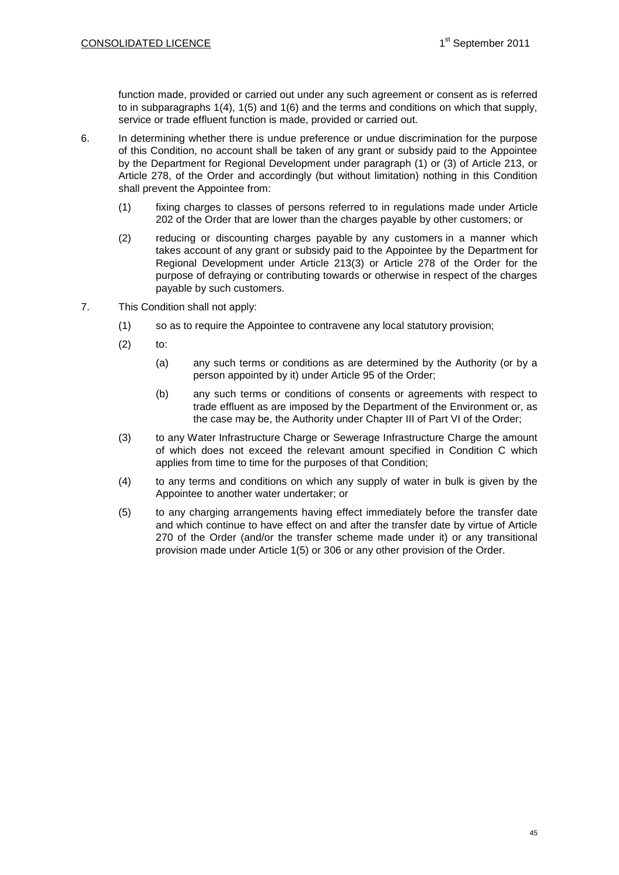function made, provided or carried out under any such agreement or consent as is referred to in subparagraphs 1(4), 1(5) and 1(6) and the terms and conditions on which that supply, service or trade effluent function is made, provided or carried out.

- 6. In determining whether there is undue preference or undue discrimination for the purpose of this Condition, no account shall be taken of any grant or subsidy paid to the Appointee by the Department for Regional Development under paragraph (1) or (3) of Article 213, or Article 278, of the Order and accordingly (but without limitation) nothing in this Condition shall prevent the Appointee from:
	- (1) fixing charges to classes of persons referred to in regulations made under Article 202 of the Order that are lower than the charges payable by other customers; or
	- (2) reducing or discounting charges payable by any customers in a manner which takes account of any grant or subsidy paid to the Appointee by the Department for Regional Development under Article 213(3) or Article 278 of the Order for the purpose of defraying or contributing towards or otherwise in respect of the charges payable by such customers.
- 7. This Condition shall not apply:
	- (1) so as to require the Appointee to contravene any local statutory provision;
	- $(2)$  to:
		- (a) any such terms or conditions as are determined by the Authority (or by a person appointed by it) under Article 95 of the Order;
		- (b) any such terms or conditions of consents or agreements with respect to trade effluent as are imposed by the Department of the Environment or, as the case may be, the Authority under Chapter III of Part VI of the Order;
	- (3) to any Water Infrastructure Charge or Sewerage Infrastructure Charge the amount of which does not exceed the relevant amount specified in Condition C which applies from time to time for the purposes of that Condition;
	- (4) to any terms and conditions on which any supply of water in bulk is given by the Appointee to another water undertaker; or
	- (5) to any charging arrangements having effect immediately before the transfer date and which continue to have effect on and after the transfer date by virtue of Article 270 of the Order (and/or the transfer scheme made under it) or any transitional provision made under Article 1(5) or 306 or any other provision of the Order.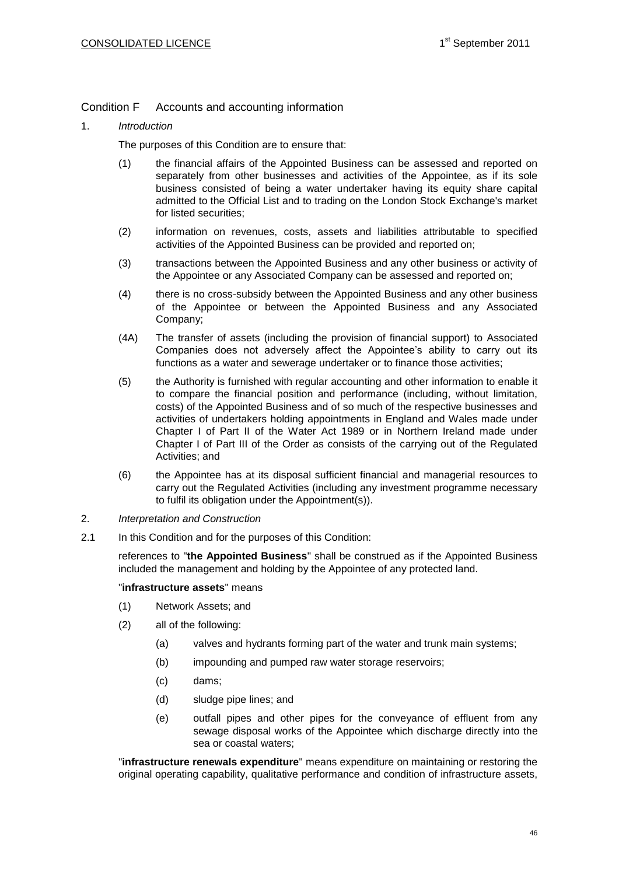Condition F Accounts and accounting information

1. *Introduction*

The purposes of this Condition are to ensure that:

- (1) the financial affairs of the Appointed Business can be assessed and reported on separately from other businesses and activities of the Appointee, as if its sole business consisted of being a water undertaker having its equity share capital admitted to the Official List and to trading on the London Stock Exchange's market for listed securities;
- (2) information on revenues, costs, assets and liabilities attributable to specified activities of the Appointed Business can be provided and reported on;
- (3) transactions between the Appointed Business and any other business or activity of the Appointee or any Associated Company can be assessed and reported on;
- (4) there is no cross-subsidy between the Appointed Business and any other business of the Appointee or between the Appointed Business and any Associated Company;
- (4A) The transfer of assets (including the provision of financial support) to Associated Companies does not adversely affect the Appointee's ability to carry out its functions as a water and sewerage undertaker or to finance those activities;
- (5) the Authority is furnished with regular accounting and other information to enable it to compare the financial position and performance (including, without limitation, costs) of the Appointed Business and of so much of the respective businesses and activities of undertakers holding appointments in England and Wales made under Chapter I of Part II of the Water Act 1989 or in Northern Ireland made under Chapter I of Part III of the Order as consists of the carrying out of the Regulated Activities; and
- (6) the Appointee has at its disposal sufficient financial and managerial resources to carry out the Regulated Activities (including any investment programme necessary to fulfil its obligation under the Appointment(s)).
- 2. *Interpretation and Construction*
- 2.1 In this Condition and for the purposes of this Condition:

references to "**the Appointed Business**" shall be construed as if the Appointed Business included the management and holding by the Appointee of any protected land.

### "**infrastructure assets**" means

- (1) Network Assets; and
- (2) all of the following:
	- (a) valves and hydrants forming part of the water and trunk main systems;
	- (b) impounding and pumped raw water storage reservoirs;
	- (c) dams;
	- (d) sludge pipe lines; and
	- (e) outfall pipes and other pipes for the conveyance of effluent from any sewage disposal works of the Appointee which discharge directly into the sea or coastal waters;

"**infrastructure renewals expenditure**" means expenditure on maintaining or restoring the original operating capability, qualitative performance and condition of infrastructure assets,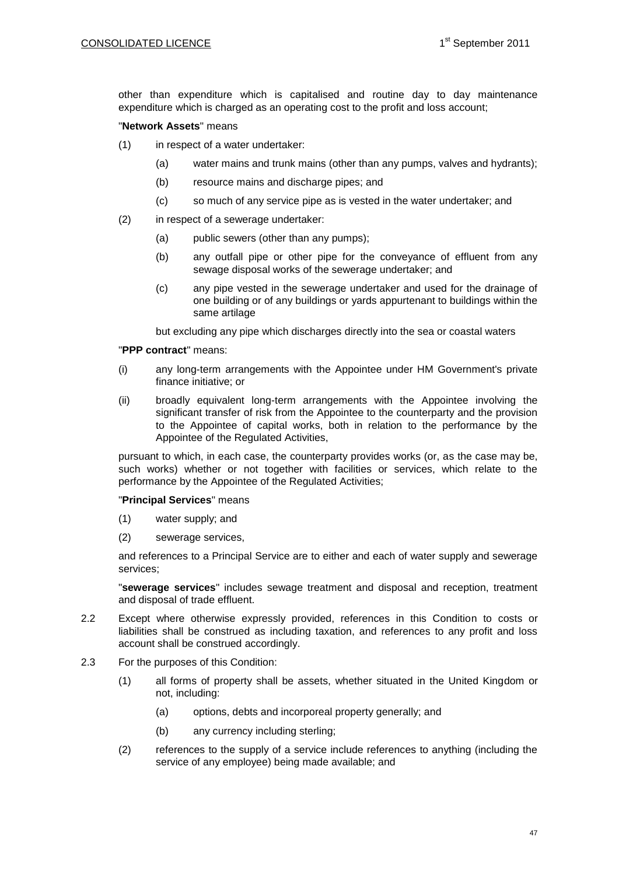other than expenditure which is capitalised and routine day to day maintenance expenditure which is charged as an operating cost to the profit and loss account;

### "**Network Assets**" means

- (1) in respect of a water undertaker:
	- (a) water mains and trunk mains (other than any pumps, valves and hydrants);
	- (b) resource mains and discharge pipes; and
	- (c) so much of any service pipe as is vested in the water undertaker; and
- (2) in respect of a sewerage undertaker:
	- (a) public sewers (other than any pumps);
	- (b) any outfall pipe or other pipe for the conveyance of effluent from any sewage disposal works of the sewerage undertaker; and
	- (c) any pipe vested in the sewerage undertaker and used for the drainage of one building or of any buildings or yards appurtenant to buildings within the same artilage

but excluding any pipe which discharges directly into the sea or coastal waters

### "**PPP contract**" means:

- (i) any long-term arrangements with the Appointee under HM Government's private finance initiative; or
- (ii) broadly equivalent long-term arrangements with the Appointee involving the significant transfer of risk from the Appointee to the counterparty and the provision to the Appointee of capital works, both in relation to the performance by the Appointee of the Regulated Activities,

pursuant to which, in each case, the counterparty provides works (or, as the case may be, such works) whether or not together with facilities or services, which relate to the performance by the Appointee of the Regulated Activities;

## "**Principal Services**" means

- (1) water supply; and
- (2) sewerage services,

and references to a Principal Service are to either and each of water supply and sewerage services;

"**sewerage services**" includes sewage treatment and disposal and reception, treatment and disposal of trade effluent.

- 2.2 Except where otherwise expressly provided, references in this Condition to costs or liabilities shall be construed as including taxation, and references to any profit and loss account shall be construed accordingly.
- 2.3 For the purposes of this Condition:
	- (1) all forms of property shall be assets, whether situated in the United Kingdom or not, including:
		- (a) options, debts and incorporeal property generally; and
		- (b) any currency including sterling;
	- (2) references to the supply of a service include references to anything (including the service of any employee) being made available; and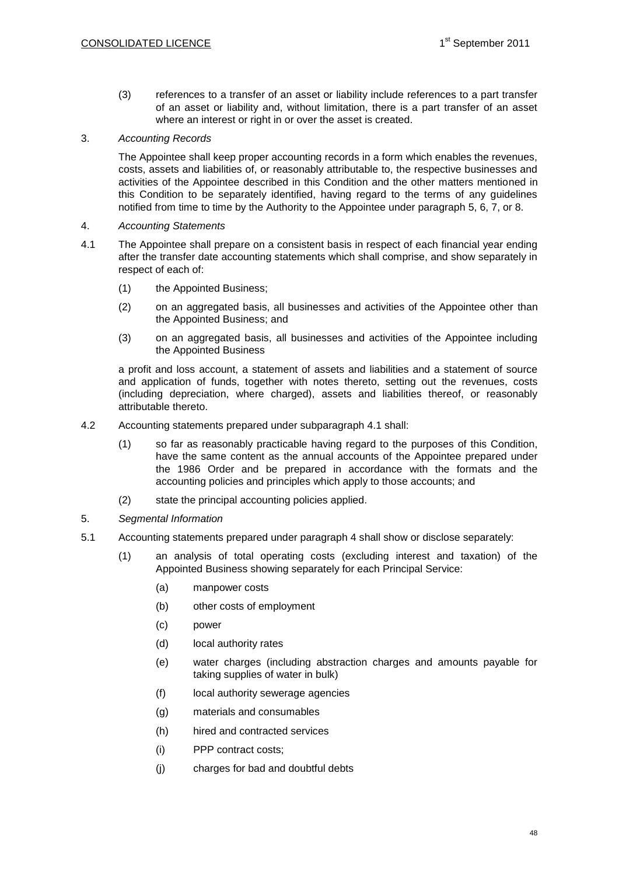(3) references to a transfer of an asset or liability include references to a part transfer of an asset or liability and, without limitation, there is a part transfer of an asset where an interest or right in or over the asset is created.

3. *Accounting Records*

The Appointee shall keep proper accounting records in a form which enables the revenues, costs, assets and liabilities of, or reasonably attributable to, the respective businesses and activities of the Appointee described in this Condition and the other matters mentioned in this Condition to be separately identified, having regard to the terms of any guidelines notified from time to time by the Authority to the Appointee under paragraph 5, 6, 7, or 8.

- 4. *Accounting Statements*
- 4.1 The Appointee shall prepare on a consistent basis in respect of each financial year ending after the transfer date accounting statements which shall comprise, and show separately in respect of each of:
	- (1) the Appointed Business;
	- (2) on an aggregated basis, all businesses and activities of the Appointee other than the Appointed Business; and
	- (3) on an aggregated basis, all businesses and activities of the Appointee including the Appointed Business

a profit and loss account, a statement of assets and liabilities and a statement of source and application of funds, together with notes thereto, setting out the revenues, costs (including depreciation, where charged), assets and liabilities thereof, or reasonably attributable thereto.

- 4.2 Accounting statements prepared under subparagraph 4.1 shall:
	- (1) so far as reasonably practicable having regard to the purposes of this Condition, have the same content as the annual accounts of the Appointee prepared under the 1986 Order and be prepared in accordance with the formats and the accounting policies and principles which apply to those accounts; and
	- (2) state the principal accounting policies applied.
- 5. *Segmental Information*
- 5.1 Accounting statements prepared under paragraph 4 shall show or disclose separately:
	- (1) an analysis of total operating costs (excluding interest and taxation) of the Appointed Business showing separately for each Principal Service:
		- (a) manpower costs
		- (b) other costs of employment
		- (c) power
		- (d) local authority rates
		- (e) water charges (including abstraction charges and amounts payable for taking supplies of water in bulk)
		- (f) local authority sewerage agencies
		- (g) materials and consumables
		- (h) hired and contracted services
		- (i) PPP contract costs;
		- (j) charges for bad and doubtful debts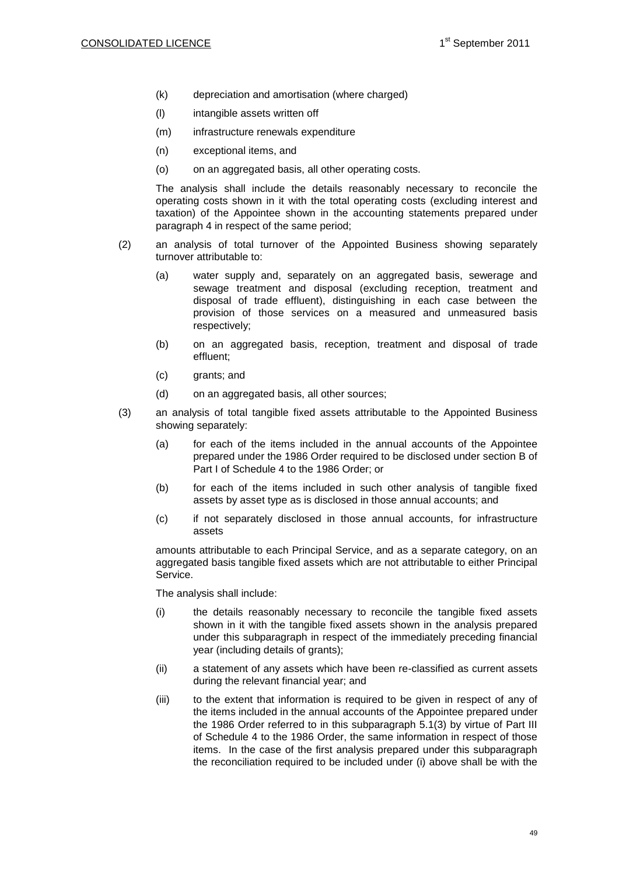- (k) depreciation and amortisation (where charged)
- (l) intangible assets written off
- (m) infrastructure renewals expenditure
- (n) exceptional items, and
- (o) on an aggregated basis, all other operating costs.

The analysis shall include the details reasonably necessary to reconcile the operating costs shown in it with the total operating costs (excluding interest and taxation) of the Appointee shown in the accounting statements prepared under paragraph 4 in respect of the same period;

- (2) an analysis of total turnover of the Appointed Business showing separately turnover attributable to:
	- (a) water supply and, separately on an aggregated basis, sewerage and sewage treatment and disposal (excluding reception, treatment and disposal of trade effluent), distinguishing in each case between the provision of those services on a measured and unmeasured basis respectively;
	- (b) on an aggregated basis, reception, treatment and disposal of trade effluent;
	- (c) grants; and
	- (d) on an aggregated basis, all other sources;
- (3) an analysis of total tangible fixed assets attributable to the Appointed Business showing separately:
	- (a) for each of the items included in the annual accounts of the Appointee prepared under the 1986 Order required to be disclosed under section B of Part I of Schedule 4 to the 1986 Order; or
	- (b) for each of the items included in such other analysis of tangible fixed assets by asset type as is disclosed in those annual accounts; and
	- (c) if not separately disclosed in those annual accounts, for infrastructure assets

amounts attributable to each Principal Service, and as a separate category, on an aggregated basis tangible fixed assets which are not attributable to either Principal Service.

The analysis shall include:

- (i) the details reasonably necessary to reconcile the tangible fixed assets shown in it with the tangible fixed assets shown in the analysis prepared under this subparagraph in respect of the immediately preceding financial year (including details of grants);
- (ii) a statement of any assets which have been re-classified as current assets during the relevant financial year; and
- (iii) to the extent that information is required to be given in respect of any of the items included in the annual accounts of the Appointee prepared under the 1986 Order referred to in this subparagraph 5.1(3) by virtue of Part III of Schedule 4 to the 1986 Order, the same information in respect of those items. In the case of the first analysis prepared under this subparagraph the reconciliation required to be included under (i) above shall be with the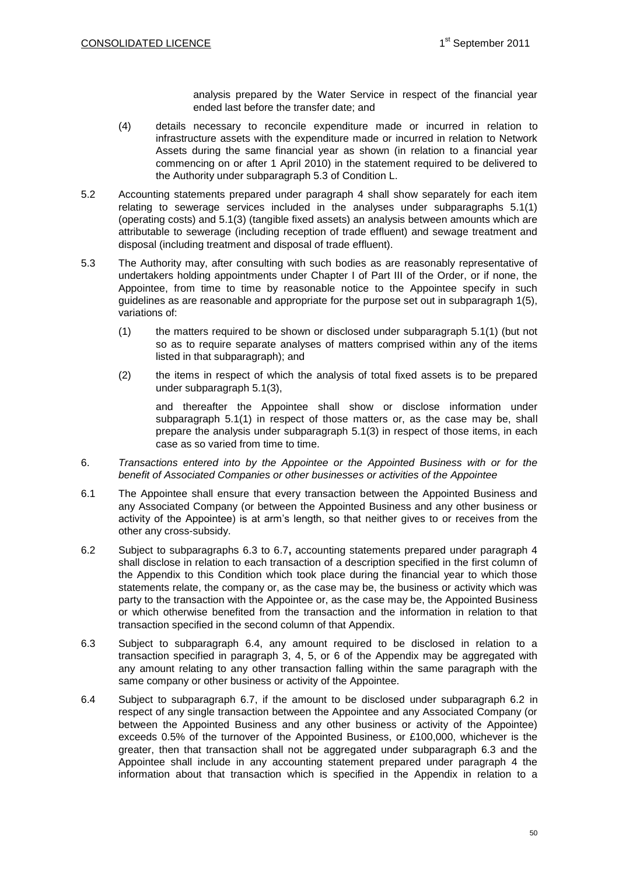analysis prepared by the Water Service in respect of the financial year ended last before the transfer date; and

- (4) details necessary to reconcile expenditure made or incurred in relation to infrastructure assets with the expenditure made or incurred in relation to Network Assets during the same financial year as shown (in relation to a financial year commencing on or after 1 April 2010) in the statement required to be delivered to the Authority under subparagraph 5.3 of Condition L.
- 5.2 Accounting statements prepared under paragraph 4 shall show separately for each item relating to sewerage services included in the analyses under subparagraphs 5.1(1) (operating costs) and 5.1(3) (tangible fixed assets) an analysis between amounts which are attributable to sewerage (including reception of trade effluent) and sewage treatment and disposal (including treatment and disposal of trade effluent).
- 5.3 The Authority may, after consulting with such bodies as are reasonably representative of undertakers holding appointments under Chapter I of Part III of the Order, or if none, the Appointee, from time to time by reasonable notice to the Appointee specify in such guidelines as are reasonable and appropriate for the purpose set out in subparagraph 1(5), variations of:
	- (1) the matters required to be shown or disclosed under subparagraph 5.1(1) (but not so as to require separate analyses of matters comprised within any of the items listed in that subparagraph); and
	- (2) the items in respect of which the analysis of total fixed assets is to be prepared under subparagraph 5.1(3),

and thereafter the Appointee shall show or disclose information under subparagraph 5.1(1) in respect of those matters or, as the case may be, shall prepare the analysis under subparagraph 5.1(3) in respect of those items, in each case as so varied from time to time.

- 6. *Transactions entered into by the Appointee or the Appointed Business with or for the benefit of Associated Companies or other businesses or activities of the Appointee*
- 6.1 The Appointee shall ensure that every transaction between the Appointed Business and any Associated Company (or between the Appointed Business and any other business or activity of the Appointee) is at arm's length, so that neither gives to or receives from the other any cross-subsidy.
- 6.2 Subject to subparagraphs 6.3 to 6.7**,** accounting statements prepared under paragraph 4 shall disclose in relation to each transaction of a description specified in the first column of the Appendix to this Condition which took place during the financial year to which those statements relate, the company or, as the case may be, the business or activity which was party to the transaction with the Appointee or, as the case may be, the Appointed Business or which otherwise benefited from the transaction and the information in relation to that transaction specified in the second column of that Appendix.
- 6.3 Subject to subparagraph 6.4, any amount required to be disclosed in relation to a transaction specified in paragraph 3, 4, 5, or 6 of the Appendix may be aggregated with any amount relating to any other transaction falling within the same paragraph with the same company or other business or activity of the Appointee.
- 6.4 Subject to subparagraph 6.7, if the amount to be disclosed under subparagraph 6.2 in respect of any single transaction between the Appointee and any Associated Company (or between the Appointed Business and any other business or activity of the Appointee) exceeds 0.5% of the turnover of the Appointed Business, or £100,000, whichever is the greater, then that transaction shall not be aggregated under subparagraph 6.3 and the Appointee shall include in any accounting statement prepared under paragraph 4 the information about that transaction which is specified in the Appendix in relation to a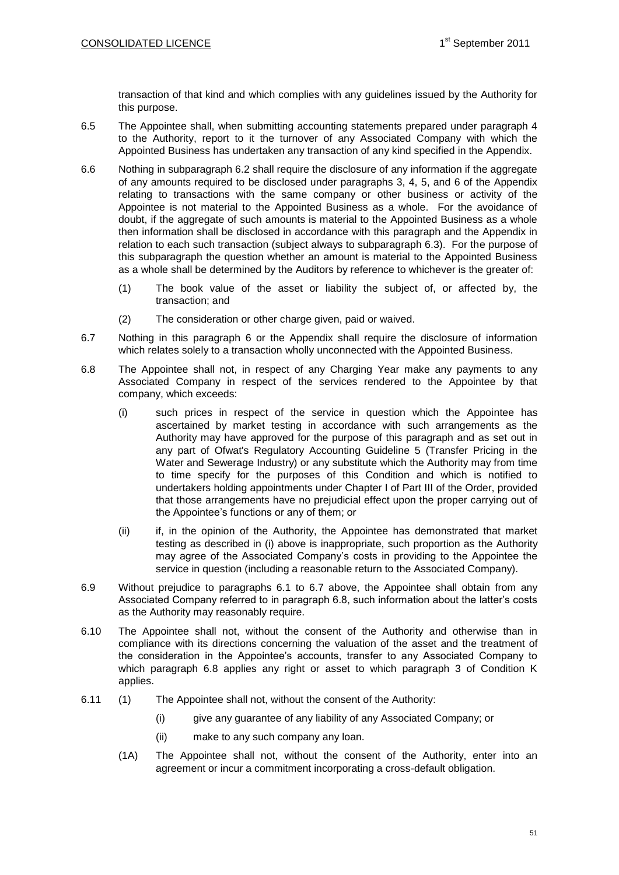transaction of that kind and which complies with any guidelines issued by the Authority for this purpose.

- 6.5 The Appointee shall, when submitting accounting statements prepared under paragraph 4 to the Authority, report to it the turnover of any Associated Company with which the Appointed Business has undertaken any transaction of any kind specified in the Appendix.
- 6.6 Nothing in subparagraph 6.2 shall require the disclosure of any information if the aggregate of any amounts required to be disclosed under paragraphs 3, 4, 5, and 6 of the Appendix relating to transactions with the same company or other business or activity of the Appointee is not material to the Appointed Business as a whole. For the avoidance of doubt, if the aggregate of such amounts is material to the Appointed Business as a whole then information shall be disclosed in accordance with this paragraph and the Appendix in relation to each such transaction (subject always to subparagraph 6.3). For the purpose of this subparagraph the question whether an amount is material to the Appointed Business as a whole shall be determined by the Auditors by reference to whichever is the greater of:
	- (1) The book value of the asset or liability the subject of, or affected by, the transaction; and
	- (2) The consideration or other charge given, paid or waived.
- 6.7 Nothing in this paragraph 6 or the Appendix shall require the disclosure of information which relates solely to a transaction wholly unconnected with the Appointed Business.
- 6.8 The Appointee shall not, in respect of any Charging Year make any payments to any Associated Company in respect of the services rendered to the Appointee by that company, which exceeds:
	- (i) such prices in respect of the service in question which the Appointee has ascertained by market testing in accordance with such arrangements as the Authority may have approved for the purpose of this paragraph and as set out in any part of Ofwat's Regulatory Accounting Guideline 5 (Transfer Pricing in the Water and Sewerage Industry) or any substitute which the Authority may from time to time specify for the purposes of this Condition and which is notified to undertakers holding appointments under Chapter I of Part III of the Order, provided that those arrangements have no prejudicial effect upon the proper carrying out of the Appointee's functions or any of them; or
	- (ii) if, in the opinion of the Authority, the Appointee has demonstrated that market testing as described in (i) above is inappropriate, such proportion as the Authority may agree of the Associated Company's costs in providing to the Appointee the service in question (including a reasonable return to the Associated Company).
- 6.9 Without prejudice to paragraphs 6.1 to 6.7 above, the Appointee shall obtain from any Associated Company referred to in paragraph 6.8, such information about the latter's costs as the Authority may reasonably require.
- 6.10 The Appointee shall not, without the consent of the Authority and otherwise than in compliance with its directions concerning the valuation of the asset and the treatment of the consideration in the Appointee's accounts, transfer to any Associated Company to which paragraph 6.8 applies any right or asset to which paragraph 3 of Condition K applies.
- 6.11 (1) The Appointee shall not, without the consent of the Authority:
	- (i) give any guarantee of any liability of any Associated Company; or
	- (ii) make to any such company any loan.
	- (1A) The Appointee shall not, without the consent of the Authority, enter into an agreement or incur a commitment incorporating a cross-default obligation.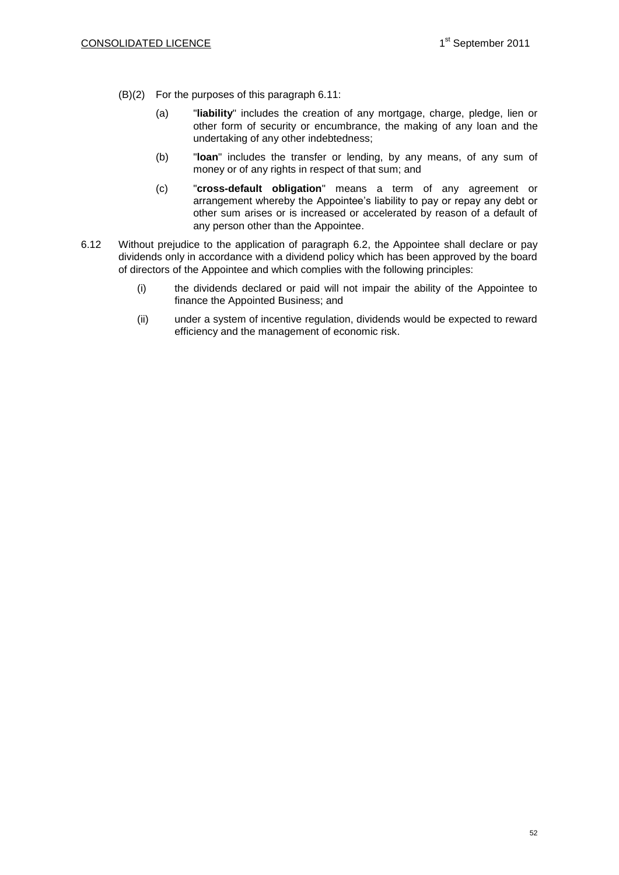- (B)(2) For the purposes of this paragraph 6.11:
	- (a) "**liability**" includes the creation of any mortgage, charge, pledge, lien or other form of security or encumbrance, the making of any loan and the undertaking of any other indebtedness;
	- (b) "**loan**" includes the transfer or lending, by any means, of any sum of money or of any rights in respect of that sum; and
	- (c) "**cross-default obligation**" means a term of any agreement or arrangement whereby the Appointee's liability to pay or repay any debt or other sum arises or is increased or accelerated by reason of a default of any person other than the Appointee.
- 6.12 Without prejudice to the application of paragraph 6.2, the Appointee shall declare or pay dividends only in accordance with a dividend policy which has been approved by the board of directors of the Appointee and which complies with the following principles:
	- (i) the dividends declared or paid will not impair the ability of the Appointee to finance the Appointed Business; and
	- (ii) under a system of incentive regulation, dividends would be expected to reward efficiency and the management of economic risk.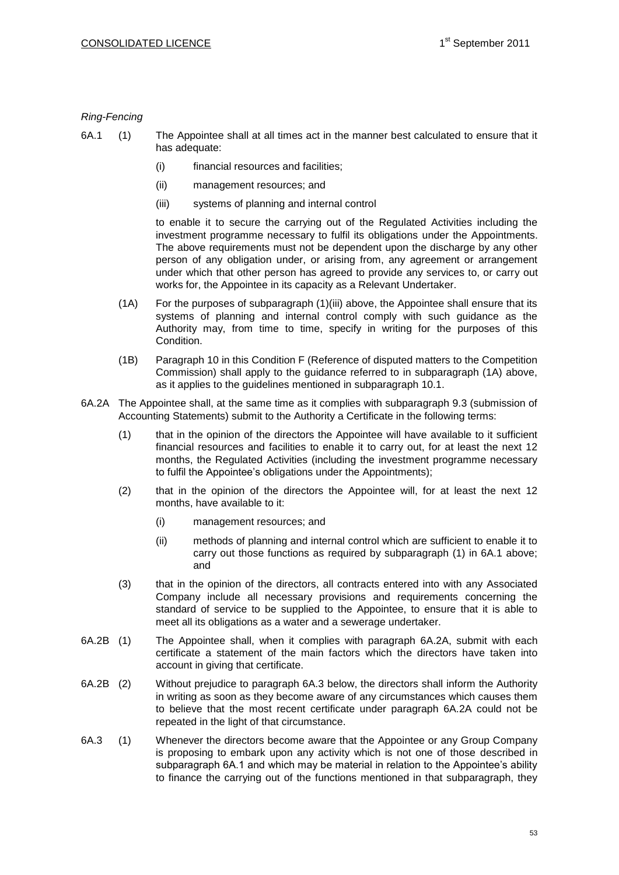### *Ring-Fencing*

6A.1 (1) The Appointee shall at all times act in the manner best calculated to ensure that it has adequate:

- (i) financial resources and facilities;
- (ii) management resources; and
- (iii) systems of planning and internal control

to enable it to secure the carrying out of the Regulated Activities including the investment programme necessary to fulfil its obligations under the Appointments. The above requirements must not be dependent upon the discharge by any other person of any obligation under, or arising from, any agreement or arrangement under which that other person has agreed to provide any services to, or carry out works for, the Appointee in its capacity as a Relevant Undertaker.

- (1A) For the purposes of subparagraph (1)(iii) above, the Appointee shall ensure that its systems of planning and internal control comply with such guidance as the Authority may, from time to time, specify in writing for the purposes of this Condition.
- (1B) Paragraph 10 in this Condition F (Reference of disputed matters to the Competition Commission) shall apply to the guidance referred to in subparagraph (1A) above, as it applies to the guidelines mentioned in subparagraph 10.1.
- 6A.2A The Appointee shall, at the same time as it complies with subparagraph 9.3 (submission of Accounting Statements) submit to the Authority a Certificate in the following terms:
	- (1) that in the opinion of the directors the Appointee will have available to it sufficient financial resources and facilities to enable it to carry out, for at least the next 12 months, the Regulated Activities (including the investment programme necessary to fulfil the Appointee's obligations under the Appointments);
	- (2) that in the opinion of the directors the Appointee will, for at least the next 12 months, have available to it:
		- (i) management resources; and
		- (ii) methods of planning and internal control which are sufficient to enable it to carry out those functions as required by subparagraph (1) in 6A.1 above; and
	- (3) that in the opinion of the directors, all contracts entered into with any Associated Company include all necessary provisions and requirements concerning the standard of service to be supplied to the Appointee, to ensure that it is able to meet all its obligations as a water and a sewerage undertaker.
- 6A.2B (1) The Appointee shall, when it complies with paragraph 6A.2A, submit with each certificate a statement of the main factors which the directors have taken into account in giving that certificate.
- 6A.2B (2) Without prejudice to paragraph 6A.3 below, the directors shall inform the Authority in writing as soon as they become aware of any circumstances which causes them to believe that the most recent certificate under paragraph 6A.2A could not be repeated in the light of that circumstance.
- 6A.3 (1) Whenever the directors become aware that the Appointee or any Group Company is proposing to embark upon any activity which is not one of those described in subparagraph 6A.1 and which may be material in relation to the Appointee's ability to finance the carrying out of the functions mentioned in that subparagraph, they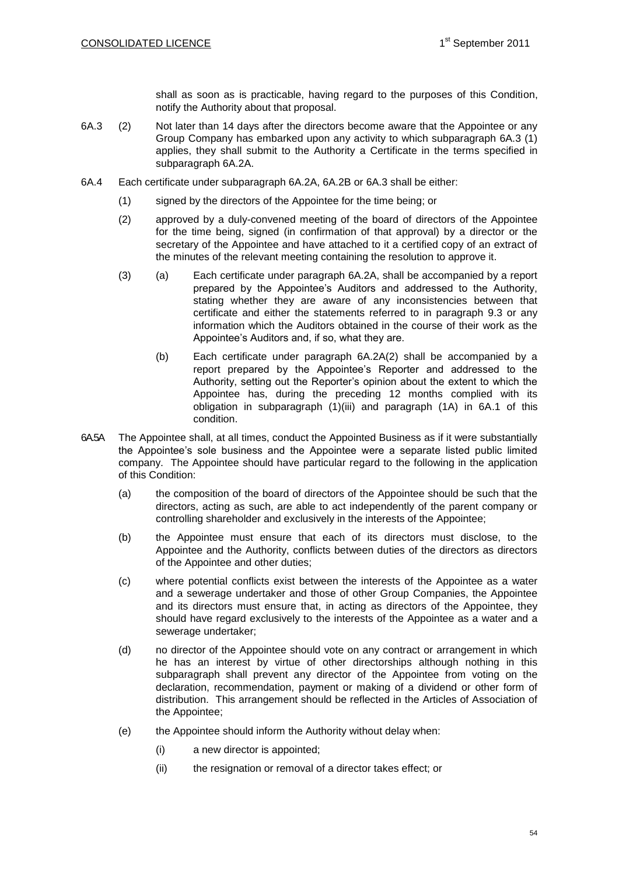shall as soon as is practicable, having regard to the purposes of this Condition, notify the Authority about that proposal.

- 6A.3 (2) Not later than 14 days after the directors become aware that the Appointee or any Group Company has embarked upon any activity to which subparagraph 6A.3 (1) applies, they shall submit to the Authority a Certificate in the terms specified in subparagraph 6A.2A.
- 6A.4 Each certificate under subparagraph 6A.2A, 6A.2B or 6A.3 shall be either:
	- (1) signed by the directors of the Appointee for the time being; or
	- (2) approved by a duly-convened meeting of the board of directors of the Appointee for the time being, signed (in confirmation of that approval) by a director or the secretary of the Appointee and have attached to it a certified copy of an extract of the minutes of the relevant meeting containing the resolution to approve it.
	- (3) (a) Each certificate under paragraph 6A.2A, shall be accompanied by a report prepared by the Appointee's Auditors and addressed to the Authority, stating whether they are aware of any inconsistencies between that certificate and either the statements referred to in paragraph 9.3 or any information which the Auditors obtained in the course of their work as the Appointee's Auditors and, if so, what they are.
		- (b) Each certificate under paragraph 6A.2A(2) shall be accompanied by a report prepared by the Appointee's Reporter and addressed to the Authority, setting out the Reporter's opinion about the extent to which the Appointee has, during the preceding 12 months complied with its obligation in subparagraph (1)(iii) and paragraph (1A) in 6A.1 of this condition.
- 6A.5A The Appointee shall, at all times, conduct the Appointed Business as if it were substantially the Appointee's sole business and the Appointee were a separate listed public limited company. The Appointee should have particular regard to the following in the application of this Condition:
	- (a) the composition of the board of directors of the Appointee should be such that the directors, acting as such, are able to act independently of the parent company or controlling shareholder and exclusively in the interests of the Appointee;
	- (b) the Appointee must ensure that each of its directors must disclose, to the Appointee and the Authority, conflicts between duties of the directors as directors of the Appointee and other duties;
	- (c) where potential conflicts exist between the interests of the Appointee as a water and a sewerage undertaker and those of other Group Companies, the Appointee and its directors must ensure that, in acting as directors of the Appointee, they should have regard exclusively to the interests of the Appointee as a water and a sewerage undertaker;
	- (d) no director of the Appointee should vote on any contract or arrangement in which he has an interest by virtue of other directorships although nothing in this subparagraph shall prevent any director of the Appointee from voting on the declaration, recommendation, payment or making of a dividend or other form of distribution. This arrangement should be reflected in the Articles of Association of the Appointee;
	- (e) the Appointee should inform the Authority without delay when:
		- (i) a new director is appointed;
		- (ii) the resignation or removal of a director takes effect; or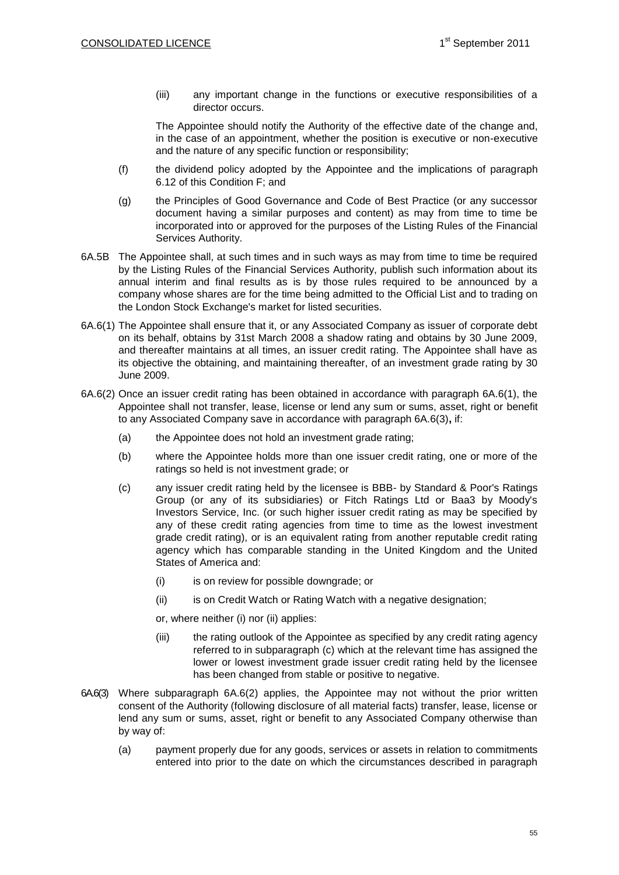(iii) any important change in the functions or executive responsibilities of a director occurs.

The Appointee should notify the Authority of the effective date of the change and, in the case of an appointment, whether the position is executive or non-executive and the nature of any specific function or responsibility;

- (f) the dividend policy adopted by the Appointee and the implications of paragraph 6.12 of this Condition F; and
- (g) the Principles of Good Governance and Code of Best Practice (or any successor document having a similar purposes and content) as may from time to time be incorporated into or approved for the purposes of the Listing Rules of the Financial Services Authority.
- 6A.5B The Appointee shall, at such times and in such ways as may from time to time be required by the Listing Rules of the Financial Services Authority, publish such information about its annual interim and final results as is by those rules required to be announced by a company whose shares are for the time being admitted to the Official List and to trading on the London Stock Exchange's market for listed securities.
- 6A.6(1) The Appointee shall ensure that it, or any Associated Company as issuer of corporate debt on its behalf, obtains by 31st March 2008 a shadow rating and obtains by 30 June 2009, and thereafter maintains at all times, an issuer credit rating. The Appointee shall have as its objective the obtaining, and maintaining thereafter, of an investment grade rating by 30 June 2009.
- 6A.6(2) Once an issuer credit rating has been obtained in accordance with paragraph 6A.6(1), the Appointee shall not transfer, lease, license or lend any sum or sums, asset, right or benefit to any Associated Company save in accordance with paragraph 6A.6(3)**,** if:
	- (a) the Appointee does not hold an investment grade rating;
	- (b) where the Appointee holds more than one issuer credit rating, one or more of the ratings so held is not investment grade; or
	- (c) any issuer credit rating held by the licensee is BBB- by Standard & Poor's Ratings Group (or any of its subsidiaries) or Fitch Ratings Ltd or Baa3 by Moody's Investors Service, Inc. (or such higher issuer credit rating as may be specified by any of these credit rating agencies from time to time as the lowest investment grade credit rating), or is an equivalent rating from another reputable credit rating agency which has comparable standing in the United Kingdom and the United States of America and:
		- (i) is on review for possible downgrade; or
		- (ii) is on Credit Watch or Rating Watch with a negative designation;
		- or, where neither (i) nor (ii) applies:
		- (iii) the rating outlook of the Appointee as specified by any credit rating agency referred to in subparagraph (c) which at the relevant time has assigned the lower or lowest investment grade issuer credit rating held by the licensee has been changed from stable or positive to negative.
- 6A.6(3) Where subparagraph 6A.6(2) applies, the Appointee may not without the prior written consent of the Authority (following disclosure of all material facts) transfer, lease, license or lend any sum or sums, asset, right or benefit to any Associated Company otherwise than by way of:
	- (a) payment properly due for any goods, services or assets in relation to commitments entered into prior to the date on which the circumstances described in paragraph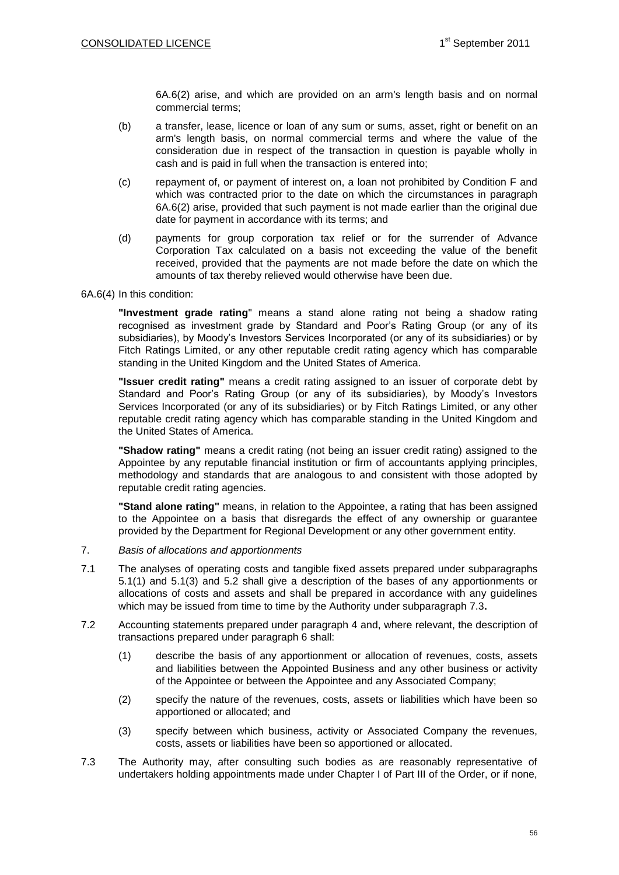6A.6(2) arise, and which are provided on an arm's length basis and on normal commercial terms;

- (b) a transfer, lease, licence or loan of any sum or sums, asset, right or benefit on an arm's length basis, on normal commercial terms and where the value of the consideration due in respect of the transaction in question is payable wholly in cash and is paid in full when the transaction is entered into;
- (c) repayment of, or payment of interest on, a loan not prohibited by Condition F and which was contracted prior to the date on which the circumstances in paragraph 6A.6(2) arise, provided that such payment is not made earlier than the original due date for payment in accordance with its terms; and
- (d) payments for group corporation tax relief or for the surrender of Advance Corporation Tax calculated on a basis not exceeding the value of the benefit received, provided that the payments are not made before the date on which the amounts of tax thereby relieved would otherwise have been due.

### 6A.6(4) In this condition:

**"Investment grade rating**" means a stand alone rating not being a shadow rating recognised as investment grade by Standard and Poor's Rating Group (or any of its subsidiaries), by Moody's Investors Services Incorporated (or any of its subsidiaries) or by Fitch Ratings Limited, or any other reputable credit rating agency which has comparable standing in the United Kingdom and the United States of America.

**"Issuer credit rating"** means a credit rating assigned to an issuer of corporate debt by Standard and Poor's Rating Group (or any of its subsidiaries), by Moody's Investors Services Incorporated (or any of its subsidiaries) or by Fitch Ratings Limited, or any other reputable credit rating agency which has comparable standing in the United Kingdom and the United States of America.

**"Shadow rating"** means a credit rating (not being an issuer credit rating) assigned to the Appointee by any reputable financial institution or firm of accountants applying principles, methodology and standards that are analogous to and consistent with those adopted by reputable credit rating agencies.

**"Stand alone rating"** means, in relation to the Appointee, a rating that has been assigned to the Appointee on a basis that disregards the effect of any ownership or guarantee provided by the Department for Regional Development or any other government entity.

- 7. *Basis of allocations and apportionments*
- 7.1 The analyses of operating costs and tangible fixed assets prepared under subparagraphs 5.1(1) and 5.1(3) and 5.2 shall give a description of the bases of any apportionments or allocations of costs and assets and shall be prepared in accordance with any guidelines which may be issued from time to time by the Authority under subparagraph 7.3**.**
- 7.2 Accounting statements prepared under paragraph 4 and, where relevant, the description of transactions prepared under paragraph 6 shall:
	- (1) describe the basis of any apportionment or allocation of revenues, costs, assets and liabilities between the Appointed Business and any other business or activity of the Appointee or between the Appointee and any Associated Company;
	- (2) specify the nature of the revenues, costs, assets or liabilities which have been so apportioned or allocated; and
	- (3) specify between which business, activity or Associated Company the revenues, costs, assets or liabilities have been so apportioned or allocated.
- 7.3 The Authority may, after consulting such bodies as are reasonably representative of undertakers holding appointments made under Chapter I of Part III of the Order, or if none,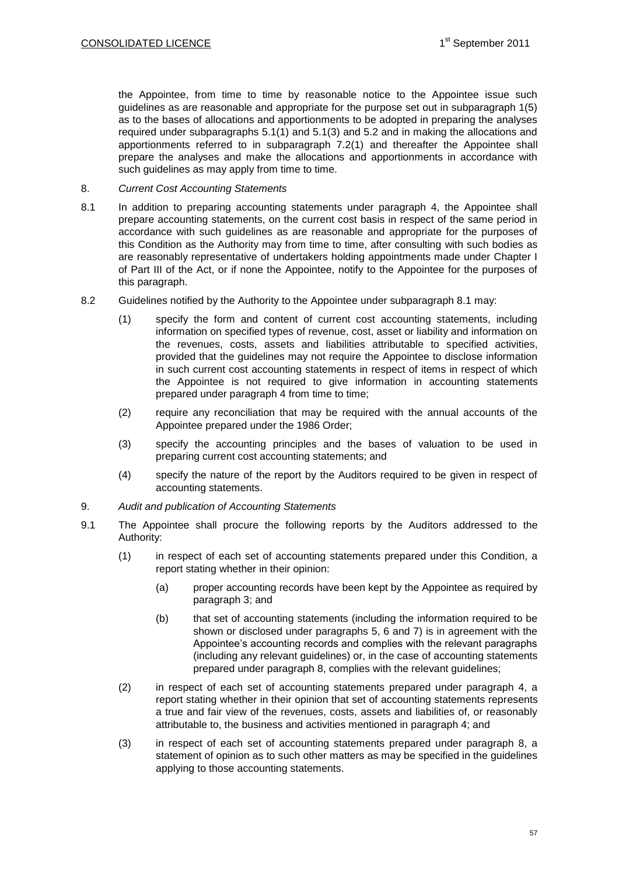the Appointee, from time to time by reasonable notice to the Appointee issue such guidelines as are reasonable and appropriate for the purpose set out in subparagraph 1(5) as to the bases of allocations and apportionments to be adopted in preparing the analyses required under subparagraphs 5.1(1) and 5.1(3) and 5.2 and in making the allocations and apportionments referred to in subparagraph 7.2(1) and thereafter the Appointee shall prepare the analyses and make the allocations and apportionments in accordance with such guidelines as may apply from time to time.

### 8. *Current Cost Accounting Statements*

- 8.1 In addition to preparing accounting statements under paragraph 4, the Appointee shall prepare accounting statements, on the current cost basis in respect of the same period in accordance with such guidelines as are reasonable and appropriate for the purposes of this Condition as the Authority may from time to time, after consulting with such bodies as are reasonably representative of undertakers holding appointments made under Chapter I of Part III of the Act, or if none the Appointee, notify to the Appointee for the purposes of this paragraph.
- 8.2 Guidelines notified by the Authority to the Appointee under subparagraph 8.1 may:
	- (1) specify the form and content of current cost accounting statements, including information on specified types of revenue, cost, asset or liability and information on the revenues, costs, assets and liabilities attributable to specified activities, provided that the guidelines may not require the Appointee to disclose information in such current cost accounting statements in respect of items in respect of which the Appointee is not required to give information in accounting statements prepared under paragraph 4 from time to time;
	- (2) require any reconciliation that may be required with the annual accounts of the Appointee prepared under the 1986 Order;
	- (3) specify the accounting principles and the bases of valuation to be used in preparing current cost accounting statements; and
	- (4) specify the nature of the report by the Auditors required to be given in respect of accounting statements.
- 9. *Audit and publication of Accounting Statements*
- 9.1 The Appointee shall procure the following reports by the Auditors addressed to the Authority:
	- (1) in respect of each set of accounting statements prepared under this Condition, a report stating whether in their opinion:
		- (a) proper accounting records have been kept by the Appointee as required by paragraph 3; and
		- (b) that set of accounting statements (including the information required to be shown or disclosed under paragraphs 5, 6 and 7) is in agreement with the Appointee's accounting records and complies with the relevant paragraphs (including any relevant guidelines) or, in the case of accounting statements prepared under paragraph 8, complies with the relevant guidelines;
	- (2) in respect of each set of accounting statements prepared under paragraph 4, a report stating whether in their opinion that set of accounting statements represents a true and fair view of the revenues, costs, assets and liabilities of, or reasonably attributable to, the business and activities mentioned in paragraph 4; and
	- (3) in respect of each set of accounting statements prepared under paragraph 8, a statement of opinion as to such other matters as may be specified in the guidelines applying to those accounting statements.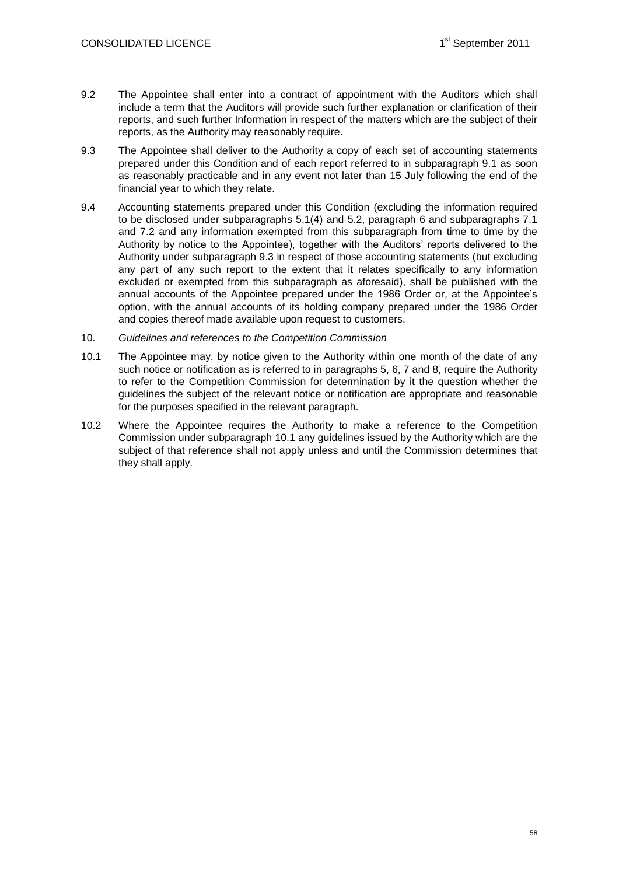- 9.2 The Appointee shall enter into a contract of appointment with the Auditors which shall include a term that the Auditors will provide such further explanation or clarification of their reports, and such further Information in respect of the matters which are the subject of their reports, as the Authority may reasonably require.
- 9.3 The Appointee shall deliver to the Authority a copy of each set of accounting statements prepared under this Condition and of each report referred to in subparagraph 9.1 as soon as reasonably practicable and in any event not later than 15 July following the end of the financial year to which they relate.
- 9.4 Accounting statements prepared under this Condition (excluding the information required to be disclosed under subparagraphs 5.1(4) and 5.2, paragraph 6 and subparagraphs 7.1 and 7.2 and any information exempted from this subparagraph from time to time by the Authority by notice to the Appointee), together with the Auditors' reports delivered to the Authority under subparagraph 9.3 in respect of those accounting statements (but excluding any part of any such report to the extent that it relates specifically to any information excluded or exempted from this subparagraph as aforesaid), shall be published with the annual accounts of the Appointee prepared under the 1986 Order or, at the Appointee's option, with the annual accounts of its holding company prepared under the 1986 Order and copies thereof made available upon request to customers.
- 10. *Guidelines and references to the Competition Commission*
- 10.1 The Appointee may, by notice given to the Authority within one month of the date of any such notice or notification as is referred to in paragraphs 5, 6, 7 and 8, require the Authority to refer to the Competition Commission for determination by it the question whether the guidelines the subject of the relevant notice or notification are appropriate and reasonable for the purposes specified in the relevant paragraph.
- 10.2 Where the Appointee requires the Authority to make a reference to the Competition Commission under subparagraph 10.1 any guidelines issued by the Authority which are the subject of that reference shall not apply unless and until the Commission determines that they shall apply.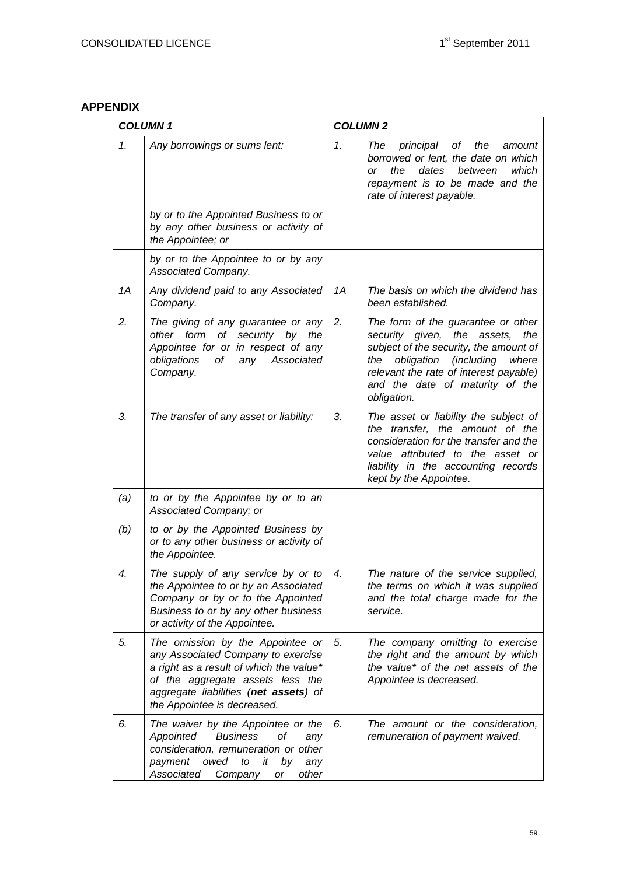# **APPENDIX**

| <b>COLUMN1</b> |                                                                                                                                                                                                                               | <b>COLUMN2</b>  |                                                                                                                                                                                                                                                                   |  |
|----------------|-------------------------------------------------------------------------------------------------------------------------------------------------------------------------------------------------------------------------------|-----------------|-------------------------------------------------------------------------------------------------------------------------------------------------------------------------------------------------------------------------------------------------------------------|--|
| 1.             | Any borrowings or sums lent:                                                                                                                                                                                                  | $\mathcal{I}$ . | The<br>principal<br>of<br>the<br>amount<br>borrowed or lent, the date on which<br>dates<br>the<br>between<br>which<br>or<br>repayment is to be made and the<br>rate of interest payable.                                                                          |  |
|                | by or to the Appointed Business to or<br>by any other business or activity of<br>the Appointee; or                                                                                                                            |                 |                                                                                                                                                                                                                                                                   |  |
|                | by or to the Appointee to or by any<br>Associated Company.                                                                                                                                                                    |                 |                                                                                                                                                                                                                                                                   |  |
| 1A             | Any dividend paid to any Associated<br>Company.                                                                                                                                                                               | 1A              | The basis on which the dividend has<br>been established.                                                                                                                                                                                                          |  |
| 2.             | The giving of any guarantee or any<br>other form of security by the<br>Appointee for or in respect of any<br>obligations<br>any<br>Associated<br>оf<br>Company.                                                               | 2.              | The form of the guarantee or other<br>security given, the assets,<br>the<br>subject of the security, the amount of<br>obligation<br><i>(including</i><br>the<br>where<br>relevant the rate of interest payable)<br>and the date of maturity of the<br>obligation. |  |
| 3.             | The transfer of any asset or liability:                                                                                                                                                                                       | 3.              | The asset or liability the subject of<br>transfer, the amount of the<br>the<br>consideration for the transfer and the<br>value attributed to the asset or<br>liability in the accounting records<br>kept by the Appointee.                                        |  |
| (a)            | to or by the Appointee by or to an<br>Associated Company; or                                                                                                                                                                  |                 |                                                                                                                                                                                                                                                                   |  |
| (b)            | to or by the Appointed Business by<br>or to any other business or activity of<br>the Appointee.                                                                                                                               |                 |                                                                                                                                                                                                                                                                   |  |
| 4.             | The supply of any service by or to<br>the Appointee to or by an Associated<br>Company or by or to the Appointed<br>Business to or by any other business<br>or activity of the Appointee.                                      | 4.              | The nature of the service supplied,<br>the terms on which it was supplied<br>and the total charge made for the<br>service.                                                                                                                                        |  |
| 5.             | The omission by the Appointee or<br>any Associated Company to exercise<br>a right as a result of which the value*<br>of the aggregate assets less the<br>aggregate liabilities (net assets) of<br>the Appointee is decreased. | 5.              | The company omitting to exercise<br>the right and the amount by which<br>the value* of the net assets of the<br>Appointee is decreased.                                                                                                                           |  |
| 6.             | The waiver by the Appointee or the<br><b>Business</b><br>Appointed<br>оf<br>any<br>consideration, remuneration or other<br>payment<br>it<br>by<br>owed<br>to<br>any<br>other<br>Associated Company<br>or                      | 6.              | The amount or the consideration,<br>remuneration of payment waived.                                                                                                                                                                                               |  |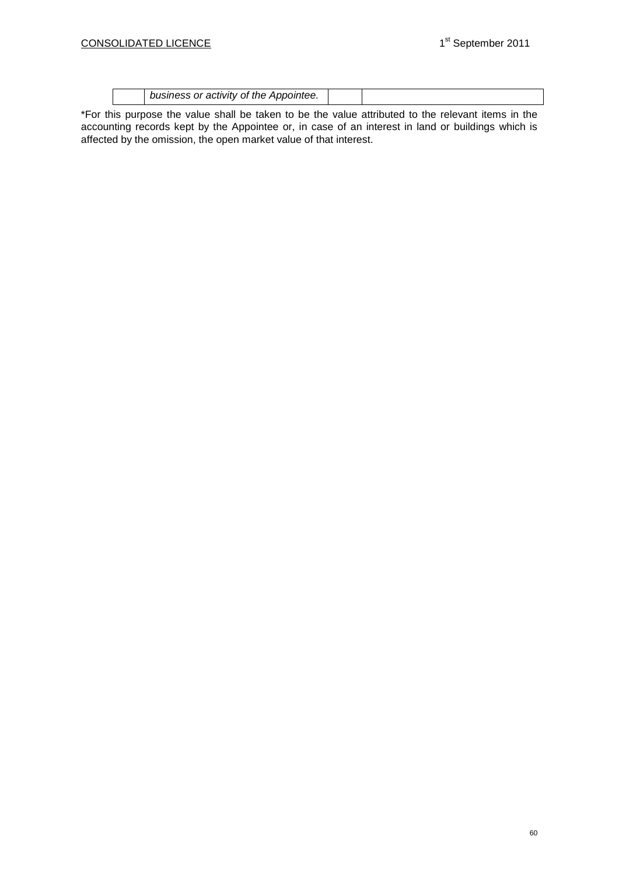| r activity of the Appointee.<br><i>ousiness or</i> |  |  |
|----------------------------------------------------|--|--|
|----------------------------------------------------|--|--|

\*For this purpose the value shall be taken to be the value attributed to the relevant items in the accounting records kept by the Appointee or, in case of an interest in land or buildings which is affected by the omission, the open market value of that interest.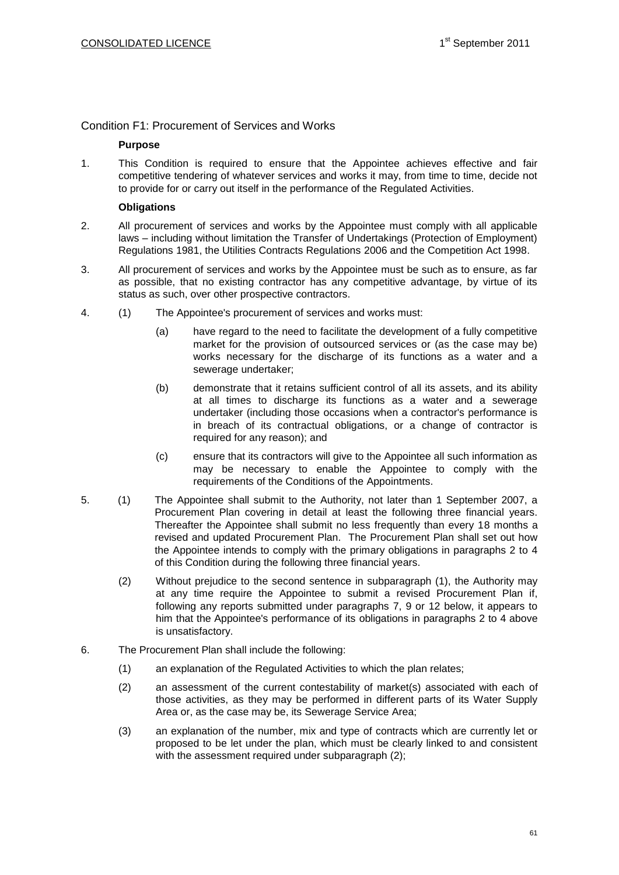# Condition F1: Procurement of Services and Works

### **Purpose**

1. This Condition is required to ensure that the Appointee achieves effective and fair competitive tendering of whatever services and works it may, from time to time, decide not to provide for or carry out itself in the performance of the Regulated Activities.

### **Obligations**

- 2. All procurement of services and works by the Appointee must comply with all applicable laws – including without limitation the Transfer of Undertakings (Protection of Employment) Regulations 1981, the Utilities Contracts Regulations 2006 and the Competition Act 1998.
- 3. All procurement of services and works by the Appointee must be such as to ensure, as far as possible, that no existing contractor has any competitive advantage, by virtue of its status as such, over other prospective contractors.
- 4. (1) The Appointee's procurement of services and works must:
	- (a) have regard to the need to facilitate the development of a fully competitive market for the provision of outsourced services or (as the case may be) works necessary for the discharge of its functions as a water and a sewerage undertaker;
	- (b) demonstrate that it retains sufficient control of all its assets, and its ability at all times to discharge its functions as a water and a sewerage undertaker (including those occasions when a contractor's performance is in breach of its contractual obligations, or a change of contractor is required for any reason); and
	- (c) ensure that its contractors will give to the Appointee all such information as may be necessary to enable the Appointee to comply with the requirements of the Conditions of the Appointments.
- 5. (1) The Appointee shall submit to the Authority, not later than 1 September 2007, a Procurement Plan covering in detail at least the following three financial years. Thereafter the Appointee shall submit no less frequently than every 18 months a revised and updated Procurement Plan. The Procurement Plan shall set out how the Appointee intends to comply with the primary obligations in paragraphs 2 to 4 of this Condition during the following three financial years.
	- (2) Without prejudice to the second sentence in subparagraph (1), the Authority may at any time require the Appointee to submit a revised Procurement Plan if, following any reports submitted under paragraphs 7, 9 or 12 below, it appears to him that the Appointee's performance of its obligations in paragraphs 2 to 4 above is unsatisfactory.
- 6. The Procurement Plan shall include the following:
	- (1) an explanation of the Regulated Activities to which the plan relates;
	- (2) an assessment of the current contestability of market(s) associated with each of those activities, as they may be performed in different parts of its Water Supply Area or, as the case may be, its Sewerage Service Area;
	- (3) an explanation of the number, mix and type of contracts which are currently let or proposed to be let under the plan, which must be clearly linked to and consistent with the assessment required under subparagraph (2);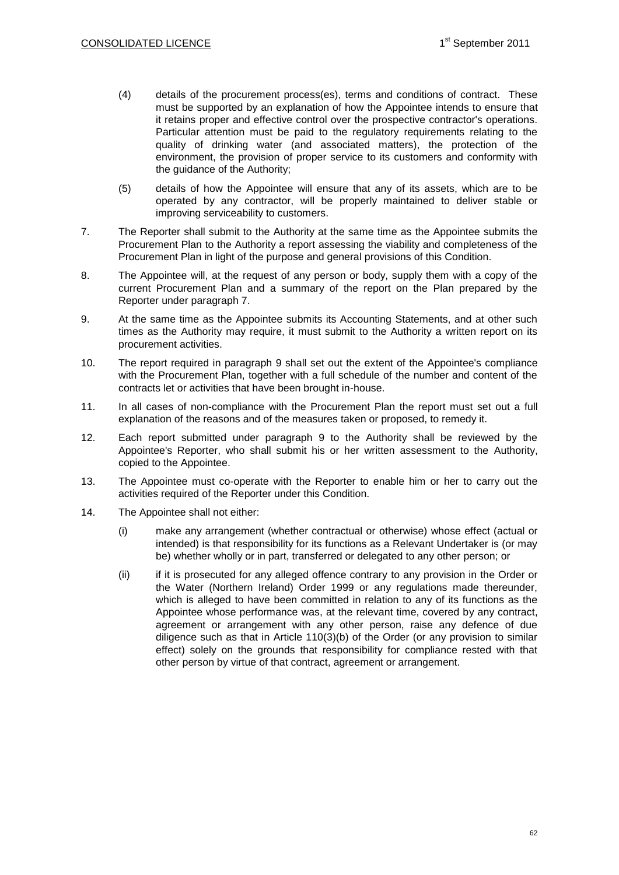- (4) details of the procurement process(es), terms and conditions of contract. These must be supported by an explanation of how the Appointee intends to ensure that it retains proper and effective control over the prospective contractor's operations. Particular attention must be paid to the regulatory requirements relating to the quality of drinking water (and associated matters), the protection of the environment, the provision of proper service to its customers and conformity with the guidance of the Authority;
- (5) details of how the Appointee will ensure that any of its assets, which are to be operated by any contractor, will be properly maintained to deliver stable or improving serviceability to customers.
- 7. The Reporter shall submit to the Authority at the same time as the Appointee submits the Procurement Plan to the Authority a report assessing the viability and completeness of the Procurement Plan in light of the purpose and general provisions of this Condition.
- 8. The Appointee will, at the request of any person or body, supply them with a copy of the current Procurement Plan and a summary of the report on the Plan prepared by the Reporter under paragraph 7.
- 9. At the same time as the Appointee submits its Accounting Statements, and at other such times as the Authority may require, it must submit to the Authority a written report on its procurement activities.
- 10. The report required in paragraph 9 shall set out the extent of the Appointee's compliance with the Procurement Plan, together with a full schedule of the number and content of the contracts let or activities that have been brought in-house.
- 11. In all cases of non-compliance with the Procurement Plan the report must set out a full explanation of the reasons and of the measures taken or proposed, to remedy it.
- 12. Each report submitted under paragraph 9 to the Authority shall be reviewed by the Appointee's Reporter, who shall submit his or her written assessment to the Authority, copied to the Appointee.
- 13. The Appointee must co-operate with the Reporter to enable him or her to carry out the activities required of the Reporter under this Condition.
- 14. The Appointee shall not either:
	- (i) make any arrangement (whether contractual or otherwise) whose effect (actual or intended) is that responsibility for its functions as a Relevant Undertaker is (or may be) whether wholly or in part, transferred or delegated to any other person; or
	- (ii) if it is prosecuted for any alleged offence contrary to any provision in the Order or the Water (Northern Ireland) Order 1999 or any regulations made thereunder, which is alleged to have been committed in relation to any of its functions as the Appointee whose performance was, at the relevant time, covered by any contract, agreement or arrangement with any other person, raise any defence of due diligence such as that in Article 110(3)(b) of the Order (or any provision to similar effect) solely on the grounds that responsibility for compliance rested with that other person by virtue of that contract, agreement or arrangement.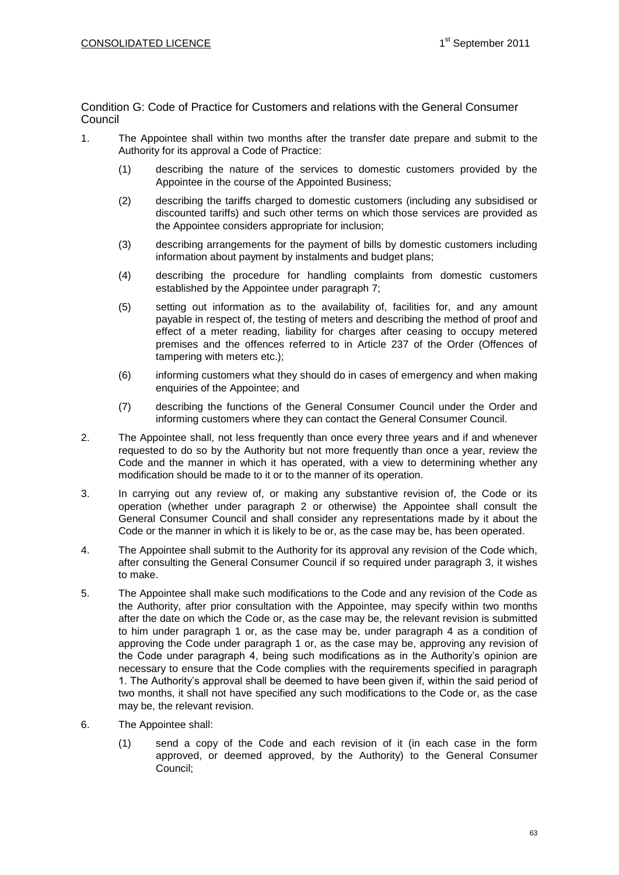Condition G: Code of Practice for Customers and relations with the General Consumer Council

- 1. The Appointee shall within two months after the transfer date prepare and submit to the Authority for its approval a Code of Practice:
	- (1) describing the nature of the services to domestic customers provided by the Appointee in the course of the Appointed Business;
	- (2) describing the tariffs charged to domestic customers (including any subsidised or discounted tariffs) and such other terms on which those services are provided as the Appointee considers appropriate for inclusion;
	- (3) describing arrangements for the payment of bills by domestic customers including information about payment by instalments and budget plans;
	- (4) describing the procedure for handling complaints from domestic customers established by the Appointee under paragraph 7;
	- (5) setting out information as to the availability of, facilities for, and any amount payable in respect of, the testing of meters and describing the method of proof and effect of a meter reading, liability for charges after ceasing to occupy metered premises and the offences referred to in Article 237 of the Order (Offences of tampering with meters etc.);
	- (6) informing customers what they should do in cases of emergency and when making enquiries of the Appointee; and
	- (7) describing the functions of the General Consumer Council under the Order and informing customers where they can contact the General Consumer Council.
- 2. The Appointee shall, not less frequently than once every three years and if and whenever requested to do so by the Authority but not more frequently than once a year, review the Code and the manner in which it has operated, with a view to determining whether any modification should be made to it or to the manner of its operation.
- 3. In carrying out any review of, or making any substantive revision of, the Code or its operation (whether under paragraph 2 or otherwise) the Appointee shall consult the General Consumer Council and shall consider any representations made by it about the Code or the manner in which it is likely to be or, as the case may be, has been operated.
- 4. The Appointee shall submit to the Authority for its approval any revision of the Code which, after consulting the General Consumer Council if so required under paragraph 3, it wishes to make.
- 5. The Appointee shall make such modifications to the Code and any revision of the Code as the Authority, after prior consultation with the Appointee, may specify within two months after the date on which the Code or, as the case may be, the relevant revision is submitted to him under paragraph 1 or, as the case may be, under paragraph 4 as a condition of approving the Code under paragraph 1 or, as the case may be, approving any revision of the Code under paragraph 4, being such modifications as in the Authority's opinion are necessary to ensure that the Code complies with the requirements specified in paragraph 1. The Authority's approval shall be deemed to have been given if, within the said period of two months, it shall not have specified any such modifications to the Code or, as the case may be, the relevant revision.
- 6. The Appointee shall:
	- (1) send a copy of the Code and each revision of it (in each case in the form approved, or deemed approved, by the Authority) to the General Consumer Council;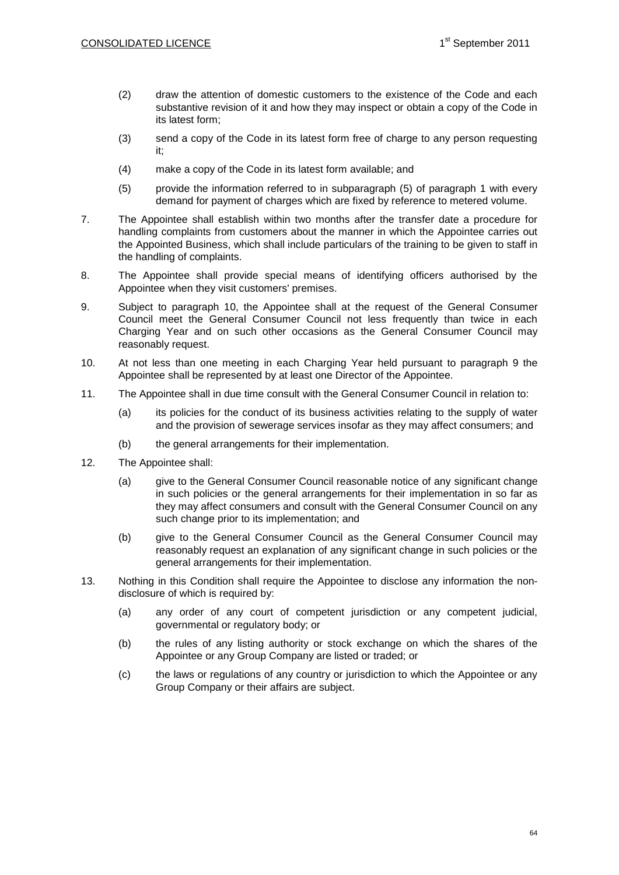- (2) draw the attention of domestic customers to the existence of the Code and each substantive revision of it and how they may inspect or obtain a copy of the Code in its latest form;
- (3) send a copy of the Code in its latest form free of charge to any person requesting it;
- (4) make a copy of the Code in its latest form available; and
- (5) provide the information referred to in subparagraph (5) of paragraph 1 with every demand for payment of charges which are fixed by reference to metered volume.
- 7. The Appointee shall establish within two months after the transfer date a procedure for handling complaints from customers about the manner in which the Appointee carries out the Appointed Business, which shall include particulars of the training to be given to staff in the handling of complaints.
- 8. The Appointee shall provide special means of identifying officers authorised by the Appointee when they visit customers' premises.
- 9. Subject to paragraph 10, the Appointee shall at the request of the General Consumer Council meet the General Consumer Council not less frequently than twice in each Charging Year and on such other occasions as the General Consumer Council may reasonably request.
- 10. At not less than one meeting in each Charging Year held pursuant to paragraph 9 the Appointee shall be represented by at least one Director of the Appointee.
- 11. The Appointee shall in due time consult with the General Consumer Council in relation to:
	- (a) its policies for the conduct of its business activities relating to the supply of water and the provision of sewerage services insofar as they may affect consumers; and
	- (b) the general arrangements for their implementation.
- 12. The Appointee shall:
	- (a) give to the General Consumer Council reasonable notice of any significant change in such policies or the general arrangements for their implementation in so far as they may affect consumers and consult with the General Consumer Council on any such change prior to its implementation; and
	- (b) give to the General Consumer Council as the General Consumer Council may reasonably request an explanation of any significant change in such policies or the general arrangements for their implementation.
- 13. Nothing in this Condition shall require the Appointee to disclose any information the nondisclosure of which is required by:
	- (a) any order of any court of competent jurisdiction or any competent judicial, governmental or regulatory body; or
	- (b) the rules of any listing authority or stock exchange on which the shares of the Appointee or any Group Company are listed or traded; or
	- (c) the laws or regulations of any country or jurisdiction to which the Appointee or any Group Company or their affairs are subject.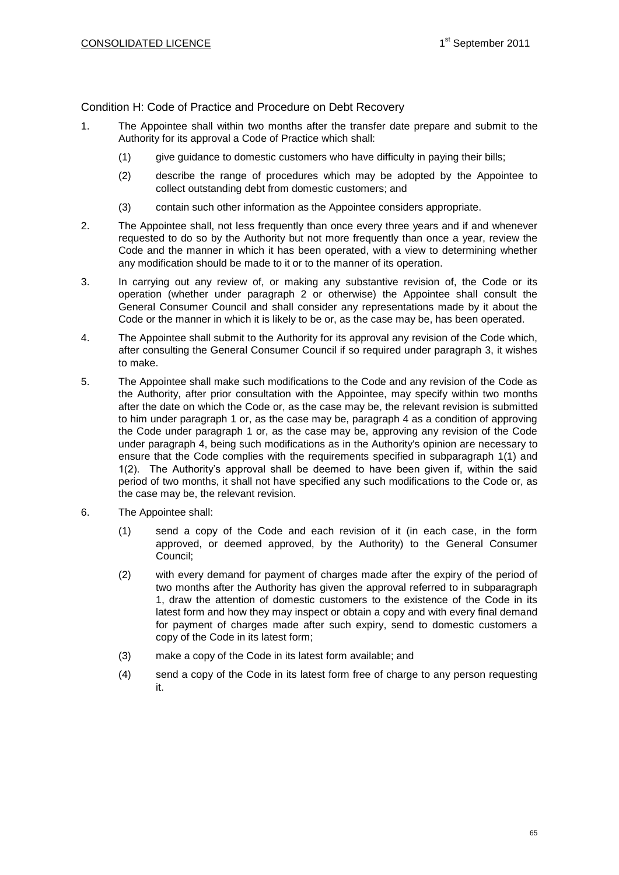Condition H: Code of Practice and Procedure on Debt Recovery

- 1. The Appointee shall within two months after the transfer date prepare and submit to the Authority for its approval a Code of Practice which shall:
	- (1) give guidance to domestic customers who have difficulty in paying their bills;
	- (2) describe the range of procedures which may be adopted by the Appointee to collect outstanding debt from domestic customers; and
	- (3) contain such other information as the Appointee considers appropriate.
- 2. The Appointee shall, not less frequently than once every three years and if and whenever requested to do so by the Authority but not more frequently than once a year, review the Code and the manner in which it has been operated, with a view to determining whether any modification should be made to it or to the manner of its operation.
- 3. In carrying out any review of, or making any substantive revision of, the Code or its operation (whether under paragraph 2 or otherwise) the Appointee shall consult the General Consumer Council and shall consider any representations made by it about the Code or the manner in which it is likely to be or, as the case may be, has been operated.
- 4. The Appointee shall submit to the Authority for its approval any revision of the Code which, after consulting the General Consumer Council if so required under paragraph 3, it wishes to make.
- 5. The Appointee shall make such modifications to the Code and any revision of the Code as the Authority, after prior consultation with the Appointee, may specify within two months after the date on which the Code or, as the case may be, the relevant revision is submitted to him under paragraph 1 or, as the case may be, paragraph 4 as a condition of approving the Code under paragraph 1 or, as the case may be, approving any revision of the Code under paragraph 4, being such modifications as in the Authority's opinion are necessary to ensure that the Code complies with the requirements specified in subparagraph 1(1) and 1(2). The Authority's approval shall be deemed to have been given if, within the said period of two months, it shall not have specified any such modifications to the Code or, as the case may be, the relevant revision.
- 6. The Appointee shall:
	- (1) send a copy of the Code and each revision of it (in each case, in the form approved, or deemed approved, by the Authority) to the General Consumer Council;
	- (2) with every demand for payment of charges made after the expiry of the period of two months after the Authority has given the approval referred to in subparagraph 1, draw the attention of domestic customers to the existence of the Code in its latest form and how they may inspect or obtain a copy and with every final demand for payment of charges made after such expiry, send to domestic customers a copy of the Code in its latest form;
	- (3) make a copy of the Code in its latest form available; and
	- (4) send a copy of the Code in its latest form free of charge to any person requesting it.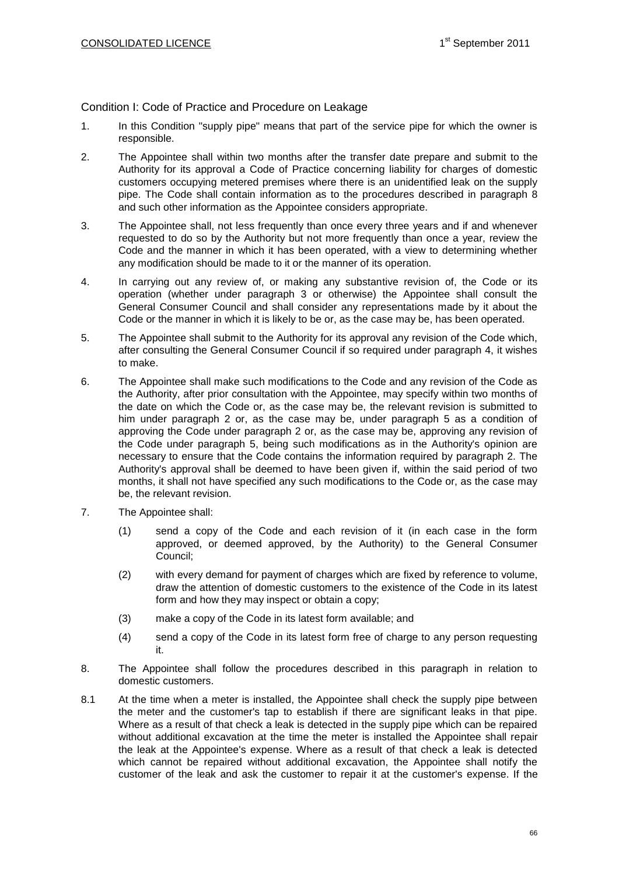# Condition I: Code of Practice and Procedure on Leakage

- 1. In this Condition "supply pipe" means that part of the service pipe for which the owner is responsible.
- 2. The Appointee shall within two months after the transfer date prepare and submit to the Authority for its approval a Code of Practice concerning liability for charges of domestic customers occupying metered premises where there is an unidentified leak on the supply pipe. The Code shall contain information as to the procedures described in paragraph 8 and such other information as the Appointee considers appropriate.
- 3. The Appointee shall, not less frequently than once every three years and if and whenever requested to do so by the Authority but not more frequently than once a year, review the Code and the manner in which it has been operated, with a view to determining whether any modification should be made to it or the manner of its operation.
- 4. In carrying out any review of, or making any substantive revision of, the Code or its operation (whether under paragraph 3 or otherwise) the Appointee shall consult the General Consumer Council and shall consider any representations made by it about the Code or the manner in which it is likely to be or, as the case may be, has been operated.
- 5. The Appointee shall submit to the Authority for its approval any revision of the Code which, after consulting the General Consumer Council if so required under paragraph 4, it wishes to make.
- 6. The Appointee shall make such modifications to the Code and any revision of the Code as the Authority, after prior consultation with the Appointee, may specify within two months of the date on which the Code or, as the case may be, the relevant revision is submitted to him under paragraph 2 or, as the case may be, under paragraph 5 as a condition of approving the Code under paragraph 2 or, as the case may be, approving any revision of the Code under paragraph 5, being such modifications as in the Authority's opinion are necessary to ensure that the Code contains the information required by paragraph 2. The Authority's approval shall be deemed to have been given if, within the said period of two months, it shall not have specified any such modifications to the Code or, as the case may be, the relevant revision.
- 7. The Appointee shall:
	- (1) send a copy of the Code and each revision of it (in each case in the form approved, or deemed approved, by the Authority) to the General Consumer Council;
	- (2) with every demand for payment of charges which are fixed by reference to volume, draw the attention of domestic customers to the existence of the Code in its latest form and how they may inspect or obtain a copy;
	- (3) make a copy of the Code in its latest form available; and
	- (4) send a copy of the Code in its latest form free of charge to any person requesting it.
- 8. The Appointee shall follow the procedures described in this paragraph in relation to domestic customers.
- 8.1 At the time when a meter is installed, the Appointee shall check the supply pipe between the meter and the customer's tap to establish if there are significant leaks in that pipe. Where as a result of that check a leak is detected in the supply pipe which can be repaired without additional excavation at the time the meter is installed the Appointee shall repair the leak at the Appointee's expense. Where as a result of that check a leak is detected which cannot be repaired without additional excavation, the Appointee shall notify the customer of the leak and ask the customer to repair it at the customer's expense. If the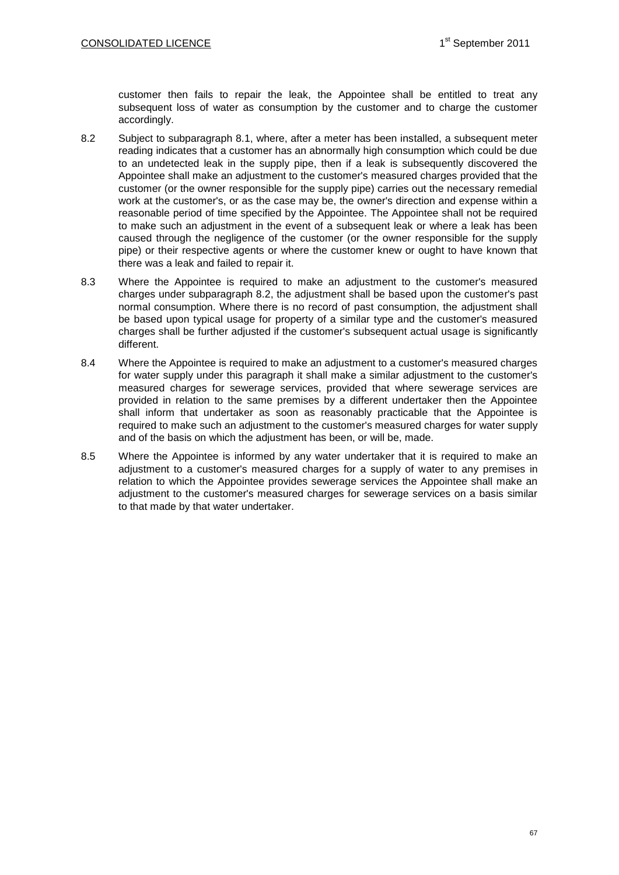customer then fails to repair the leak, the Appointee shall be entitled to treat any subsequent loss of water as consumption by the customer and to charge the customer accordingly.

- 8.2 Subject to subparagraph 8.1, where, after a meter has been installed, a subsequent meter reading indicates that a customer has an abnormally high consumption which could be due to an undetected leak in the supply pipe, then if a leak is subsequently discovered the Appointee shall make an adjustment to the customer's measured charges provided that the customer (or the owner responsible for the supply pipe) carries out the necessary remedial work at the customer's, or as the case may be, the owner's direction and expense within a reasonable period of time specified by the Appointee. The Appointee shall not be required to make such an adjustment in the event of a subsequent leak or where a leak has been caused through the negligence of the customer (or the owner responsible for the supply pipe) or their respective agents or where the customer knew or ought to have known that there was a leak and failed to repair it.
- 8.3 Where the Appointee is required to make an adjustment to the customer's measured charges under subparagraph 8.2, the adjustment shall be based upon the customer's past normal consumption. Where there is no record of past consumption, the adjustment shall be based upon typical usage for property of a similar type and the customer's measured charges shall be further adjusted if the customer's subsequent actual usage is significantly different.
- 8.4 Where the Appointee is required to make an adjustment to a customer's measured charges for water supply under this paragraph it shall make a similar adjustment to the customer's measured charges for sewerage services, provided that where sewerage services are provided in relation to the same premises by a different undertaker then the Appointee shall inform that undertaker as soon as reasonably practicable that the Appointee is required to make such an adjustment to the customer's measured charges for water supply and of the basis on which the adjustment has been, or will be, made.
- 8.5 Where the Appointee is informed by any water undertaker that it is required to make an adjustment to a customer's measured charges for a supply of water to any premises in relation to which the Appointee provides sewerage services the Appointee shall make an adjustment to the customer's measured charges for sewerage services on a basis similar to that made by that water undertaker.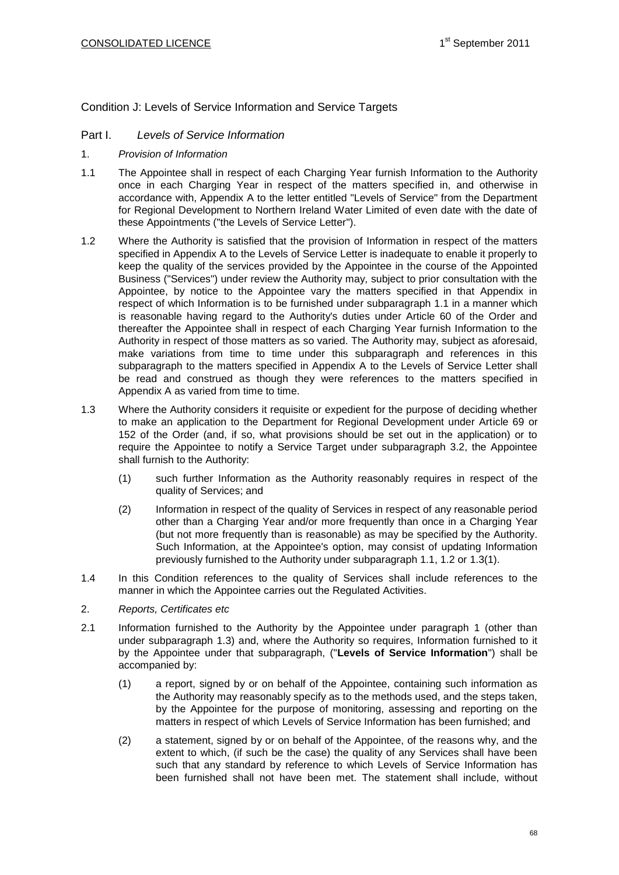Condition J: Levels of Service Information and Service Targets

## Part I. *Levels of Service Information*

- 1. *Provision of Information*
- 1.1 The Appointee shall in respect of each Charging Year furnish Information to the Authority once in each Charging Year in respect of the matters specified in, and otherwise in accordance with, Appendix A to the letter entitled "Levels of Service" from the Department for Regional Development to Northern Ireland Water Limited of even date with the date of these Appointments ("the Levels of Service Letter").
- 1.2 Where the Authority is satisfied that the provision of Information in respect of the matters specified in Appendix A to the Levels of Service Letter is inadequate to enable it properly to keep the quality of the services provided by the Appointee in the course of the Appointed Business ("Services") under review the Authority may, subject to prior consultation with the Appointee, by notice to the Appointee vary the matters specified in that Appendix in respect of which Information is to be furnished under subparagraph 1.1 in a manner which is reasonable having regard to the Authority's duties under Article 60 of the Order and thereafter the Appointee shall in respect of each Charging Year furnish Information to the Authority in respect of those matters as so varied. The Authority may, subject as aforesaid, make variations from time to time under this subparagraph and references in this subparagraph to the matters specified in Appendix A to the Levels of Service Letter shall be read and construed as though they were references to the matters specified in Appendix A as varied from time to time.
- 1.3 Where the Authority considers it requisite or expedient for the purpose of deciding whether to make an application to the Department for Regional Development under Article 69 or 152 of the Order (and, if so, what provisions should be set out in the application) or to require the Appointee to notify a Service Target under subparagraph 3.2, the Appointee shall furnish to the Authority:
	- (1) such further Information as the Authority reasonably requires in respect of the quality of Services; and
	- (2) Information in respect of the quality of Services in respect of any reasonable period other than a Charging Year and/or more frequently than once in a Charging Year (but not more frequently than is reasonable) as may be specified by the Authority. Such Information, at the Appointee's option, may consist of updating Information previously furnished to the Authority under subparagraph 1.1, 1.2 or 1.3(1).
- 1.4 In this Condition references to the quality of Services shall include references to the manner in which the Appointee carries out the Regulated Activities.
- 2. *Reports, Certificates etc*
- 2.1 Information furnished to the Authority by the Appointee under paragraph 1 (other than under subparagraph 1.3) and, where the Authority so requires, Information furnished to it by the Appointee under that subparagraph, ("**Levels of Service Information**") shall be accompanied by:
	- (1) a report, signed by or on behalf of the Appointee, containing such information as the Authority may reasonably specify as to the methods used, and the steps taken, by the Appointee for the purpose of monitoring, assessing and reporting on the matters in respect of which Levels of Service Information has been furnished; and
	- (2) a statement, signed by or on behalf of the Appointee, of the reasons why, and the extent to which, (if such be the case) the quality of any Services shall have been such that any standard by reference to which Levels of Service Information has been furnished shall not have been met. The statement shall include, without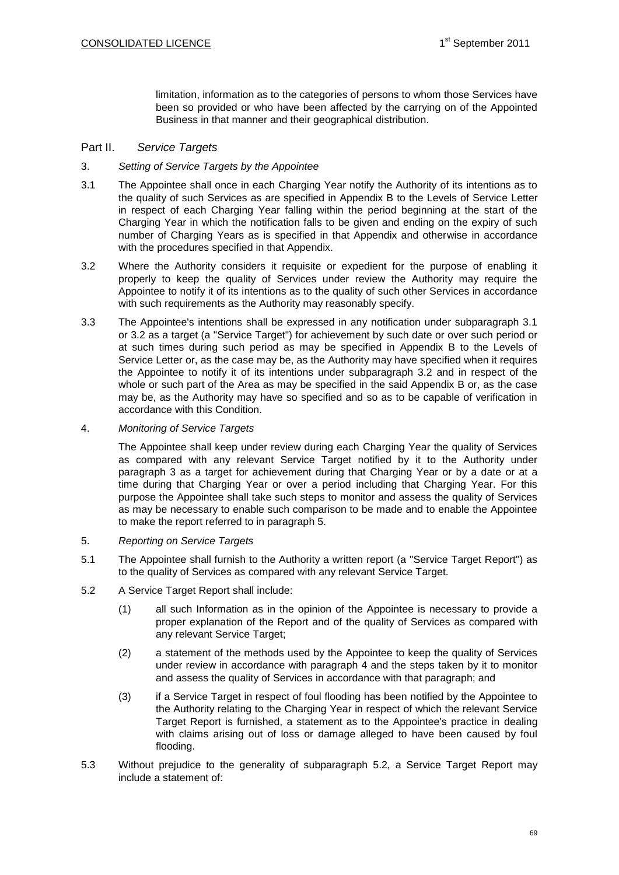limitation, information as to the categories of persons to whom those Services have been so provided or who have been affected by the carrying on of the Appointed Business in that manner and their geographical distribution.

## Part II. *Service Targets*

### 3. *Setting of Service Targets by the Appointee*

- 3.1 The Appointee shall once in each Charging Year notify the Authority of its intentions as to the quality of such Services as are specified in Appendix B to the Levels of Service Letter in respect of each Charging Year falling within the period beginning at the start of the Charging Year in which the notification falls to be given and ending on the expiry of such number of Charging Years as is specified in that Appendix and otherwise in accordance with the procedures specified in that Appendix.
- 3.2 Where the Authority considers it requisite or expedient for the purpose of enabling it properly to keep the quality of Services under review the Authority may require the Appointee to notify it of its intentions as to the quality of such other Services in accordance with such requirements as the Authority may reasonably specify.
- 3.3 The Appointee's intentions shall be expressed in any notification under subparagraph 3.1 or 3.2 as a target (a "Service Target") for achievement by such date or over such period or at such times during such period as may be specified in Appendix B to the Levels of Service Letter or, as the case may be, as the Authority may have specified when it requires the Appointee to notify it of its intentions under subparagraph 3.2 and in respect of the whole or such part of the Area as may be specified in the said Appendix B or, as the case may be, as the Authority may have so specified and so as to be capable of verification in accordance with this Condition.

### 4. *Monitoring of Service Targets*

The Appointee shall keep under review during each Charging Year the quality of Services as compared with any relevant Service Target notified by it to the Authority under paragraph 3 as a target for achievement during that Charging Year or by a date or at a time during that Charging Year or over a period including that Charging Year. For this purpose the Appointee shall take such steps to monitor and assess the quality of Services as may be necessary to enable such comparison to be made and to enable the Appointee to make the report referred to in paragraph 5.

- 5. *Reporting on Service Targets*
- 5.1 The Appointee shall furnish to the Authority a written report (a "Service Target Report") as to the quality of Services as compared with any relevant Service Target.
- 5.2 A Service Target Report shall include:
	- (1) all such Information as in the opinion of the Appointee is necessary to provide a proper explanation of the Report and of the quality of Services as compared with any relevant Service Target;
	- (2) a statement of the methods used by the Appointee to keep the quality of Services under review in accordance with paragraph 4 and the steps taken by it to monitor and assess the quality of Services in accordance with that paragraph; and
	- (3) if a Service Target in respect of foul flooding has been notified by the Appointee to the Authority relating to the Charging Year in respect of which the relevant Service Target Report is furnished, a statement as to the Appointee's practice in dealing with claims arising out of loss or damage alleged to have been caused by foul flooding.
- 5.3 Without prejudice to the generality of subparagraph 5.2, a Service Target Report may include a statement of: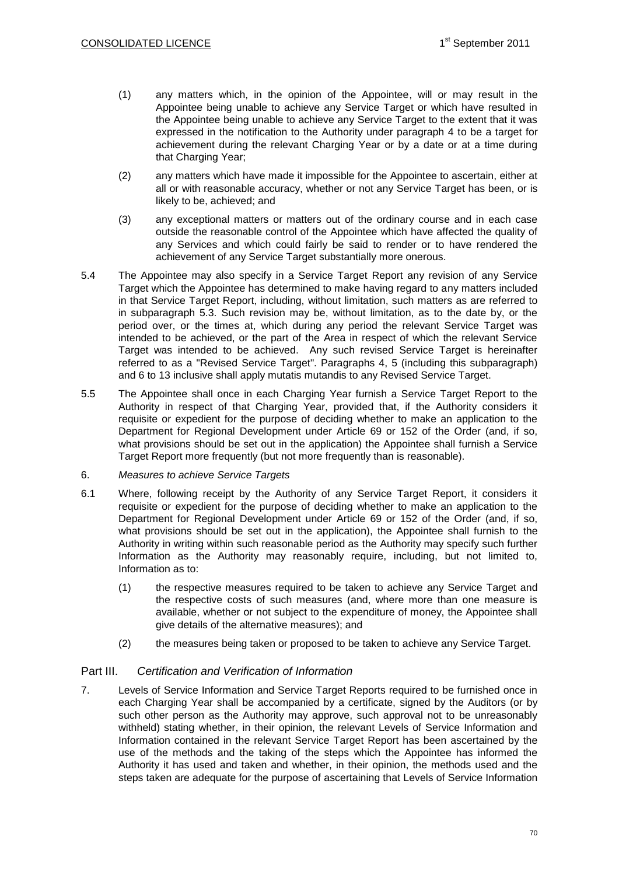- (1) any matters which, in the opinion of the Appointee, will or may result in the Appointee being unable to achieve any Service Target or which have resulted in the Appointee being unable to achieve any Service Target to the extent that it was expressed in the notification to the Authority under paragraph 4 to be a target for achievement during the relevant Charging Year or by a date or at a time during that Charging Year;
- (2) any matters which have made it impossible for the Appointee to ascertain, either at all or with reasonable accuracy, whether or not any Service Target has been, or is likely to be, achieved; and
- (3) any exceptional matters or matters out of the ordinary course and in each case outside the reasonable control of the Appointee which have affected the quality of any Services and which could fairly be said to render or to have rendered the achievement of any Service Target substantially more onerous.
- 5.4 The Appointee may also specify in a Service Target Report any revision of any Service Target which the Appointee has determined to make having regard to any matters included in that Service Target Report, including, without limitation, such matters as are referred to in subparagraph 5.3. Such revision may be, without limitation, as to the date by, or the period over, or the times at, which during any period the relevant Service Target was intended to be achieved, or the part of the Area in respect of which the relevant Service Target was intended to be achieved. Any such revised Service Target is hereinafter referred to as a "Revised Service Target". Paragraphs 4, 5 (including this subparagraph) and 6 to 13 inclusive shall apply mutatis mutandis to any Revised Service Target.
- 5.5 The Appointee shall once in each Charging Year furnish a Service Target Report to the Authority in respect of that Charging Year, provided that, if the Authority considers it requisite or expedient for the purpose of deciding whether to make an application to the Department for Regional Development under Article 69 or 152 of the Order (and, if so, what provisions should be set out in the application) the Appointee shall furnish a Service Target Report more frequently (but not more frequently than is reasonable).
- 6. *Measures to achieve Service Targets*
- 6.1 Where, following receipt by the Authority of any Service Target Report, it considers it requisite or expedient for the purpose of deciding whether to make an application to the Department for Regional Development under Article 69 or 152 of the Order (and, if so, what provisions should be set out in the application), the Appointee shall furnish to the Authority in writing within such reasonable period as the Authority may specify such further Information as the Authority may reasonably require, including, but not limited to, Information as to:
	- (1) the respective measures required to be taken to achieve any Service Target and the respective costs of such measures (and, where more than one measure is available, whether or not subject to the expenditure of money, the Appointee shall give details of the alternative measures); and
	- (2) the measures being taken or proposed to be taken to achieve any Service Target.

# Part III. *Certification and Verification of Information*

7. Levels of Service Information and Service Target Reports required to be furnished once in each Charging Year shall be accompanied by a certificate, signed by the Auditors (or by such other person as the Authority may approve, such approval not to be unreasonably withheld) stating whether, in their opinion, the relevant Levels of Service Information and Information contained in the relevant Service Target Report has been ascertained by the use of the methods and the taking of the steps which the Appointee has informed the Authority it has used and taken and whether, in their opinion, the methods used and the steps taken are adequate for the purpose of ascertaining that Levels of Service Information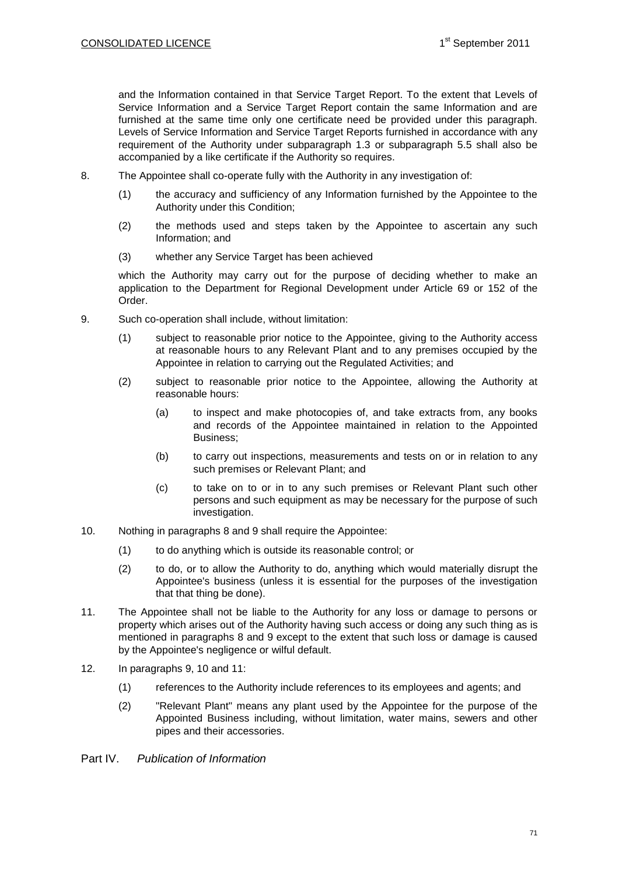and the Information contained in that Service Target Report. To the extent that Levels of Service Information and a Service Target Report contain the same Information and are furnished at the same time only one certificate need be provided under this paragraph. Levels of Service Information and Service Target Reports furnished in accordance with any requirement of the Authority under subparagraph 1.3 or subparagraph 5.5 shall also be accompanied by a like certificate if the Authority so requires.

- 8. The Appointee shall co-operate fully with the Authority in any investigation of:
	- (1) the accuracy and sufficiency of any Information furnished by the Appointee to the Authority under this Condition;
	- (2) the methods used and steps taken by the Appointee to ascertain any such Information; and
	- (3) whether any Service Target has been achieved

which the Authority may carry out for the purpose of deciding whether to make an application to the Department for Regional Development under Article 69 or 152 of the Order.

- 9. Such co-operation shall include, without limitation:
	- (1) subject to reasonable prior notice to the Appointee, giving to the Authority access at reasonable hours to any Relevant Plant and to any premises occupied by the Appointee in relation to carrying out the Regulated Activities; and
	- (2) subject to reasonable prior notice to the Appointee, allowing the Authority at reasonable hours:
		- (a) to inspect and make photocopies of, and take extracts from, any books and records of the Appointee maintained in relation to the Appointed Business;
		- (b) to carry out inspections, measurements and tests on or in relation to any such premises or Relevant Plant; and
		- (c) to take on to or in to any such premises or Relevant Plant such other persons and such equipment as may be necessary for the purpose of such investigation.
- 10. Nothing in paragraphs 8 and 9 shall require the Appointee:
	- (1) to do anything which is outside its reasonable control; or
	- (2) to do, or to allow the Authority to do, anything which would materially disrupt the Appointee's business (unless it is essential for the purposes of the investigation that that thing be done).
- 11. The Appointee shall not be liable to the Authority for any loss or damage to persons or property which arises out of the Authority having such access or doing any such thing as is mentioned in paragraphs 8 and 9 except to the extent that such loss or damage is caused by the Appointee's negligence or wilful default.
- 12. In paragraphs 9, 10 and 11:
	- (1) references to the Authority include references to its employees and agents; and
	- (2) "Relevant Plant" means any plant used by the Appointee for the purpose of the Appointed Business including, without limitation, water mains, sewers and other pipes and their accessories.
- Part IV. *Publication of Information*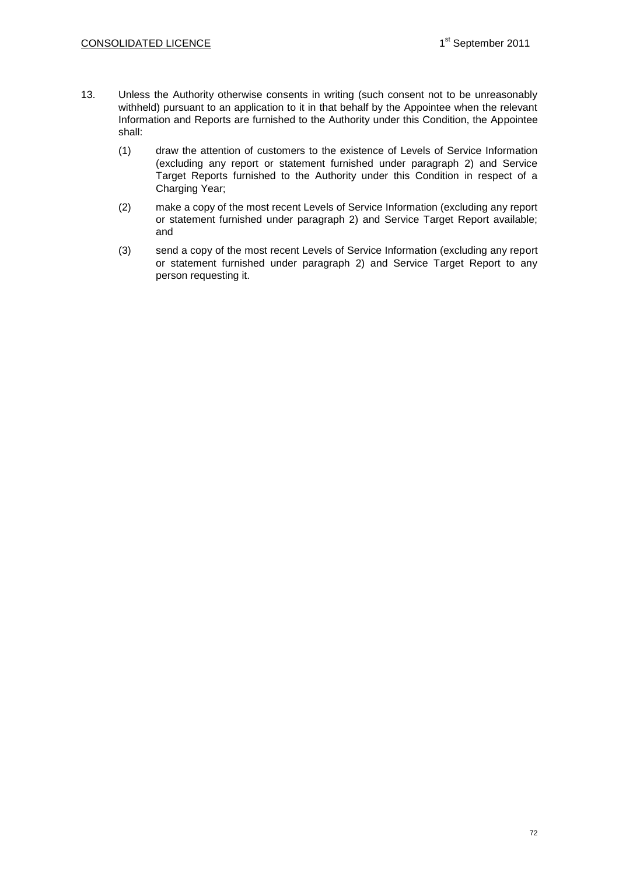- 13. Unless the Authority otherwise consents in writing (such consent not to be unreasonably withheld) pursuant to an application to it in that behalf by the Appointee when the relevant Information and Reports are furnished to the Authority under this Condition, the Appointee shall:
	- (1) draw the attention of customers to the existence of Levels of Service Information (excluding any report or statement furnished under paragraph 2) and Service Target Reports furnished to the Authority under this Condition in respect of a Charging Year;
	- (2) make a copy of the most recent Levels of Service Information (excluding any report or statement furnished under paragraph 2) and Service Target Report available; and
	- (3) send a copy of the most recent Levels of Service Information (excluding any report or statement furnished under paragraph 2) and Service Target Report to any person requesting it.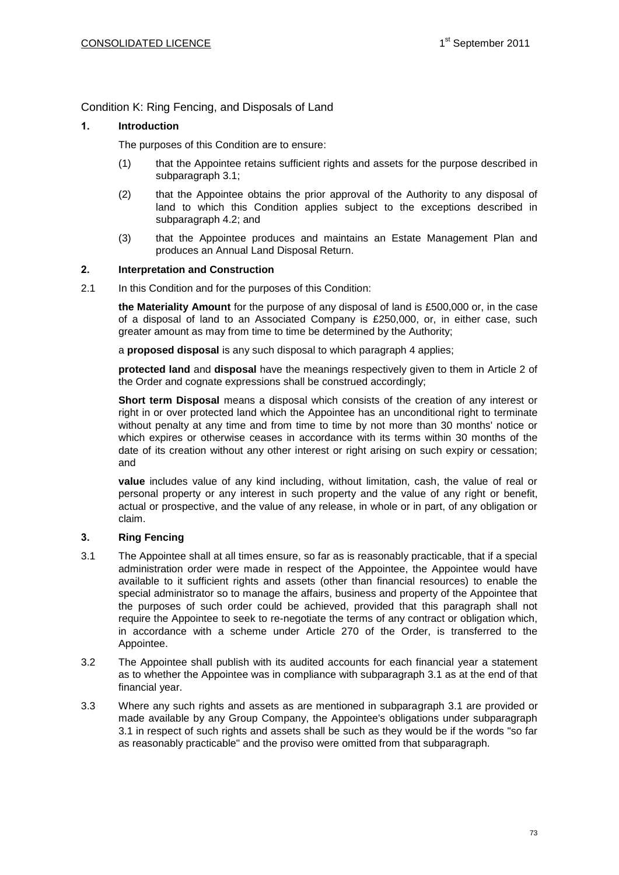Condition K: Ring Fencing, and Disposals of Land

# **1. Introduction**

The purposes of this Condition are to ensure:

- (1) that the Appointee retains sufficient rights and assets for the purpose described in subparagraph 3.1;
- (2) that the Appointee obtains the prior approval of the Authority to any disposal of land to which this Condition applies subject to the exceptions described in subparagraph 4.2; and
- (3) that the Appointee produces and maintains an Estate Management Plan and produces an Annual Land Disposal Return.

### **2. Interpretation and Construction**

2.1 In this Condition and for the purposes of this Condition:

**the Materiality Amount** for the purpose of any disposal of land is £500,000 or, in the case of a disposal of land to an Associated Company is £250,000, or, in either case, such greater amount as may from time to time be determined by the Authority;

a **proposed disposal** is any such disposal to which paragraph 4 applies;

**protected land** and **disposal** have the meanings respectively given to them in Article 2 of the Order and cognate expressions shall be construed accordingly;

**Short term Disposal** means a disposal which consists of the creation of any interest or right in or over protected land which the Appointee has an unconditional right to terminate without penalty at any time and from time to time by not more than 30 months' notice or which expires or otherwise ceases in accordance with its terms within 30 months of the date of its creation without any other interest or right arising on such expiry or cessation; and

**value** includes value of any kind including, without limitation, cash, the value of real or personal property or any interest in such property and the value of any right or benefit, actual or prospective, and the value of any release, in whole or in part, of any obligation or claim.

### **3. Ring Fencing**

- 3.1 The Appointee shall at all times ensure, so far as is reasonably practicable, that if a special administration order were made in respect of the Appointee, the Appointee would have available to it sufficient rights and assets (other than financial resources) to enable the special administrator so to manage the affairs, business and property of the Appointee that the purposes of such order could be achieved, provided that this paragraph shall not require the Appointee to seek to re-negotiate the terms of any contract or obligation which, in accordance with a scheme under Article 270 of the Order, is transferred to the Appointee.
- 3.2 The Appointee shall publish with its audited accounts for each financial year a statement as to whether the Appointee was in compliance with subparagraph 3.1 as at the end of that financial year.
- 3.3 Where any such rights and assets as are mentioned in subparagraph 3.1 are provided or made available by any Group Company, the Appointee's obligations under subparagraph 3.1 in respect of such rights and assets shall be such as they would be if the words "so far as reasonably practicable" and the proviso were omitted from that subparagraph.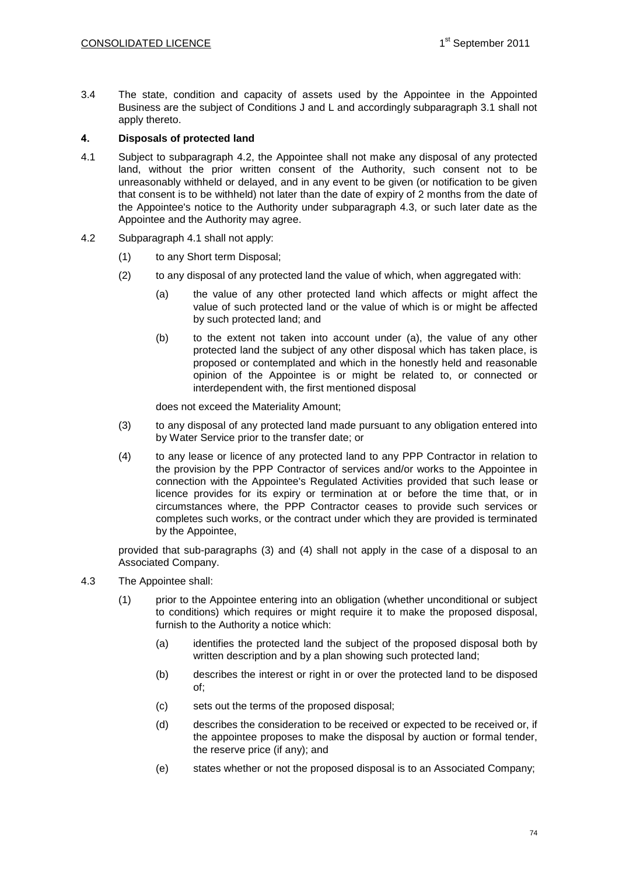3.4 The state, condition and capacity of assets used by the Appointee in the Appointed Business are the subject of Conditions J and L and accordingly subparagraph 3.1 shall not apply thereto.

### **4. Disposals of protected land**

- 4.1 Subject to subparagraph 4.2, the Appointee shall not make any disposal of any protected land, without the prior written consent of the Authority, such consent not to be unreasonably withheld or delayed, and in any event to be given (or notification to be given that consent is to be withheld) not later than the date of expiry of 2 months from the date of the Appointee's notice to the Authority under subparagraph 4.3, or such later date as the Appointee and the Authority may agree.
- 4.2 Subparagraph 4.1 shall not apply:
	- (1) to any Short term Disposal;
	- (2) to any disposal of any protected land the value of which, when aggregated with:
		- (a) the value of any other protected land which affects or might affect the value of such protected land or the value of which is or might be affected by such protected land; and
		- (b) to the extent not taken into account under (a), the value of any other protected land the subject of any other disposal which has taken place, is proposed or contemplated and which in the honestly held and reasonable opinion of the Appointee is or might be related to, or connected or interdependent with, the first mentioned disposal

does not exceed the Materiality Amount;

- (3) to any disposal of any protected land made pursuant to any obligation entered into by Water Service prior to the transfer date; or
- (4) to any lease or licence of any protected land to any PPP Contractor in relation to the provision by the PPP Contractor of services and/or works to the Appointee in connection with the Appointee's Regulated Activities provided that such lease or licence provides for its expiry or termination at or before the time that, or in circumstances where, the PPP Contractor ceases to provide such services or completes such works, or the contract under which they are provided is terminated by the Appointee,

provided that sub-paragraphs (3) and (4) shall not apply in the case of a disposal to an Associated Company.

- 4.3 The Appointee shall:
	- (1) prior to the Appointee entering into an obligation (whether unconditional or subject to conditions) which requires or might require it to make the proposed disposal, furnish to the Authority a notice which:
		- (a) identifies the protected land the subject of the proposed disposal both by written description and by a plan showing such protected land;
		- (b) describes the interest or right in or over the protected land to be disposed of;
		- (c) sets out the terms of the proposed disposal;
		- (d) describes the consideration to be received or expected to be received or, if the appointee proposes to make the disposal by auction or formal tender, the reserve price (if any); and
		- (e) states whether or not the proposed disposal is to an Associated Company;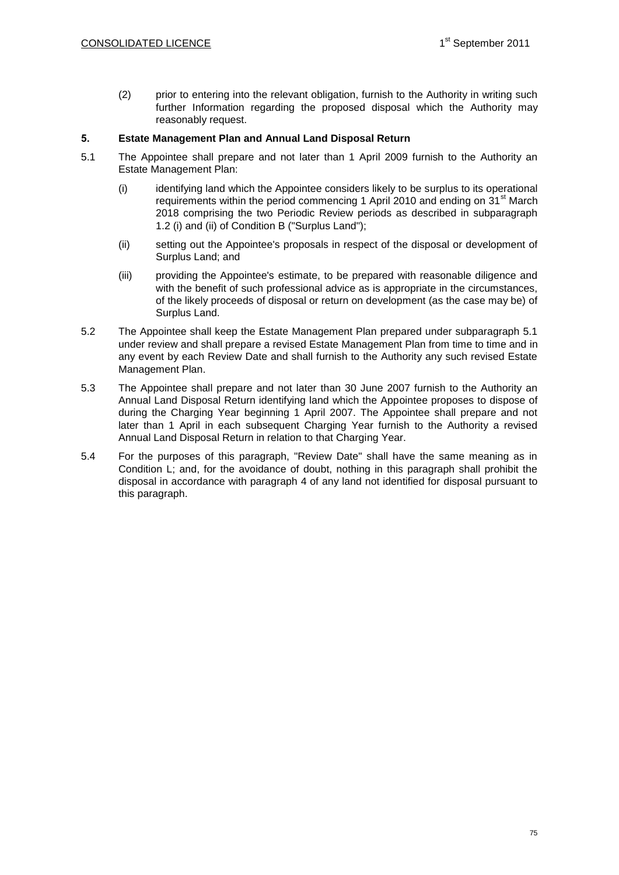(2) prior to entering into the relevant obligation, furnish to the Authority in writing such further Information regarding the proposed disposal which the Authority may reasonably request.

### **5. Estate Management Plan and Annual Land Disposal Return**

- 5.1 The Appointee shall prepare and not later than 1 April 2009 furnish to the Authority an Estate Management Plan:
	- (i) identifying land which the Appointee considers likely to be surplus to its operational requirements within the period commencing 1 April 2010 and ending on 31<sup>st</sup> March 2018 comprising the two Periodic Review periods as described in subparagraph 1.2 (i) and (ii) of Condition B ("Surplus Land");
	- (ii) setting out the Appointee's proposals in respect of the disposal or development of Surplus Land; and
	- (iii) providing the Appointee's estimate, to be prepared with reasonable diligence and with the benefit of such professional advice as is appropriate in the circumstances, of the likely proceeds of disposal or return on development (as the case may be) of Surplus Land.
- 5.2 The Appointee shall keep the Estate Management Plan prepared under subparagraph 5.1 under review and shall prepare a revised Estate Management Plan from time to time and in any event by each Review Date and shall furnish to the Authority any such revised Estate Management Plan.
- 5.3 The Appointee shall prepare and not later than 30 June 2007 furnish to the Authority an Annual Land Disposal Return identifying land which the Appointee proposes to dispose of during the Charging Year beginning 1 April 2007. The Appointee shall prepare and not later than 1 April in each subsequent Charging Year furnish to the Authority a revised Annual Land Disposal Return in relation to that Charging Year.
- 5.4 For the purposes of this paragraph, "Review Date" shall have the same meaning as in Condition L; and, for the avoidance of doubt, nothing in this paragraph shall prohibit the disposal in accordance with paragraph 4 of any land not identified for disposal pursuant to this paragraph.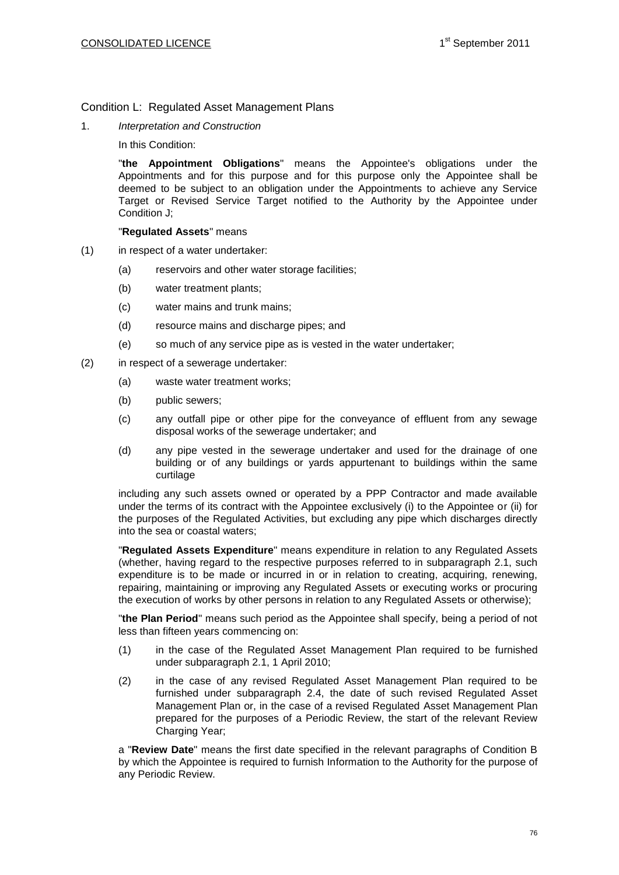### Condition L: Regulated Asset Management Plans

1. *Interpretation and Construction*

In this Condition:

"**the Appointment Obligations**" means the Appointee's obligations under the Appointments and for this purpose and for this purpose only the Appointee shall be deemed to be subject to an obligation under the Appointments to achieve any Service Target or Revised Service Target notified to the Authority by the Appointee under Condition J;

#### "**Regulated Assets**" means

- (1) in respect of a water undertaker:
	- (a) reservoirs and other water storage facilities;
	- (b) water treatment plants;
	- (c) water mains and trunk mains;
	- (d) resource mains and discharge pipes; and
	- (e) so much of any service pipe as is vested in the water undertaker;
- (2) in respect of a sewerage undertaker:
	- (a) waste water treatment works;
	- (b) public sewers;
	- (c) any outfall pipe or other pipe for the conveyance of effluent from any sewage disposal works of the sewerage undertaker; and
	- (d) any pipe vested in the sewerage undertaker and used for the drainage of one building or of any buildings or yards appurtenant to buildings within the same curtilage

including any such assets owned or operated by a PPP Contractor and made available under the terms of its contract with the Appointee exclusively (i) to the Appointee or (ii) for the purposes of the Regulated Activities, but excluding any pipe which discharges directly into the sea or coastal waters;

"**Regulated Assets Expenditure**" means expenditure in relation to any Regulated Assets (whether, having regard to the respective purposes referred to in subparagraph 2.1, such expenditure is to be made or incurred in or in relation to creating, acquiring, renewing, repairing, maintaining or improving any Regulated Assets or executing works or procuring the execution of works by other persons in relation to any Regulated Assets or otherwise);

"**the Plan Period**" means such period as the Appointee shall specify, being a period of not less than fifteen years commencing on:

- (1) in the case of the Regulated Asset Management Plan required to be furnished under subparagraph 2.1, 1 April 2010;
- (2) in the case of any revised Regulated Asset Management Plan required to be furnished under subparagraph 2.4, the date of such revised Regulated Asset Management Plan or, in the case of a revised Regulated Asset Management Plan prepared for the purposes of a Periodic Review, the start of the relevant Review Charging Year;

a "**Review Date**" means the first date specified in the relevant paragraphs of Condition B by which the Appointee is required to furnish Information to the Authority for the purpose of any Periodic Review.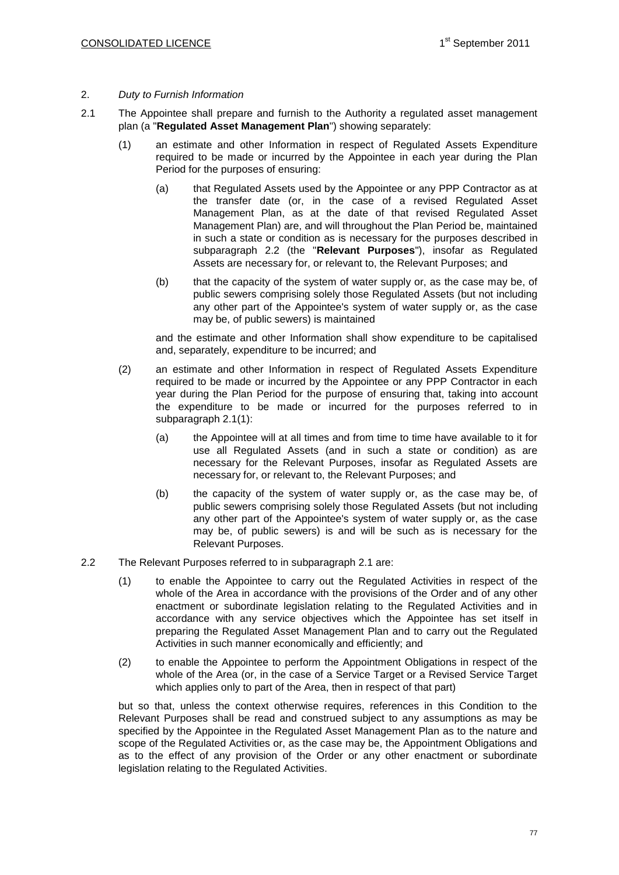#### 2. *Duty to Furnish Information*

- 2.1 The Appointee shall prepare and furnish to the Authority a regulated asset management plan (a "**Regulated Asset Management Plan**") showing separately:
	- (1) an estimate and other Information in respect of Regulated Assets Expenditure required to be made or incurred by the Appointee in each year during the Plan Period for the purposes of ensuring:
		- (a) that Regulated Assets used by the Appointee or any PPP Contractor as at the transfer date (or, in the case of a revised Regulated Asset Management Plan, as at the date of that revised Regulated Asset Management Plan) are, and will throughout the Plan Period be, maintained in such a state or condition as is necessary for the purposes described in subparagraph 2.2 (the "**Relevant Purposes**"), insofar as Regulated Assets are necessary for, or relevant to, the Relevant Purposes; and
		- (b) that the capacity of the system of water supply or, as the case may be, of public sewers comprising solely those Regulated Assets (but not including any other part of the Appointee's system of water supply or, as the case may be, of public sewers) is maintained

and the estimate and other Information shall show expenditure to be capitalised and, separately, expenditure to be incurred; and

- (2) an estimate and other Information in respect of Regulated Assets Expenditure required to be made or incurred by the Appointee or any PPP Contractor in each year during the Plan Period for the purpose of ensuring that, taking into account the expenditure to be made or incurred for the purposes referred to in subparagraph 2.1(1):
	- (a) the Appointee will at all times and from time to time have available to it for use all Regulated Assets (and in such a state or condition) as are necessary for the Relevant Purposes, insofar as Regulated Assets are necessary for, or relevant to, the Relevant Purposes; and
	- (b) the capacity of the system of water supply or, as the case may be, of public sewers comprising solely those Regulated Assets (but not including any other part of the Appointee's system of water supply or, as the case may be, of public sewers) is and will be such as is necessary for the Relevant Purposes.
- 2.2 The Relevant Purposes referred to in subparagraph 2.1 are:
	- (1) to enable the Appointee to carry out the Regulated Activities in respect of the whole of the Area in accordance with the provisions of the Order and of any other enactment or subordinate legislation relating to the Regulated Activities and in accordance with any service objectives which the Appointee has set itself in preparing the Regulated Asset Management Plan and to carry out the Regulated Activities in such manner economically and efficiently; and
	- (2) to enable the Appointee to perform the Appointment Obligations in respect of the whole of the Area (or, in the case of a Service Target or a Revised Service Target which applies only to part of the Area, then in respect of that part)

but so that, unless the context otherwise requires, references in this Condition to the Relevant Purposes shall be read and construed subject to any assumptions as may be specified by the Appointee in the Regulated Asset Management Plan as to the nature and scope of the Regulated Activities or, as the case may be, the Appointment Obligations and as to the effect of any provision of the Order or any other enactment or subordinate legislation relating to the Regulated Activities.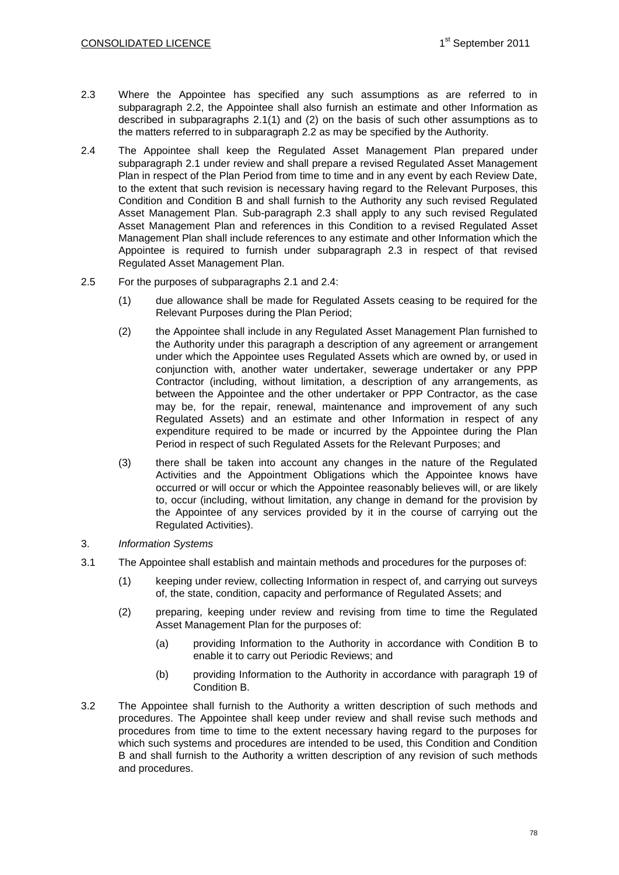- 2.3 Where the Appointee has specified any such assumptions as are referred to in subparagraph 2.2, the Appointee shall also furnish an estimate and other Information as described in subparagraphs 2.1(1) and (2) on the basis of such other assumptions as to the matters referred to in subparagraph 2.2 as may be specified by the Authority.
- 2.4 The Appointee shall keep the Regulated Asset Management Plan prepared under subparagraph 2.1 under review and shall prepare a revised Regulated Asset Management Plan in respect of the Plan Period from time to time and in any event by each Review Date, to the extent that such revision is necessary having regard to the Relevant Purposes, this Condition and Condition B and shall furnish to the Authority any such revised Regulated Asset Management Plan. Sub-paragraph 2.3 shall apply to any such revised Regulated Asset Management Plan and references in this Condition to a revised Regulated Asset Management Plan shall include references to any estimate and other Information which the Appointee is required to furnish under subparagraph 2.3 in respect of that revised Regulated Asset Management Plan.
- 2.5 For the purposes of subparagraphs 2.1 and 2.4:
	- (1) due allowance shall be made for Regulated Assets ceasing to be required for the Relevant Purposes during the Plan Period;
	- (2) the Appointee shall include in any Regulated Asset Management Plan furnished to the Authority under this paragraph a description of any agreement or arrangement under which the Appointee uses Regulated Assets which are owned by, or used in conjunction with, another water undertaker, sewerage undertaker or any PPP Contractor (including, without limitation, a description of any arrangements, as between the Appointee and the other undertaker or PPP Contractor, as the case may be, for the repair, renewal, maintenance and improvement of any such Regulated Assets) and an estimate and other Information in respect of any expenditure required to be made or incurred by the Appointee during the Plan Period in respect of such Regulated Assets for the Relevant Purposes; and
	- (3) there shall be taken into account any changes in the nature of the Regulated Activities and the Appointment Obligations which the Appointee knows have occurred or will occur or which the Appointee reasonably believes will, or are likely to, occur (including, without limitation, any change in demand for the provision by the Appointee of any services provided by it in the course of carrying out the Regulated Activities).
- 3. *Information Systems*
- 3.1 The Appointee shall establish and maintain methods and procedures for the purposes of:
	- (1) keeping under review, collecting Information in respect of, and carrying out surveys of, the state, condition, capacity and performance of Regulated Assets; and
	- (2) preparing, keeping under review and revising from time to time the Regulated Asset Management Plan for the purposes of:
		- (a) providing Information to the Authority in accordance with Condition B to enable it to carry out Periodic Reviews; and
		- (b) providing Information to the Authority in accordance with paragraph 19 of Condition B.
- 3.2 The Appointee shall furnish to the Authority a written description of such methods and procedures. The Appointee shall keep under review and shall revise such methods and procedures from time to time to the extent necessary having regard to the purposes for which such systems and procedures are intended to be used, this Condition and Condition B and shall furnish to the Authority a written description of any revision of such methods and procedures.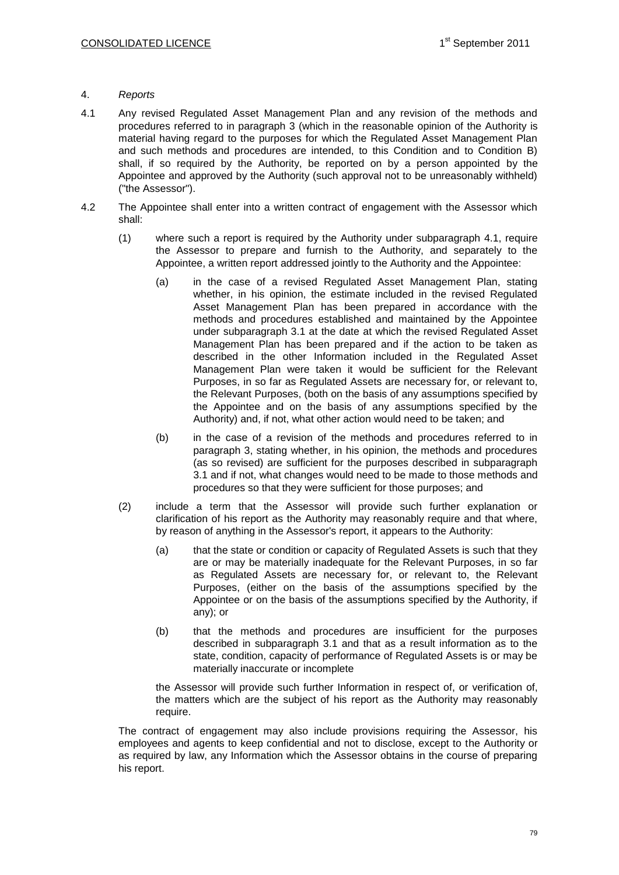### 4. *Reports*

- 4.1 Any revised Regulated Asset Management Plan and any revision of the methods and procedures referred to in paragraph 3 (which in the reasonable opinion of the Authority is material having regard to the purposes for which the Regulated Asset Management Plan and such methods and procedures are intended, to this Condition and to Condition B) shall, if so required by the Authority, be reported on by a person appointed by the Appointee and approved by the Authority (such approval not to be unreasonably withheld) ("the Assessor").
- 4.2 The Appointee shall enter into a written contract of engagement with the Assessor which shall:
	- (1) where such a report is required by the Authority under subparagraph 4.1, require the Assessor to prepare and furnish to the Authority, and separately to the Appointee, a written report addressed jointly to the Authority and the Appointee:
		- (a) in the case of a revised Regulated Asset Management Plan, stating whether, in his opinion, the estimate included in the revised Regulated Asset Management Plan has been prepared in accordance with the methods and procedures established and maintained by the Appointee under subparagraph 3.1 at the date at which the revised Regulated Asset Management Plan has been prepared and if the action to be taken as described in the other Information included in the Regulated Asset Management Plan were taken it would be sufficient for the Relevant Purposes, in so far as Regulated Assets are necessary for, or relevant to, the Relevant Purposes, (both on the basis of any assumptions specified by the Appointee and on the basis of any assumptions specified by the Authority) and, if not, what other action would need to be taken; and
		- (b) in the case of a revision of the methods and procedures referred to in paragraph 3, stating whether, in his opinion, the methods and procedures (as so revised) are sufficient for the purposes described in subparagraph 3.1 and if not, what changes would need to be made to those methods and procedures so that they were sufficient for those purposes; and
	- (2) include a term that the Assessor will provide such further explanation or clarification of his report as the Authority may reasonably require and that where, by reason of anything in the Assessor's report, it appears to the Authority:
		- (a) that the state or condition or capacity of Regulated Assets is such that they are or may be materially inadequate for the Relevant Purposes, in so far as Regulated Assets are necessary for, or relevant to, the Relevant Purposes, (either on the basis of the assumptions specified by the Appointee or on the basis of the assumptions specified by the Authority, if any); or
		- (b) that the methods and procedures are insufficient for the purposes described in subparagraph 3.1 and that as a result information as to the state, condition, capacity of performance of Regulated Assets is or may be materially inaccurate or incomplete

the Assessor will provide such further Information in respect of, or verification of, the matters which are the subject of his report as the Authority may reasonably require.

The contract of engagement may also include provisions requiring the Assessor, his employees and agents to keep confidential and not to disclose, except to the Authority or as required by law, any Information which the Assessor obtains in the course of preparing his report.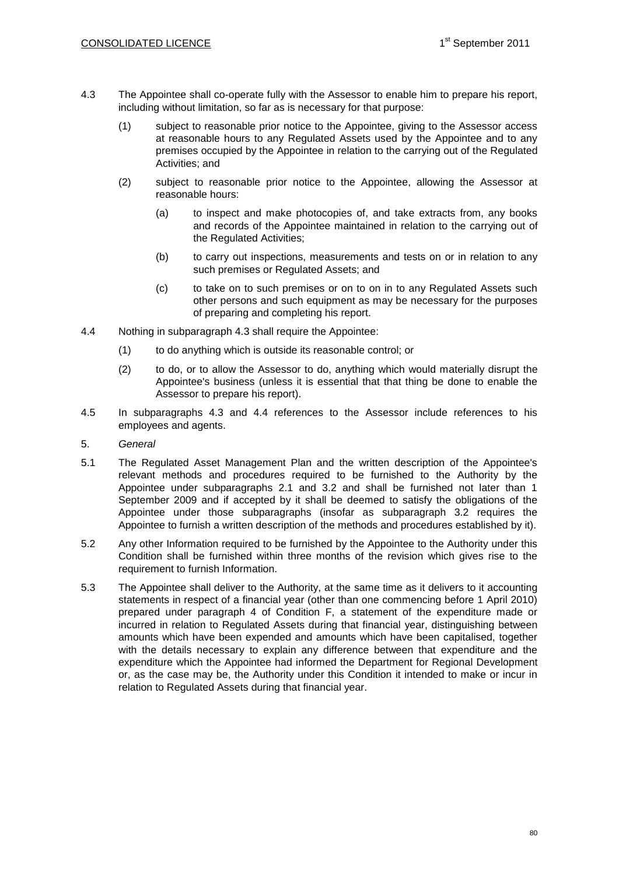- 4.3 The Appointee shall co-operate fully with the Assessor to enable him to prepare his report, including without limitation, so far as is necessary for that purpose:
	- (1) subject to reasonable prior notice to the Appointee, giving to the Assessor access at reasonable hours to any Regulated Assets used by the Appointee and to any premises occupied by the Appointee in relation to the carrying out of the Regulated Activities; and
	- (2) subject to reasonable prior notice to the Appointee, allowing the Assessor at reasonable hours:
		- (a) to inspect and make photocopies of, and take extracts from, any books and records of the Appointee maintained in relation to the carrying out of the Regulated Activities;
		- (b) to carry out inspections, measurements and tests on or in relation to any such premises or Regulated Assets; and
		- (c) to take on to such premises or on to on in to any Regulated Assets such other persons and such equipment as may be necessary for the purposes of preparing and completing his report.
- 4.4 Nothing in subparagraph 4.3 shall require the Appointee:
	- (1) to do anything which is outside its reasonable control; or
	- (2) to do, or to allow the Assessor to do, anything which would materially disrupt the Appointee's business (unless it is essential that that thing be done to enable the Assessor to prepare his report).
- 4.5 In subparagraphs 4.3 and 4.4 references to the Assessor include references to his employees and agents.
- 5. *General*
- 5.1 The Regulated Asset Management Plan and the written description of the Appointee's relevant methods and procedures required to be furnished to the Authority by the Appointee under subparagraphs 2.1 and 3.2 and shall be furnished not later than 1 September 2009 and if accepted by it shall be deemed to satisfy the obligations of the Appointee under those subparagraphs (insofar as subparagraph 3.2 requires the Appointee to furnish a written description of the methods and procedures established by it).
- 5.2 Any other Information required to be furnished by the Appointee to the Authority under this Condition shall be furnished within three months of the revision which gives rise to the requirement to furnish Information.
- 5.3 The Appointee shall deliver to the Authority, at the same time as it delivers to it accounting statements in respect of a financial year (other than one commencing before 1 April 2010) prepared under paragraph 4 of Condition F, a statement of the expenditure made or incurred in relation to Regulated Assets during that financial year, distinguishing between amounts which have been expended and amounts which have been capitalised, together with the details necessary to explain any difference between that expenditure and the expenditure which the Appointee had informed the Department for Regional Development or, as the case may be, the Authority under this Condition it intended to make or incur in relation to Regulated Assets during that financial year.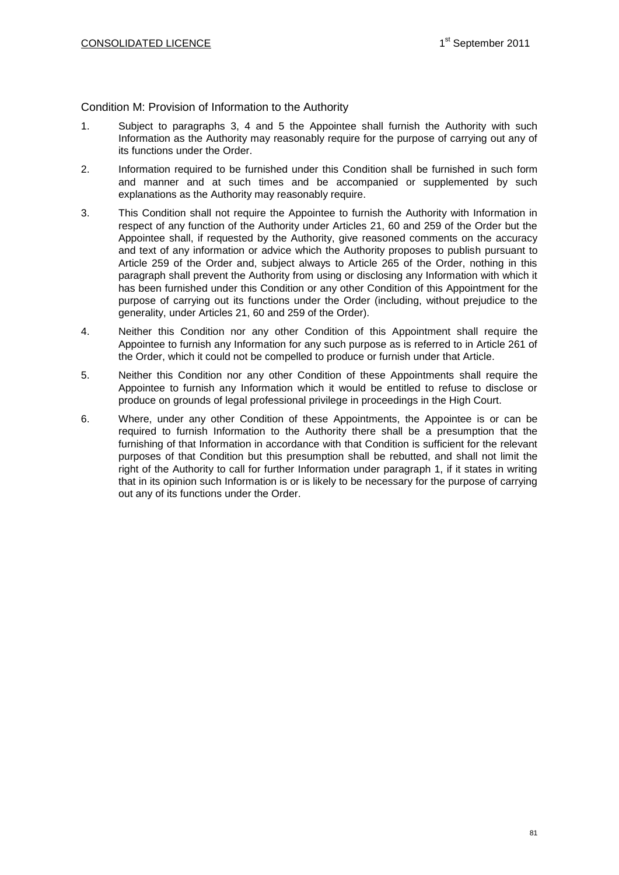# Condition M: Provision of Information to the Authority

- 1. Subject to paragraphs 3, 4 and 5 the Appointee shall furnish the Authority with such Information as the Authority may reasonably require for the purpose of carrying out any of its functions under the Order.
- 2. Information required to be furnished under this Condition shall be furnished in such form and manner and at such times and be accompanied or supplemented by such explanations as the Authority may reasonably require.
- 3. This Condition shall not require the Appointee to furnish the Authority with Information in respect of any function of the Authority under Articles 21, 60 and 259 of the Order but the Appointee shall, if requested by the Authority, give reasoned comments on the accuracy and text of any information or advice which the Authority proposes to publish pursuant to Article 259 of the Order and, subject always to Article 265 of the Order, nothing in this paragraph shall prevent the Authority from using or disclosing any Information with which it has been furnished under this Condition or any other Condition of this Appointment for the purpose of carrying out its functions under the Order (including, without prejudice to the generality, under Articles 21, 60 and 259 of the Order).
- 4. Neither this Condition nor any other Condition of this Appointment shall require the Appointee to furnish any Information for any such purpose as is referred to in Article 261 of the Order, which it could not be compelled to produce or furnish under that Article.
- 5. Neither this Condition nor any other Condition of these Appointments shall require the Appointee to furnish any Information which it would be entitled to refuse to disclose or produce on grounds of legal professional privilege in proceedings in the High Court.
- 6. Where, under any other Condition of these Appointments, the Appointee is or can be required to furnish Information to the Authority there shall be a presumption that the furnishing of that Information in accordance with that Condition is sufficient for the relevant purposes of that Condition but this presumption shall be rebutted, and shall not limit the right of the Authority to call for further Information under paragraph 1, if it states in writing that in its opinion such Information is or is likely to be necessary for the purpose of carrying out any of its functions under the Order.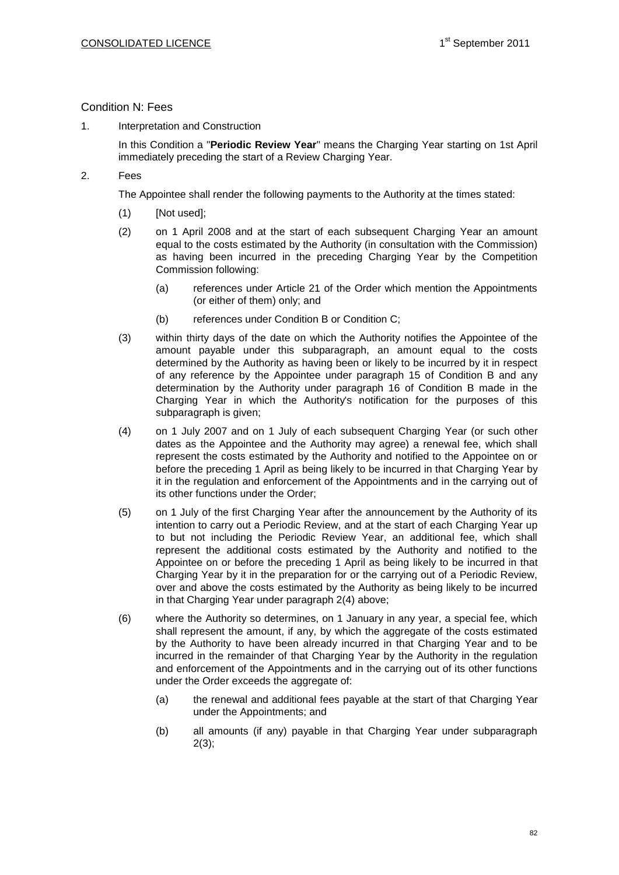# Condition N: Fees

1. Interpretation and Construction

In this Condition a "**Periodic Review Year**" means the Charging Year starting on 1st April immediately preceding the start of a Review Charging Year.

2. Fees

The Appointee shall render the following payments to the Authority at the times stated:

- (1) [Not used];
- (2) on 1 April 2008 and at the start of each subsequent Charging Year an amount equal to the costs estimated by the Authority (in consultation with the Commission) as having been incurred in the preceding Charging Year by the Competition Commission following:
	- (a) references under Article 21 of the Order which mention the Appointments (or either of them) only; and
	- (b) references under Condition B or Condition C;
- (3) within thirty days of the date on which the Authority notifies the Appointee of the amount payable under this subparagraph, an amount equal to the costs determined by the Authority as having been or likely to be incurred by it in respect of any reference by the Appointee under paragraph 15 of Condition B and any determination by the Authority under paragraph 16 of Condition B made in the Charging Year in which the Authority's notification for the purposes of this subparagraph is given;
- (4) on 1 July 2007 and on 1 July of each subsequent Charging Year (or such other dates as the Appointee and the Authority may agree) a renewal fee, which shall represent the costs estimated by the Authority and notified to the Appointee on or before the preceding 1 April as being likely to be incurred in that Charging Year by it in the regulation and enforcement of the Appointments and in the carrying out of its other functions under the Order;
- (5) on 1 July of the first Charging Year after the announcement by the Authority of its intention to carry out a Periodic Review, and at the start of each Charging Year up to but not including the Periodic Review Year, an additional fee, which shall represent the additional costs estimated by the Authority and notified to the Appointee on or before the preceding 1 April as being likely to be incurred in that Charging Year by it in the preparation for or the carrying out of a Periodic Review, over and above the costs estimated by the Authority as being likely to be incurred in that Charging Year under paragraph 2(4) above;
- (6) where the Authority so determines, on 1 January in any year, a special fee, which shall represent the amount, if any, by which the aggregate of the costs estimated by the Authority to have been already incurred in that Charging Year and to be incurred in the remainder of that Charging Year by the Authority in the regulation and enforcement of the Appointments and in the carrying out of its other functions under the Order exceeds the aggregate of:
	- (a) the renewal and additional fees payable at the start of that Charging Year under the Appointments; and
	- (b) all amounts (if any) payable in that Charging Year under subparagraph  $2(3)$ ;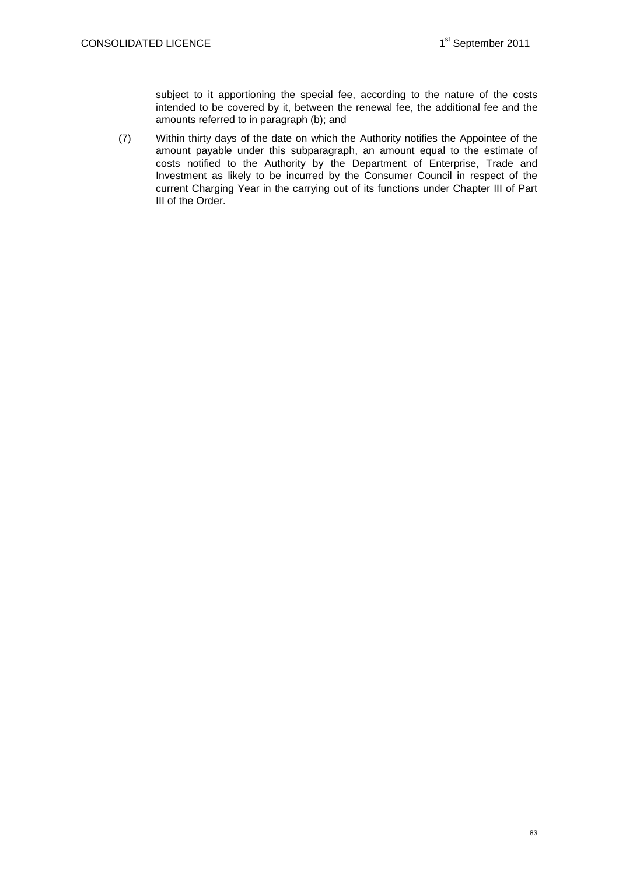subject to it apportioning the special fee, according to the nature of the costs intended to be covered by it, between the renewal fee, the additional fee and the amounts referred to in paragraph (b); and

(7) Within thirty days of the date on which the Authority notifies the Appointee of the amount payable under this subparagraph, an amount equal to the estimate of costs notified to the Authority by the Department of Enterprise, Trade and Investment as likely to be incurred by the Consumer Council in respect of the current Charging Year in the carrying out of its functions under Chapter III of Part III of the Order.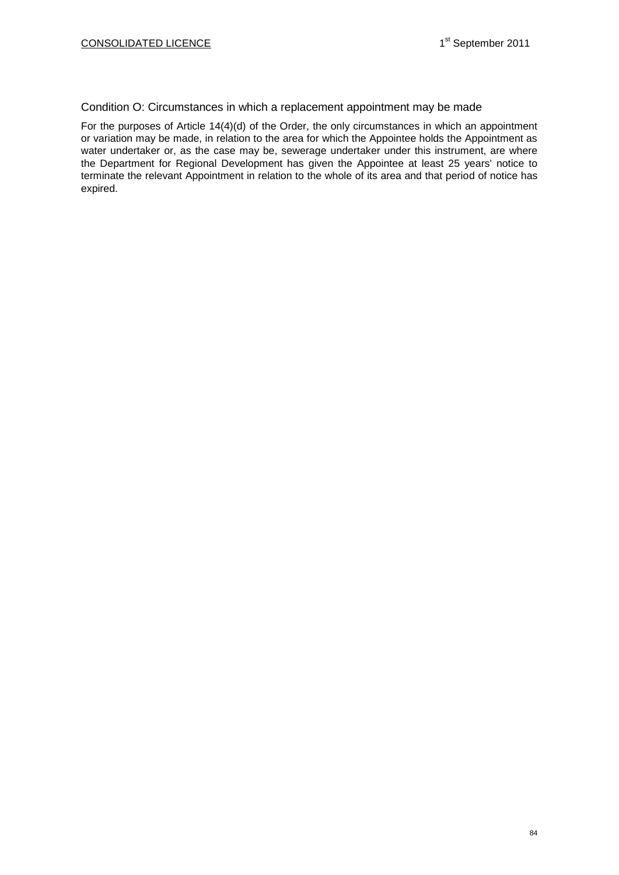## Condition O: Circumstances in which a replacement appointment may be made

For the purposes of Article 14(4)(d) of the Order, the only circumstances in which an appointment or variation may be made, in relation to the area for which the Appointee holds the Appointment as water undertaker or, as the case may be, sewerage undertaker under this instrument, are where the Department for Regional Development has given the Appointee at least 25 years' notice to terminate the relevant Appointment in relation to the whole of its area and that period of notice has expired.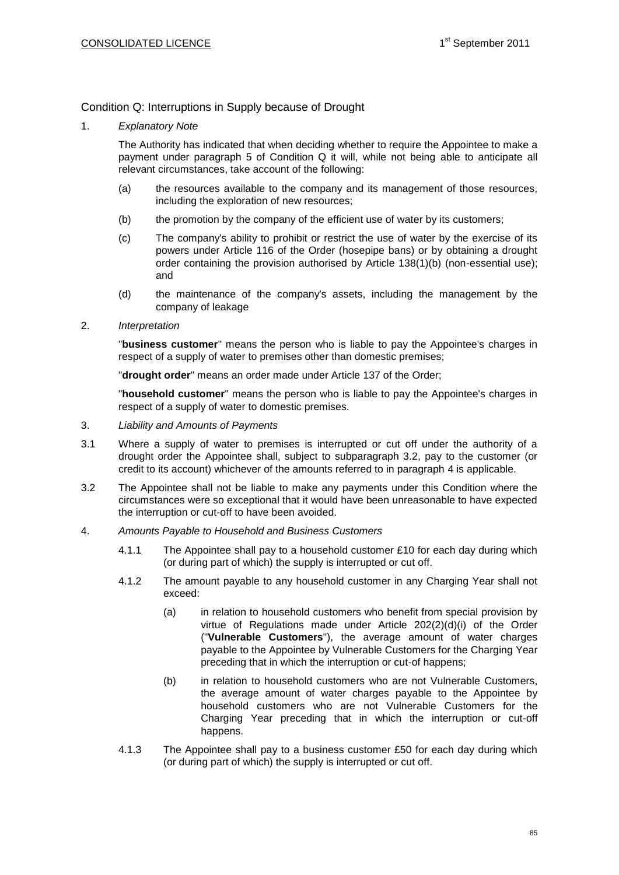# Condition Q: Interruptions in Supply because of Drought

1. *Explanatory Note*

The Authority has indicated that when deciding whether to require the Appointee to make a payment under paragraph 5 of Condition Q it will, while not being able to anticipate all relevant circumstances, take account of the following:

- (a) the resources available to the company and its management of those resources, including the exploration of new resources;
- (b) the promotion by the company of the efficient use of water by its customers;
- (c) The company's ability to prohibit or restrict the use of water by the exercise of its powers under Article 116 of the Order (hosepipe bans) or by obtaining a drought order containing the provision authorised by Article 138(1)(b) (non-essential use); and
- (d) the maintenance of the company's assets, including the management by the company of leakage
- 2. *Interpretation*

"**business customer**" means the person who is liable to pay the Appointee's charges in respect of a supply of water to premises other than domestic premises;

"**drought order**" means an order made under Article 137 of the Order;

"**household customer**" means the person who is liable to pay the Appointee's charges in respect of a supply of water to domestic premises.

- 3. *Liability and Amounts of Payments*
- 3.1 Where a supply of water to premises is interrupted or cut off under the authority of a drought order the Appointee shall, subject to subparagraph 3.2, pay to the customer (or credit to its account) whichever of the amounts referred to in paragraph 4 is applicable.
- 3.2 The Appointee shall not be liable to make any payments under this Condition where the circumstances were so exceptional that it would have been unreasonable to have expected the interruption or cut-off to have been avoided.
- 4. *Amounts Payable to Household and Business Customers*
	- 4.1.1 The Appointee shall pay to a household customer £10 for each day during which (or during part of which) the supply is interrupted or cut off.
	- 4.1.2 The amount payable to any household customer in any Charging Year shall not exceed:
		- (a) in relation to household customers who benefit from special provision by virtue of Regulations made under Article 202(2)(d)(i) of the Order ("**Vulnerable Customers**"), the average amount of water charges payable to the Appointee by Vulnerable Customers for the Charging Year preceding that in which the interruption or cut-of happens;
		- (b) in relation to household customers who are not Vulnerable Customers, the average amount of water charges payable to the Appointee by household customers who are not Vulnerable Customers for the Charging Year preceding that in which the interruption or cut-off happens.
	- 4.1.3 The Appointee shall pay to a business customer £50 for each day during which (or during part of which) the supply is interrupted or cut off.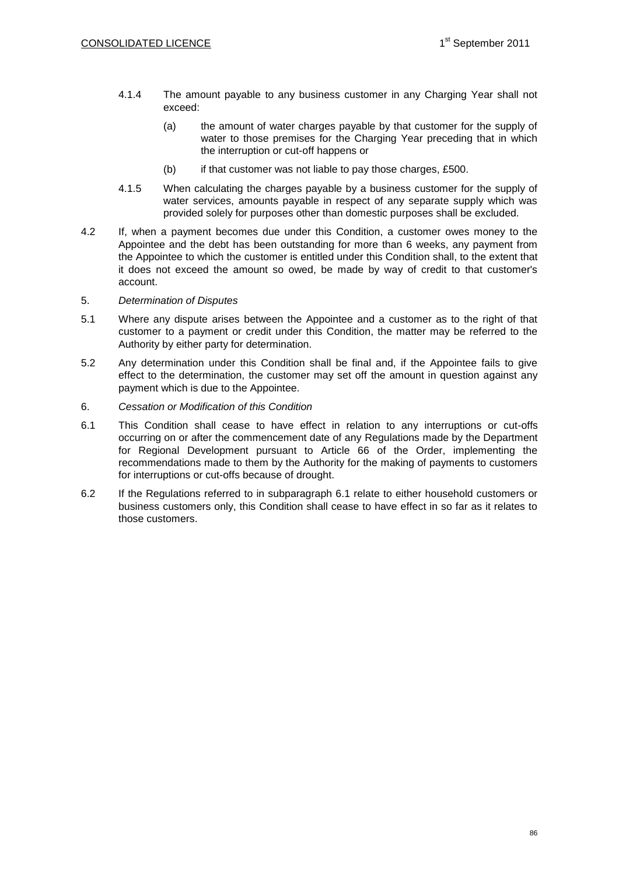- 4.1.4 The amount payable to any business customer in any Charging Year shall not exceed:
	- (a) the amount of water charges payable by that customer for the supply of water to those premises for the Charging Year preceding that in which the interruption or cut-off happens or
	- (b) if that customer was not liable to pay those charges, £500.
- 4.1.5 When calculating the charges payable by a business customer for the supply of water services, amounts payable in respect of any separate supply which was provided solely for purposes other than domestic purposes shall be excluded.
- 4.2 If, when a payment becomes due under this Condition, a customer owes money to the Appointee and the debt has been outstanding for more than 6 weeks, any payment from the Appointee to which the customer is entitled under this Condition shall, to the extent that it does not exceed the amount so owed, be made by way of credit to that customer's account.
- 5. *Determination of Disputes*
- 5.1 Where any dispute arises between the Appointee and a customer as to the right of that customer to a payment or credit under this Condition, the matter may be referred to the Authority by either party for determination.
- 5.2 Any determination under this Condition shall be final and, if the Appointee fails to give effect to the determination, the customer may set off the amount in question against any payment which is due to the Appointee.
- 6. *Cessation or Modification of this Condition*
- 6.1 This Condition shall cease to have effect in relation to any interruptions or cut-offs occurring on or after the commencement date of any Regulations made by the Department for Regional Development pursuant to Article 66 of the Order, implementing the recommendations made to them by the Authority for the making of payments to customers for interruptions or cut-offs because of drought.
- 6.2 If the Regulations referred to in subparagraph 6.1 relate to either household customers or business customers only, this Condition shall cease to have effect in so far as it relates to those customers.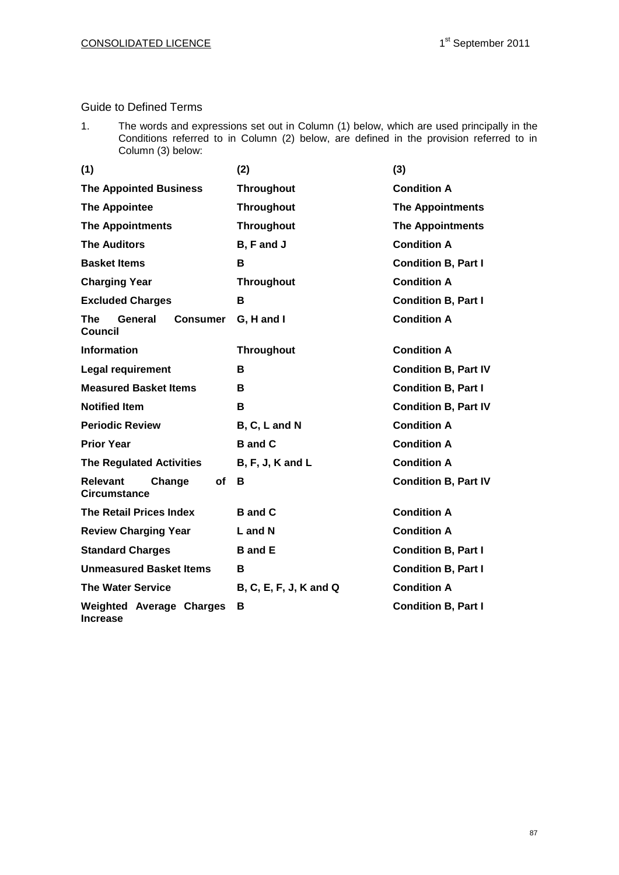# Guide to Defined Terms

1. The words and expressions set out in Column (1) below, which are used principally in the Conditions referred to in Column (2) below, are defined in the provision referred to in Column (3) below:

| (1)                                                        | (2)                    | (3)                         |  |  |  |
|------------------------------------------------------------|------------------------|-----------------------------|--|--|--|
| <b>The Appointed Business</b>                              | <b>Throughout</b>      | <b>Condition A</b>          |  |  |  |
| <b>The Appointee</b>                                       | <b>Throughout</b>      | <b>The Appointments</b>     |  |  |  |
| <b>The Appointments</b>                                    | <b>Throughout</b>      | <b>The Appointments</b>     |  |  |  |
| <b>The Auditors</b>                                        | B, F and J             | <b>Condition A</b>          |  |  |  |
| <b>Basket Items</b>                                        | B                      | <b>Condition B, Part I</b>  |  |  |  |
| <b>Charging Year</b>                                       | <b>Throughout</b>      | <b>Condition A</b>          |  |  |  |
| <b>Excluded Charges</b>                                    | В                      | <b>Condition B, Part I</b>  |  |  |  |
| <b>The</b><br>General<br><b>Consumer</b><br><b>Council</b> | G, H and I             | <b>Condition A</b>          |  |  |  |
| <b>Information</b>                                         | <b>Throughout</b>      | <b>Condition A</b>          |  |  |  |
| <b>Legal requirement</b>                                   | в                      | <b>Condition B, Part IV</b> |  |  |  |
| <b>Measured Basket Items</b>                               | в                      | <b>Condition B, Part I</b>  |  |  |  |
| <b>Notified Item</b>                                       | в                      | <b>Condition B, Part IV</b> |  |  |  |
| <b>Periodic Review</b>                                     | B, C, L and N          | <b>Condition A</b>          |  |  |  |
| <b>Prior Year</b>                                          | <b>B</b> and C         | <b>Condition A</b>          |  |  |  |
| <b>The Regulated Activities</b>                            | $B, F, J, K$ and $L$   | <b>Condition A</b>          |  |  |  |
| <b>Relevant</b><br>Change<br>of<br><b>Circumstance</b>     | В                      | <b>Condition B, Part IV</b> |  |  |  |
| <b>The Retail Prices Index</b>                             | <b>B</b> and C         | <b>Condition A</b>          |  |  |  |
| <b>Review Charging Year</b>                                | L and N                | <b>Condition A</b>          |  |  |  |
| <b>Standard Charges</b>                                    | <b>B</b> and E         | <b>Condition B, Part I</b>  |  |  |  |
| <b>Unmeasured Basket Items</b>                             | в                      | <b>Condition B, Part I</b>  |  |  |  |
| <b>The Water Service</b>                                   | B, C, E, F, J, K and Q | <b>Condition A</b>          |  |  |  |
| <b>Weighted Average Charges</b><br><b>Increase</b>         | В                      | <b>Condition B, Part I</b>  |  |  |  |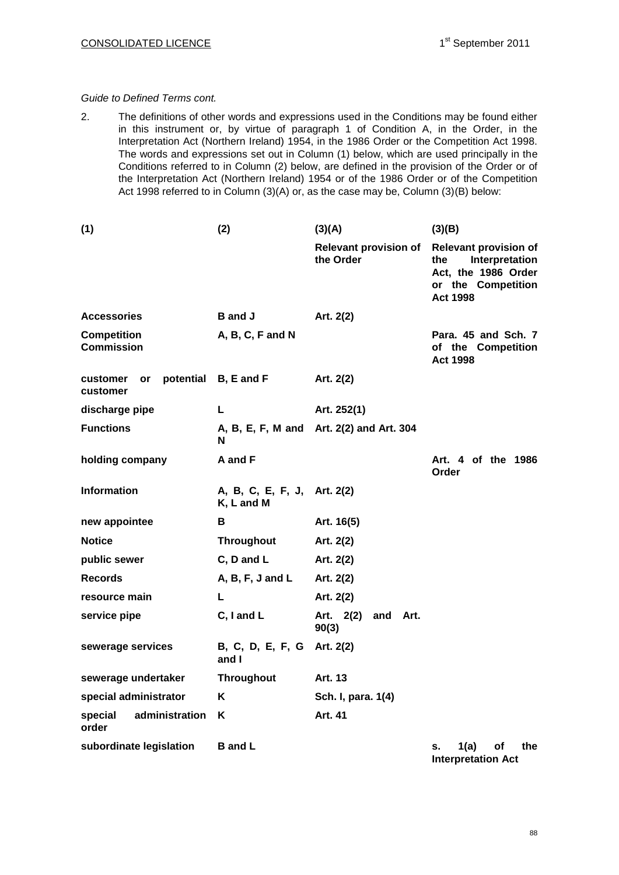#### *Guide to Defined Terms cont.*

2. The definitions of other words and expressions used in the Conditions may be found either in this instrument or, by virtue of paragraph 1 of Condition A, in the Order, in the Interpretation Act (Northern Ireland) 1954, in the 1986 Order or the Competition Act 1998. The words and expressions set out in Column (1) below, which are used principally in the Conditions referred to in Column (2) below, are defined in the provision of the Order or of the Interpretation Act (Northern Ireland) 1954 or of the 1986 Order or of the Competition Act 1998 referred to in Column (3)(A) or, as the case may be, Column (3)(B) below:

| (1)                                     | (2)                                       | (3)(A)                                    | (3)(B)                                                                                                                |  |  |  |  |
|-----------------------------------------|-------------------------------------------|-------------------------------------------|-----------------------------------------------------------------------------------------------------------------------|--|--|--|--|
|                                         |                                           | <b>Relevant provision of</b><br>the Order | <b>Relevant provision of</b><br>Interpretation<br>the<br>Act, the 1986 Order<br>or the Competition<br><b>Act 1998</b> |  |  |  |  |
| <b>Accessories</b>                      | <b>B</b> and J                            | Art. 2(2)                                 |                                                                                                                       |  |  |  |  |
| <b>Competition</b><br><b>Commission</b> | A, B, C, F and N                          |                                           | Para, 45 and Sch. 7<br>of the Competition<br><b>Act 1998</b>                                                          |  |  |  |  |
| potential<br>customer<br>or<br>customer | B, E and F                                | Art. 2(2)                                 |                                                                                                                       |  |  |  |  |
| discharge pipe                          | L                                         | Art. 252(1)                               |                                                                                                                       |  |  |  |  |
| <b>Functions</b>                        | N                                         | A, B, E, F, M and Art. 2(2) and Art. 304  |                                                                                                                       |  |  |  |  |
| holding company                         | A and F                                   |                                           | Art. 4 of the 1986<br>Order                                                                                           |  |  |  |  |
| <b>Information</b>                      | A, B, C, E, F, J, Art. 2(2)<br>K, L and M |                                           |                                                                                                                       |  |  |  |  |
| new appointee                           | в                                         | Art. 16(5)                                |                                                                                                                       |  |  |  |  |
| <b>Notice</b>                           | <b>Throughout</b>                         | Art. 2(2)                                 |                                                                                                                       |  |  |  |  |
| public sewer                            | C, D and L                                | Art. 2(2)                                 |                                                                                                                       |  |  |  |  |
| <b>Records</b>                          | $A, B, F, J$ and $L$                      | Art. 2(2)                                 |                                                                                                                       |  |  |  |  |
| resource main                           | L                                         | Art. 2(2)                                 |                                                                                                                       |  |  |  |  |
| service pipe                            | C, I and L                                | Art. 2(2)<br>and Art.<br>90(3)            |                                                                                                                       |  |  |  |  |
| sewerage services                       | B, C, D, E, F, G<br>and I                 | Art. 2(2)                                 |                                                                                                                       |  |  |  |  |
| sewerage undertaker                     | <b>Throughout</b>                         | Art. 13                                   |                                                                                                                       |  |  |  |  |
| special administrator                   | ĸ                                         | Sch. I, para. 1(4)                        |                                                                                                                       |  |  |  |  |
| administration<br>special<br>order      | Κ                                         | Art. 41                                   |                                                                                                                       |  |  |  |  |
| subordinate legislation                 | <b>B</b> and L                            |                                           | 1(a)<br>the<br>οf<br>s.<br><b>Interpretation Act</b>                                                                  |  |  |  |  |